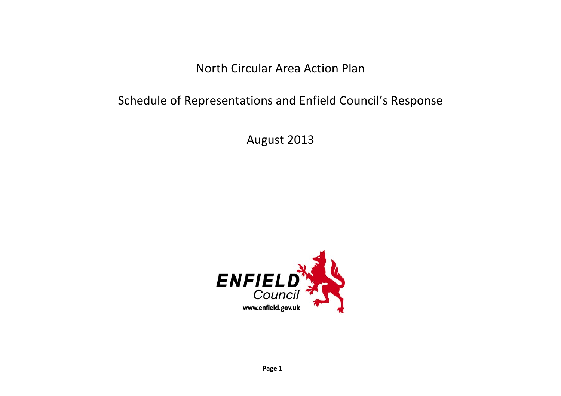North Circular Area Action Plan

## Schedule of Representations and Enfield Council's Response

August 2013

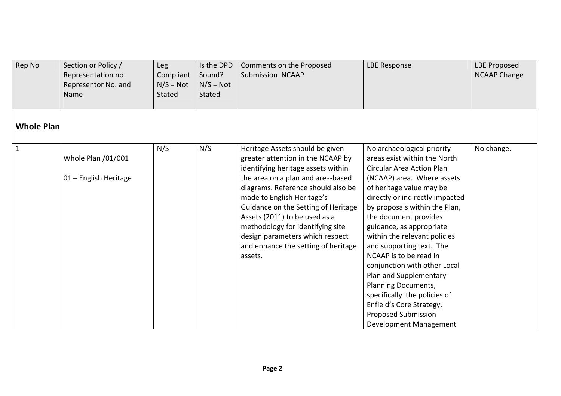| Rep No            | Section or Policy /<br>Representation no<br>Representor No. and<br>Name | Leg<br>Compliant<br>$N/S = Not$<br>Stated | Is the DPD<br>Sound?<br>$N/S = Not$<br>Stated | Comments on the Proposed<br>Submission NCAAP                                                                                                                                                                                                                                                                                                                                                                         | <b>LBE Response</b>                                                                                                                                                                                                                                                                                                                                                                                                                                                                                                                                                          | <b>LBE Proposed</b><br><b>NCAAP Change</b> |  |  |  |
|-------------------|-------------------------------------------------------------------------|-------------------------------------------|-----------------------------------------------|----------------------------------------------------------------------------------------------------------------------------------------------------------------------------------------------------------------------------------------------------------------------------------------------------------------------------------------------------------------------------------------------------------------------|------------------------------------------------------------------------------------------------------------------------------------------------------------------------------------------------------------------------------------------------------------------------------------------------------------------------------------------------------------------------------------------------------------------------------------------------------------------------------------------------------------------------------------------------------------------------------|--------------------------------------------|--|--|--|
| <b>Whole Plan</b> |                                                                         |                                           |                                               |                                                                                                                                                                                                                                                                                                                                                                                                                      |                                                                                                                                                                                                                                                                                                                                                                                                                                                                                                                                                                              |                                            |  |  |  |
| $\mathbf{1}$      | Whole Plan /01/001<br>01 - English Heritage                             | N/S                                       | N/S                                           | Heritage Assets should be given<br>greater attention in the NCAAP by<br>identifying heritage assets within<br>the area on a plan and area-based<br>diagrams. Reference should also be<br>made to English Heritage's<br>Guidance on the Setting of Heritage<br>Assets (2011) to be used as a<br>methodology for identifying site<br>design parameters which respect<br>and enhance the setting of heritage<br>assets. | No archaeological priority<br>areas exist within the North<br><b>Circular Area Action Plan</b><br>(NCAAP) area. Where assets<br>of heritage value may be<br>directly or indirectly impacted<br>by proposals within the Plan,<br>the document provides<br>guidance, as appropriate<br>within the relevant policies<br>and supporting text. The<br>NCAAP is to be read in<br>conjunction with other Local<br>Plan and Supplementary<br>Planning Documents,<br>specifically the policies of<br>Enfield's Core Strategy,<br><b>Proposed Submission</b><br>Development Management | No change.                                 |  |  |  |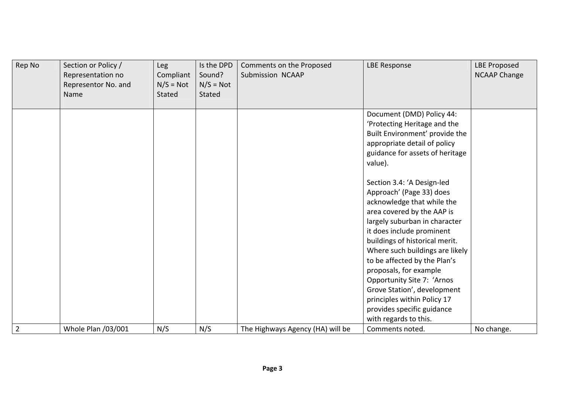| Rep No         | Section or Policy /<br>Representation no<br>Representor No. and<br>Name | Leg<br>Compliant<br>$N/S = Not$<br>Stated | Is the DPD<br>Sound?<br>$N/S = Not$<br>Stated | Comments on the Proposed<br>Submission NCAAP | <b>LBE Response</b>                                                                                                                                                                                                                                                                                                                                                                                                                                                | <b>LBE Proposed</b><br><b>NCAAP Change</b> |
|----------------|-------------------------------------------------------------------------|-------------------------------------------|-----------------------------------------------|----------------------------------------------|--------------------------------------------------------------------------------------------------------------------------------------------------------------------------------------------------------------------------------------------------------------------------------------------------------------------------------------------------------------------------------------------------------------------------------------------------------------------|--------------------------------------------|
|                |                                                                         |                                           |                                               |                                              | Document (DMD) Policy 44:<br>'Protecting Heritage and the<br>Built Environment' provide the<br>appropriate detail of policy<br>guidance for assets of heritage<br>value).                                                                                                                                                                                                                                                                                          |                                            |
|                |                                                                         |                                           |                                               |                                              | Section 3.4: 'A Design-led<br>Approach' (Page 33) does<br>acknowledge that while the<br>area covered by the AAP is<br>largely suburban in character<br>it does include prominent<br>buildings of historical merit.<br>Where such buildings are likely<br>to be affected by the Plan's<br>proposals, for example<br>Opportunity Site 7: 'Arnos<br>Grove Station', development<br>principles within Policy 17<br>provides specific guidance<br>with regards to this. |                                            |
| $\overline{2}$ | Whole Plan /03/001                                                      | N/S                                       | N/S                                           | The Highways Agency (HA) will be             | Comments noted.                                                                                                                                                                                                                                                                                                                                                                                                                                                    | No change.                                 |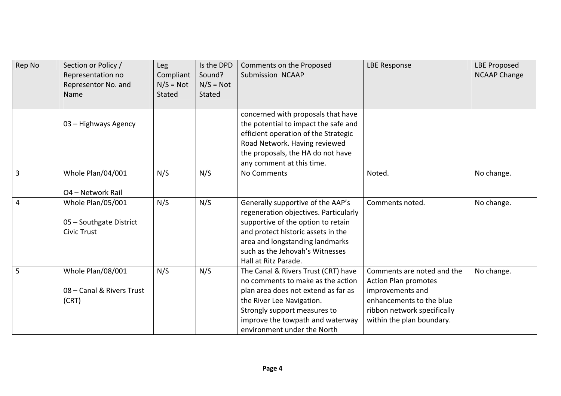| Rep No         | Section or Policy /<br>Representation no<br>Representor No. and<br>Name | <b>Leg</b><br>Compliant<br>$N/S = Not$<br>Stated | Is the DPD<br>Sound?<br>$N/S = Not$<br>Stated | Comments on the Proposed<br>Submission NCAAP                                                                                                                                                                                                         | <b>LBE Response</b>                                                                                                                                                   | <b>LBE Proposed</b><br><b>NCAAP Change</b> |
|----------------|-------------------------------------------------------------------------|--------------------------------------------------|-----------------------------------------------|------------------------------------------------------------------------------------------------------------------------------------------------------------------------------------------------------------------------------------------------------|-----------------------------------------------------------------------------------------------------------------------------------------------------------------------|--------------------------------------------|
|                | 03 - Highways Agency                                                    |                                                  |                                               | concerned with proposals that have<br>the potential to impact the safe and<br>efficient operation of the Strategic<br>Road Network. Having reviewed<br>the proposals, the HA do not have<br>any comment at this time.                                |                                                                                                                                                                       |                                            |
| $\overline{3}$ | Whole Plan/04/001<br>O4 - Network Rail                                  | N/S                                              | N/S                                           | No Comments                                                                                                                                                                                                                                          | Noted.                                                                                                                                                                | No change.                                 |
| $\overline{4}$ | Whole Plan/05/001<br>05 - Southgate District<br><b>Civic Trust</b>      | N/S                                              | N/S                                           | Generally supportive of the AAP's<br>regeneration objectives. Particularly<br>supportive of the option to retain<br>and protect historic assets in the<br>area and longstanding landmarks<br>such as the Jehovah's Witnesses<br>Hall at Ritz Parade. | Comments noted.                                                                                                                                                       | No change.                                 |
| 5              | Whole Plan/08/001<br>08 - Canal & Rivers Trust<br>(CRT)                 | N/S                                              | N/S                                           | The Canal & Rivers Trust (CRT) have<br>no comments to make as the action<br>plan area does not extend as far as<br>the River Lee Navigation.<br>Strongly support measures to<br>improve the towpath and waterway<br>environment under the North      | Comments are noted and the<br><b>Action Plan promotes</b><br>improvements and<br>enhancements to the blue<br>ribbon network specifically<br>within the plan boundary. | No change.                                 |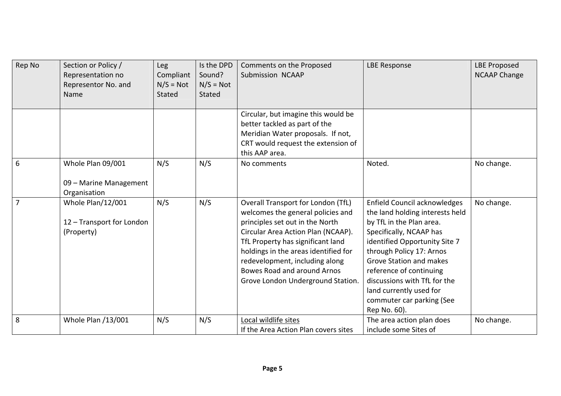| Rep No         | Section or Policy /<br>Representation no<br>Representor No. and<br>Name | Leg<br>Compliant<br>$N/S = Not$<br>Stated | Is the DPD<br>Sound?<br>$N/S = Not$<br>Stated | Comments on the Proposed<br>Submission NCAAP                                                                                                                                                                                                                                                                                        | <b>LBE Response</b>                                                                                                                                                                                                                                                                                                                                      | <b>LBE Proposed</b><br><b>NCAAP Change</b> |
|----------------|-------------------------------------------------------------------------|-------------------------------------------|-----------------------------------------------|-------------------------------------------------------------------------------------------------------------------------------------------------------------------------------------------------------------------------------------------------------------------------------------------------------------------------------------|----------------------------------------------------------------------------------------------------------------------------------------------------------------------------------------------------------------------------------------------------------------------------------------------------------------------------------------------------------|--------------------------------------------|
|                |                                                                         |                                           |                                               | Circular, but imagine this would be<br>better tackled as part of the<br>Meridian Water proposals. If not,<br>CRT would request the extension of<br>this AAP area.                                                                                                                                                                   |                                                                                                                                                                                                                                                                                                                                                          |                                            |
| 6              | Whole Plan 09/001<br>09 - Marine Management<br>Organisation             | N/S                                       | N/S                                           | No comments                                                                                                                                                                                                                                                                                                                         | Noted.                                                                                                                                                                                                                                                                                                                                                   | No change.                                 |
| $\overline{7}$ | Whole Plan/12/001<br>12 - Transport for London<br>(Property)            | N/S                                       | N/S                                           | Overall Transport for London (TfL)<br>welcomes the general policies and<br>principles set out in the North<br>Circular Area Action Plan (NCAAP).<br>TfL Property has significant land<br>holdings in the areas identified for<br>redevelopment, including along<br>Bowes Road and around Arnos<br>Grove London Underground Station. | Enfield Council acknowledges<br>the land holding interests held<br>by TfL in the Plan area.<br>Specifically, NCAAP has<br>identified Opportunity Site 7<br>through Policy 17: Arnos<br><b>Grove Station and makes</b><br>reference of continuing<br>discussions with TfL for the<br>land currently used for<br>commuter car parking (See<br>Rep No. 60). | No change.                                 |
| 8              | Whole Plan /13/001                                                      | N/S                                       | N/S                                           | Local wildlife sites<br>If the Area Action Plan covers sites                                                                                                                                                                                                                                                                        | The area action plan does<br>include some Sites of                                                                                                                                                                                                                                                                                                       | No change.                                 |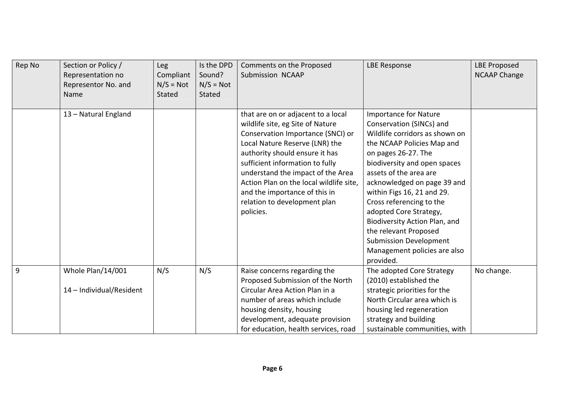| Rep No         | Section or Policy /<br>Representation no<br>Representor No. and<br>Name | Leg<br>Compliant<br>$N/S = Not$<br><b>Stated</b> | Is the DPD<br>Sound?<br>$N/S = Not$<br><b>Stated</b> | Comments on the Proposed<br>Submission NCAAP                                                                                                                                                                                                                                                                                                                                     | <b>LBE Response</b>                                                                                                                                                                                                                                                                                                                                                                                                                                                  | <b>LBE Proposed</b><br><b>NCAAP Change</b> |
|----------------|-------------------------------------------------------------------------|--------------------------------------------------|------------------------------------------------------|----------------------------------------------------------------------------------------------------------------------------------------------------------------------------------------------------------------------------------------------------------------------------------------------------------------------------------------------------------------------------------|----------------------------------------------------------------------------------------------------------------------------------------------------------------------------------------------------------------------------------------------------------------------------------------------------------------------------------------------------------------------------------------------------------------------------------------------------------------------|--------------------------------------------|
|                | 13 - Natural England                                                    |                                                  |                                                      | that are on or adjacent to a local<br>wildlife site, eg Site of Nature<br>Conservation Importance (SNCI) or<br>Local Nature Reserve (LNR) the<br>authority should ensure it has<br>sufficient information to fully<br>understand the impact of the Area<br>Action Plan on the local wildlife site,<br>and the importance of this in<br>relation to development plan<br>policies. | <b>Importance for Nature</b><br>Conservation (SINCs) and<br>Wildlife corridors as shown on<br>the NCAAP Policies Map and<br>on pages 26-27. The<br>biodiversity and open spaces<br>assets of the area are<br>acknowledged on page 39 and<br>within Figs 16, 21 and 29.<br>Cross referencing to the<br>adopted Core Strategy,<br>Biodiversity Action Plan, and<br>the relevant Proposed<br><b>Submission Development</b><br>Management policies are also<br>provided. |                                            |
| $\overline{9}$ | Whole Plan/14/001<br>14 - Individual/Resident                           | N/S                                              | N/S                                                  | Raise concerns regarding the<br>Proposed Submission of the North<br>Circular Area Action Plan in a<br>number of areas which include<br>housing density, housing<br>development, adequate provision<br>for education, health services, road                                                                                                                                       | The adopted Core Strategy<br>(2010) established the<br>strategic priorities for the<br>North Circular area which is<br>housing led regeneration<br>strategy and building<br>sustainable communities, with                                                                                                                                                                                                                                                            | No change.                                 |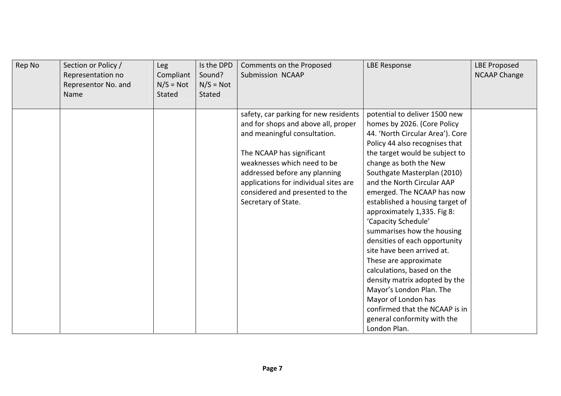| Rep No | Section or Policy /<br>Representation no<br>Representor No. and<br>Name | Leg<br>Compliant<br>$N/S = Not$<br>Stated | Is the DPD<br>Sound?<br>$N/S = Not$<br>Stated | Comments on the Proposed<br>Submission NCAAP                                                                                                                                                                                                                                                                 | <b>LBE Response</b>                                                                                                                                                                                                                                                                                                                                                                                                                                                                                                                                                                                                                                                                                         | <b>LBE Proposed</b><br><b>NCAAP Change</b> |
|--------|-------------------------------------------------------------------------|-------------------------------------------|-----------------------------------------------|--------------------------------------------------------------------------------------------------------------------------------------------------------------------------------------------------------------------------------------------------------------------------------------------------------------|-------------------------------------------------------------------------------------------------------------------------------------------------------------------------------------------------------------------------------------------------------------------------------------------------------------------------------------------------------------------------------------------------------------------------------------------------------------------------------------------------------------------------------------------------------------------------------------------------------------------------------------------------------------------------------------------------------------|--------------------------------------------|
|        |                                                                         |                                           |                                               | safety, car parking for new residents<br>and for shops and above all, proper<br>and meaningful consultation.<br>The NCAAP has significant<br>weaknesses which need to be<br>addressed before any planning<br>applications for individual sites are<br>considered and presented to the<br>Secretary of State. | potential to deliver 1500 new<br>homes by 2026. (Core Policy<br>44. 'North Circular Area'). Core<br>Policy 44 also recognises that<br>the target would be subject to<br>change as both the New<br>Southgate Masterplan (2010)<br>and the North Circular AAP<br>emerged. The NCAAP has now<br>established a housing target of<br>approximately 1,335. Fig 8:<br>'Capacity Schedule'<br>summarises how the housing<br>densities of each opportunity<br>site have been arrived at.<br>These are approximate<br>calculations, based on the<br>density matrix adopted by the<br>Mayor's London Plan. The<br>Mayor of London has<br>confirmed that the NCAAP is in<br>general conformity with the<br>London Plan. |                                            |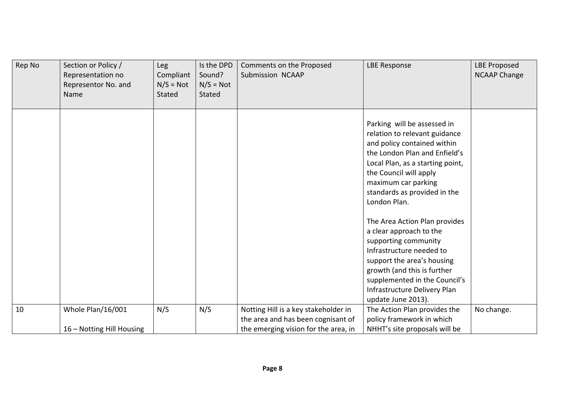| Rep No | Section or Policy /<br>Representation no<br>Representor No. and<br>Name | Leg<br>Compliant<br>$N/S = Not$<br>Stated | Is the DPD<br>Sound?<br>$N/S = Not$<br><b>Stated</b> | Comments on the Proposed<br>Submission NCAAP                                                                       | <b>LBE Response</b>                                                                                                                                                                                                                                               | <b>LBE Proposed</b><br><b>NCAAP Change</b> |
|--------|-------------------------------------------------------------------------|-------------------------------------------|------------------------------------------------------|--------------------------------------------------------------------------------------------------------------------|-------------------------------------------------------------------------------------------------------------------------------------------------------------------------------------------------------------------------------------------------------------------|--------------------------------------------|
|        |                                                                         |                                           |                                                      |                                                                                                                    | Parking will be assessed in<br>relation to relevant guidance<br>and policy contained within<br>the London Plan and Enfield's<br>Local Plan, as a starting point,<br>the Council will apply<br>maximum car parking<br>standards as provided in the<br>London Plan. |                                            |
|        |                                                                         |                                           |                                                      |                                                                                                                    | The Area Action Plan provides<br>a clear approach to the<br>supporting community<br>Infrastructure needed to<br>support the area's housing<br>growth (and this is further<br>supplemented in the Council's<br>Infrastructure Delivery Plan<br>update June 2013).  |                                            |
| 10     | Whole Plan/16/001<br>16 - Notting Hill Housing                          | N/S                                       | N/S                                                  | Notting Hill is a key stakeholder in<br>the area and has been cognisant of<br>the emerging vision for the area, in | The Action Plan provides the<br>policy framework in which<br>NHHT's site proposals will be                                                                                                                                                                        | No change.                                 |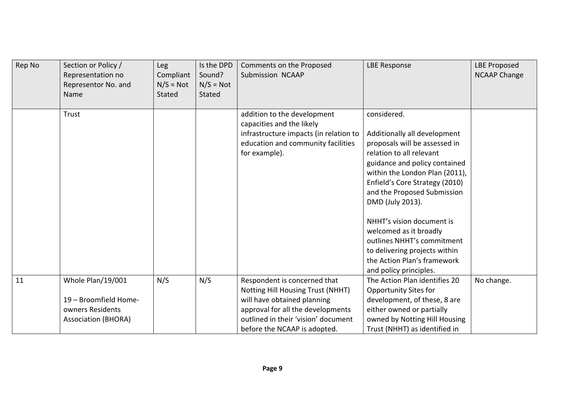| Rep No | Section or Policy /<br>Representation no<br>Representor No. and<br>Name                      | <b>Leg</b><br>Compliant<br>$N/S = Not$<br>Stated | Is the DPD<br>Sound?<br>$N/S = Not$<br><b>Stated</b> | Comments on the Proposed<br>Submission NCAAP                                                                                                                                                                 | <b>LBE Response</b>                                                                                                                                                                                                                                                                                                                                                                                                   | <b>LBE Proposed</b><br><b>NCAAP Change</b> |
|--------|----------------------------------------------------------------------------------------------|--------------------------------------------------|------------------------------------------------------|--------------------------------------------------------------------------------------------------------------------------------------------------------------------------------------------------------------|-----------------------------------------------------------------------------------------------------------------------------------------------------------------------------------------------------------------------------------------------------------------------------------------------------------------------------------------------------------------------------------------------------------------------|--------------------------------------------|
|        | Trust                                                                                        |                                                  |                                                      | addition to the development<br>capacities and the likely<br>infrastructure impacts (in relation to<br>education and community facilities<br>for example).                                                    | considered.<br>Additionally all development<br>proposals will be assessed in<br>relation to all relevant<br>guidance and policy contained<br>within the London Plan (2011),<br>Enfield's Core Strategy (2010)<br>and the Proposed Submission<br>DMD (July 2013).<br>NHHT's vision document is<br>welcomed as it broadly<br>outlines NHHT's commitment<br>to delivering projects within<br>the Action Plan's framework |                                            |
| 11     | Whole Plan/19/001<br>19 - Broomfield Home-<br>owners Residents<br><b>Association (BHORA)</b> | N/S                                              | N/S                                                  | Respondent is concerned that<br>Notting Hill Housing Trust (NHHT)<br>will have obtained planning<br>approval for all the developments<br>outlined in their 'vision' document<br>before the NCAAP is adopted. | and policy principles.<br>The Action Plan identifies 20<br><b>Opportunity Sites for</b><br>development, of these, 8 are<br>either owned or partially<br>owned by Notting Hill Housing<br>Trust (NHHT) as identified in                                                                                                                                                                                                | No change.                                 |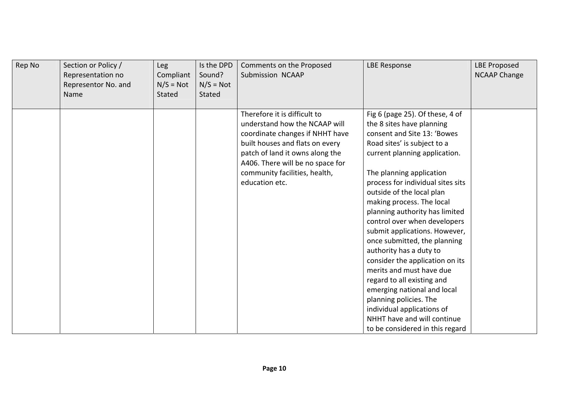| Rep No | Section or Policy /<br>Representation no<br>Representor No. and<br>Name | Leg<br>Compliant<br>$N/S = Not$<br>Stated | Is the DPD<br>Sound?<br>$N/S = Not$<br>Stated | Comments on the Proposed<br>Submission NCAAP                                                                                                                                                                                                                  | <b>LBE Response</b>                                                                                                                                                                                                                                                                                                                                                                                                                                                                                                                                                                                                                                                                                        | <b>LBE Proposed</b><br><b>NCAAP Change</b> |
|--------|-------------------------------------------------------------------------|-------------------------------------------|-----------------------------------------------|---------------------------------------------------------------------------------------------------------------------------------------------------------------------------------------------------------------------------------------------------------------|------------------------------------------------------------------------------------------------------------------------------------------------------------------------------------------------------------------------------------------------------------------------------------------------------------------------------------------------------------------------------------------------------------------------------------------------------------------------------------------------------------------------------------------------------------------------------------------------------------------------------------------------------------------------------------------------------------|--------------------------------------------|
|        |                                                                         |                                           |                                               | Therefore it is difficult to<br>understand how the NCAAP will<br>coordinate changes if NHHT have<br>built houses and flats on every<br>patch of land it owns along the<br>A406. There will be no space for<br>community facilities, health,<br>education etc. | Fig 6 (page 25). Of these, 4 of<br>the 8 sites have planning<br>consent and Site 13: 'Bowes<br>Road sites' is subject to a<br>current planning application.<br>The planning application<br>process for individual sites sits<br>outside of the local plan<br>making process. The local<br>planning authority has limited<br>control over when developers<br>submit applications. However,<br>once submitted, the planning<br>authority has a duty to<br>consider the application on its<br>merits and must have due<br>regard to all existing and<br>emerging national and local<br>planning policies. The<br>individual applications of<br>NHHT have and will continue<br>to be considered in this regard |                                            |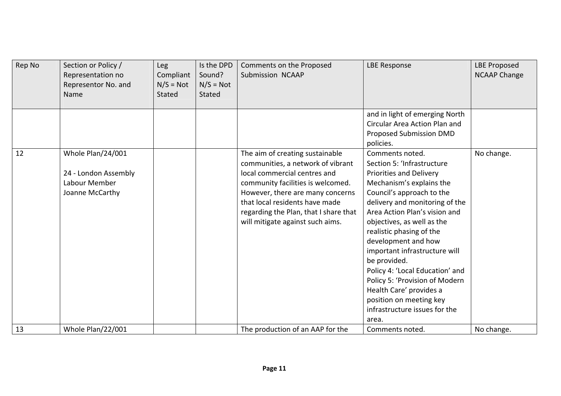| Rep No | Section or Policy /<br>Representation no<br>Representor No. and<br>Name       | Leg<br>Compliant<br>$N/S = Not$<br><b>Stated</b> | Is the DPD<br>Sound?<br>$N/S = Not$<br><b>Stated</b> | Comments on the Proposed<br>Submission NCAAP                                                                                                                                                                                                                                                 | <b>LBE Response</b>                                                                                                                                                                                                                                                                                                                                                                                                                                                                                                | <b>LBE Proposed</b><br><b>NCAAP Change</b> |
|--------|-------------------------------------------------------------------------------|--------------------------------------------------|------------------------------------------------------|----------------------------------------------------------------------------------------------------------------------------------------------------------------------------------------------------------------------------------------------------------------------------------------------|--------------------------------------------------------------------------------------------------------------------------------------------------------------------------------------------------------------------------------------------------------------------------------------------------------------------------------------------------------------------------------------------------------------------------------------------------------------------------------------------------------------------|--------------------------------------------|
|        |                                                                               |                                                  |                                                      |                                                                                                                                                                                                                                                                                              | and in light of emerging North<br>Circular Area Action Plan and<br>Proposed Submission DMD<br>policies.                                                                                                                                                                                                                                                                                                                                                                                                            |                                            |
| 12     | Whole Plan/24/001<br>24 - London Assembly<br>Labour Member<br>Joanne McCarthy |                                                  |                                                      | The aim of creating sustainable<br>communities, a network of vibrant<br>local commercial centres and<br>community facilities is welcomed.<br>However, there are many concerns<br>that local residents have made<br>regarding the Plan, that I share that<br>will mitigate against such aims. | Comments noted.<br>Section 5: 'Infrastructure<br><b>Priorities and Delivery</b><br>Mechanism's explains the<br>Council's approach to the<br>delivery and monitoring of the<br>Area Action Plan's vision and<br>objectives, as well as the<br>realistic phasing of the<br>development and how<br>important infrastructure will<br>be provided.<br>Policy 4: 'Local Education' and<br>Policy 5: 'Provision of Modern<br>Health Care' provides a<br>position on meeting key<br>infrastructure issues for the<br>area. | No change.                                 |
| 13     | Whole Plan/22/001                                                             |                                                  |                                                      | The production of an AAP for the                                                                                                                                                                                                                                                             | Comments noted.                                                                                                                                                                                                                                                                                                                                                                                                                                                                                                    | No change.                                 |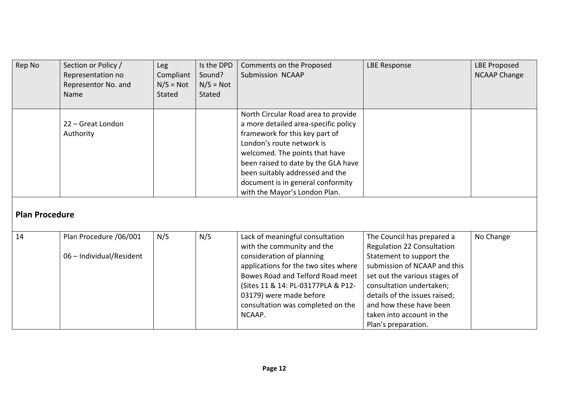| Rep No                | Section or Policy /<br>Representation no<br>Representor No. and<br>Name | <b>Leg</b><br>Compliant<br>$N/S = Not$<br><b>Stated</b> | Is the DPD<br>Sound?<br>$N/S = Not$<br><b>Stated</b> | Comments on the Proposed<br>Submission NCAAP                                                                                                                                                                                                                                                                                 | <b>LBE Response</b>                                                                                                                                                                                                                                                                               | <b>LBE Proposed</b><br><b>NCAAP Change</b> |
|-----------------------|-------------------------------------------------------------------------|---------------------------------------------------------|------------------------------------------------------|------------------------------------------------------------------------------------------------------------------------------------------------------------------------------------------------------------------------------------------------------------------------------------------------------------------------------|---------------------------------------------------------------------------------------------------------------------------------------------------------------------------------------------------------------------------------------------------------------------------------------------------|--------------------------------------------|
| <b>Plan Procedure</b> | 22 – Great London<br>Authority                                          |                                                         |                                                      | North Circular Road area to provide<br>a more detailed area-specific policy<br>framework for this key part of<br>London's route network is<br>welcomed. The points that have<br>been raised to date by the GLA have<br>been suitably addressed and the<br>document is in general conformity<br>with the Mayor's London Plan. |                                                                                                                                                                                                                                                                                                   |                                            |
| 14                    | Plan Procedure /06/001<br>06 - Individual/Resident                      | N/S                                                     | N/S                                                  | Lack of meaningful consultation<br>with the community and the<br>consideration of planning<br>applications for the two sites where<br>Bowes Road and Telford Road meet<br>(Sites 11 & 14: PL-03177PLA & P12-<br>03179) were made before<br>consultation was completed on the<br>NCAAP.                                       | The Council has prepared a<br>Regulation 22 Consultation<br>Statement to support the<br>submission of NCAAP and this<br>set out the various stages of<br>consultation undertaken;<br>details of the issues raised;<br>and how these have been<br>taken into account in the<br>Plan's preparation. | No Change                                  |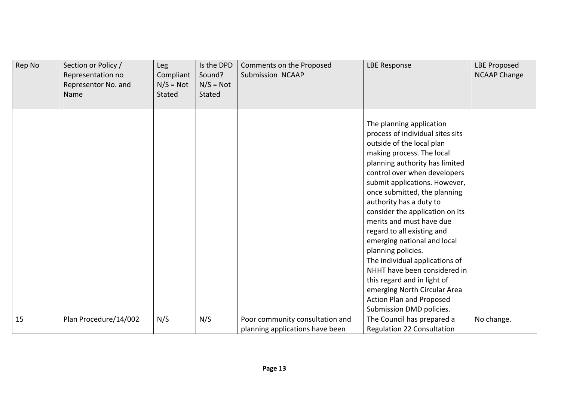| Rep No | Section or Policy /<br>Representation no<br>Representor No. and<br>Name | Leg<br>Compliant<br>$N/S = Not$<br>Stated | Is the DPD<br>Sound?<br>$N/S = Not$<br><b>Stated</b> | Comments on the Proposed<br>Submission NCAAP                       | <b>LBE Response</b>                                                                                                                                                                                                                                                                                                                                                                                                                                                                                                                                                                                                             | <b>LBE Proposed</b><br><b>NCAAP Change</b> |
|--------|-------------------------------------------------------------------------|-------------------------------------------|------------------------------------------------------|--------------------------------------------------------------------|---------------------------------------------------------------------------------------------------------------------------------------------------------------------------------------------------------------------------------------------------------------------------------------------------------------------------------------------------------------------------------------------------------------------------------------------------------------------------------------------------------------------------------------------------------------------------------------------------------------------------------|--------------------------------------------|
|        |                                                                         |                                           |                                                      |                                                                    | The planning application<br>process of individual sites sits<br>outside of the local plan<br>making process. The local<br>planning authority has limited<br>control over when developers<br>submit applications. However,<br>once submitted, the planning<br>authority has a duty to<br>consider the application on its<br>merits and must have due<br>regard to all existing and<br>emerging national and local<br>planning policies.<br>The individual applications of<br>NHHT have been considered in<br>this regard and in light of<br>emerging North Circular Area<br>Action Plan and Proposed<br>Submission DMD policies. |                                            |
| 15     | Plan Procedure/14/002                                                   | N/S                                       | N/S                                                  | Poor community consultation and<br>planning applications have been | The Council has prepared a<br><b>Regulation 22 Consultation</b>                                                                                                                                                                                                                                                                                                                                                                                                                                                                                                                                                                 | No change.                                 |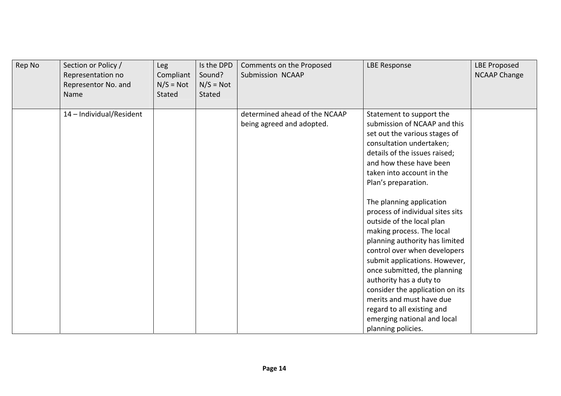| Rep No | Section or Policy /<br>Representation no<br>Representor No. and<br>Name | Leg<br>Compliant<br>$N/S = Not$<br>Stated | Is the DPD<br>Sound?<br>$N/S = Not$<br>Stated | Comments on the Proposed<br>Submission NCAAP               | <b>LBE Response</b>                                                                                                                                                                                                                                                                                                                                                                                                                                                                                                                                                                                                                                                             | <b>LBE Proposed</b><br><b>NCAAP Change</b> |
|--------|-------------------------------------------------------------------------|-------------------------------------------|-----------------------------------------------|------------------------------------------------------------|---------------------------------------------------------------------------------------------------------------------------------------------------------------------------------------------------------------------------------------------------------------------------------------------------------------------------------------------------------------------------------------------------------------------------------------------------------------------------------------------------------------------------------------------------------------------------------------------------------------------------------------------------------------------------------|--------------------------------------------|
|        | 14 - Individual/Resident                                                |                                           |                                               | determined ahead of the NCAAP<br>being agreed and adopted. | Statement to support the<br>submission of NCAAP and this<br>set out the various stages of<br>consultation undertaken;<br>details of the issues raised;<br>and how these have been<br>taken into account in the<br>Plan's preparation.<br>The planning application<br>process of individual sites sits<br>outside of the local plan<br>making process. The local<br>planning authority has limited<br>control over when developers<br>submit applications. However,<br>once submitted, the planning<br>authority has a duty to<br>consider the application on its<br>merits and must have due<br>regard to all existing and<br>emerging national and local<br>planning policies. |                                            |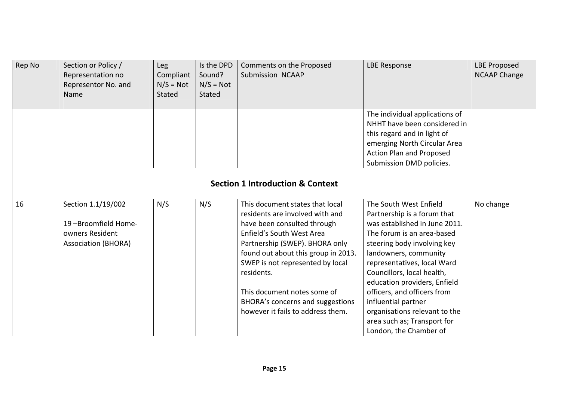| Rep No                                      | Section or Policy /<br>Representation no<br>Representor No. and<br>Name                    | Leg<br>Compliant<br>$N/S = Not$<br>Stated | Is the DPD<br>Sound?<br>$N/S = Not$<br>Stated | Comments on the Proposed<br>Submission NCAAP                                                                                                                                                                                                                                                                                                                      | <b>LBE Response</b>                                                                                                                                                                                                                                                                                                                                                                                                       | <b>LBE Proposed</b><br><b>NCAAP Change</b> |  |  |  |
|---------------------------------------------|--------------------------------------------------------------------------------------------|-------------------------------------------|-----------------------------------------------|-------------------------------------------------------------------------------------------------------------------------------------------------------------------------------------------------------------------------------------------------------------------------------------------------------------------------------------------------------------------|---------------------------------------------------------------------------------------------------------------------------------------------------------------------------------------------------------------------------------------------------------------------------------------------------------------------------------------------------------------------------------------------------------------------------|--------------------------------------------|--|--|--|
|                                             |                                                                                            |                                           |                                               |                                                                                                                                                                                                                                                                                                                                                                   | The individual applications of<br>NHHT have been considered in<br>this regard and in light of<br>emerging North Circular Area<br><b>Action Plan and Proposed</b><br>Submission DMD policies.                                                                                                                                                                                                                              |                                            |  |  |  |
| <b>Section 1 Introduction &amp; Context</b> |                                                                                            |                                           |                                               |                                                                                                                                                                                                                                                                                                                                                                   |                                                                                                                                                                                                                                                                                                                                                                                                                           |                                            |  |  |  |
| 16                                          | Section 1.1/19/002<br>19-Broomfield Home-<br>owners Resident<br><b>Association (BHORA)</b> | N/S                                       | N/S                                           | This document states that local<br>residents are involved with and<br>have been consulted through<br>Enfield's South West Area<br>Partnership (SWEP). BHORA only<br>found out about this group in 2013.<br>SWEP is not represented by local<br>residents.<br>This document notes some of<br>BHORA's concerns and suggestions<br>however it fails to address them. | The South West Enfield<br>Partnership is a forum that<br>was established in June 2011.<br>The forum is an area-based<br>steering body involving key<br>landowners, community<br>representatives, local Ward<br>Councillors, local health,<br>education providers, Enfield<br>officers, and officers from<br>influential partner<br>organisations relevant to the<br>area such as; Transport for<br>London, the Chamber of | No change                                  |  |  |  |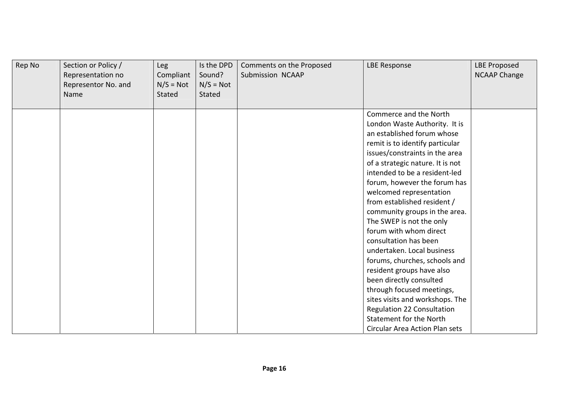| Rep No | Section or Policy /<br>Representation no<br>Representor No. and<br>Name | Leg<br>Compliant<br>$N/S = Not$<br>Stated | Is the DPD<br>Sound?<br>$N/S = Not$<br>Stated | Comments on the Proposed<br>Submission NCAAP | <b>LBE Response</b>              | <b>LBE Proposed</b><br><b>NCAAP Change</b> |
|--------|-------------------------------------------------------------------------|-------------------------------------------|-----------------------------------------------|----------------------------------------------|----------------------------------|--------------------------------------------|
|        |                                                                         |                                           |                                               |                                              | Commerce and the North           |                                            |
|        |                                                                         |                                           |                                               |                                              | London Waste Authority. It is    |                                            |
|        |                                                                         |                                           |                                               |                                              | an established forum whose       |                                            |
|        |                                                                         |                                           |                                               |                                              | remit is to identify particular  |                                            |
|        |                                                                         |                                           |                                               |                                              | issues/constraints in the area   |                                            |
|        |                                                                         |                                           |                                               |                                              | of a strategic nature. It is not |                                            |
|        |                                                                         |                                           |                                               |                                              | intended to be a resident-led    |                                            |
|        |                                                                         |                                           |                                               |                                              | forum, however the forum has     |                                            |
|        |                                                                         |                                           |                                               |                                              | welcomed representation          |                                            |
|        |                                                                         |                                           |                                               |                                              | from established resident /      |                                            |
|        |                                                                         |                                           |                                               |                                              | community groups in the area.    |                                            |
|        |                                                                         |                                           |                                               |                                              | The SWEP is not the only         |                                            |
|        |                                                                         |                                           |                                               |                                              | forum with whom direct           |                                            |
|        |                                                                         |                                           |                                               |                                              | consultation has been            |                                            |
|        |                                                                         |                                           |                                               |                                              | undertaken. Local business       |                                            |
|        |                                                                         |                                           |                                               |                                              | forums, churches, schools and    |                                            |
|        |                                                                         |                                           |                                               |                                              | resident groups have also        |                                            |
|        |                                                                         |                                           |                                               |                                              | been directly consulted          |                                            |
|        |                                                                         |                                           |                                               |                                              | through focused meetings,        |                                            |
|        |                                                                         |                                           |                                               |                                              | sites visits and workshops. The  |                                            |
|        |                                                                         |                                           |                                               |                                              | Regulation 22 Consultation       |                                            |
|        |                                                                         |                                           |                                               |                                              | Statement for the North          |                                            |
|        |                                                                         |                                           |                                               |                                              | Circular Area Action Plan sets   |                                            |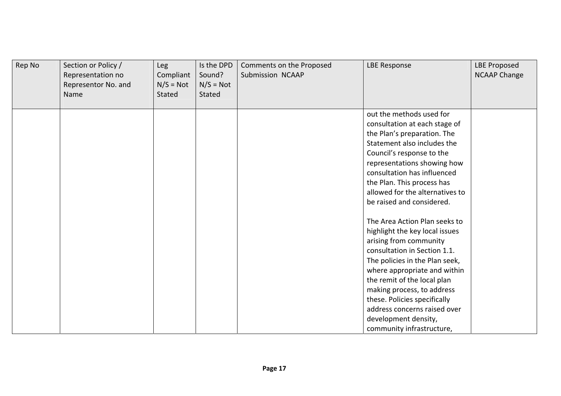| Rep No | Section or Policy /<br>Representation no<br>Representor No. and<br>Name | Leg<br>Compliant<br>$N/S = Not$<br>Stated | Is the DPD<br>Sound?<br>$N/S = Not$<br>Stated | Comments on the Proposed<br>Submission NCAAP | <b>LBE Response</b>             | <b>LBE Proposed</b><br><b>NCAAP Change</b> |
|--------|-------------------------------------------------------------------------|-------------------------------------------|-----------------------------------------------|----------------------------------------------|---------------------------------|--------------------------------------------|
|        |                                                                         |                                           |                                               |                                              | out the methods used for        |                                            |
|        |                                                                         |                                           |                                               |                                              | consultation at each stage of   |                                            |
|        |                                                                         |                                           |                                               |                                              | the Plan's preparation. The     |                                            |
|        |                                                                         |                                           |                                               |                                              | Statement also includes the     |                                            |
|        |                                                                         |                                           |                                               |                                              | Council's response to the       |                                            |
|        |                                                                         |                                           |                                               |                                              | representations showing how     |                                            |
|        |                                                                         |                                           |                                               |                                              | consultation has influenced     |                                            |
|        |                                                                         |                                           |                                               |                                              | the Plan. This process has      |                                            |
|        |                                                                         |                                           |                                               |                                              | allowed for the alternatives to |                                            |
|        |                                                                         |                                           |                                               |                                              | be raised and considered.       |                                            |
|        |                                                                         |                                           |                                               |                                              | The Area Action Plan seeks to   |                                            |
|        |                                                                         |                                           |                                               |                                              | highlight the key local issues  |                                            |
|        |                                                                         |                                           |                                               |                                              | arising from community          |                                            |
|        |                                                                         |                                           |                                               |                                              | consultation in Section 1.1.    |                                            |
|        |                                                                         |                                           |                                               |                                              | The policies in the Plan seek,  |                                            |
|        |                                                                         |                                           |                                               |                                              | where appropriate and within    |                                            |
|        |                                                                         |                                           |                                               |                                              | the remit of the local plan     |                                            |
|        |                                                                         |                                           |                                               |                                              | making process, to address      |                                            |
|        |                                                                         |                                           |                                               |                                              | these. Policies specifically    |                                            |
|        |                                                                         |                                           |                                               |                                              | address concerns raised over    |                                            |
|        |                                                                         |                                           |                                               |                                              | development density,            |                                            |
|        |                                                                         |                                           |                                               |                                              | community infrastructure,       |                                            |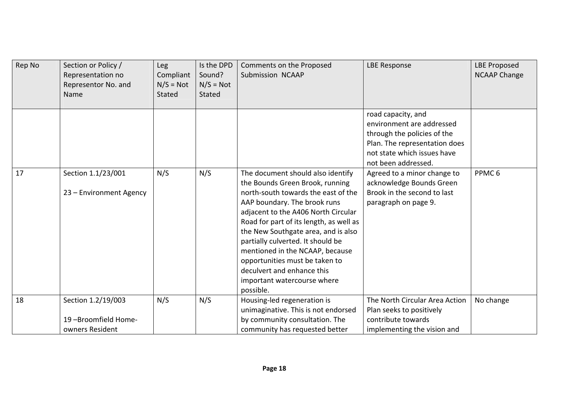| Rep No | Section or Policy /<br>Representation no<br>Representor No. and<br>Name | Leg<br>Compliant<br>$N/S = Not$<br>Stated | Is the DPD<br>Sound?<br>$N/S = Not$<br><b>Stated</b> | Comments on the Proposed<br>Submission NCAAP                                                                                                                                                                                                                                                                                                                                                                                                             | <b>LBE Response</b>                                                                                                                                                   | <b>LBE Proposed</b><br><b>NCAAP Change</b> |
|--------|-------------------------------------------------------------------------|-------------------------------------------|------------------------------------------------------|----------------------------------------------------------------------------------------------------------------------------------------------------------------------------------------------------------------------------------------------------------------------------------------------------------------------------------------------------------------------------------------------------------------------------------------------------------|-----------------------------------------------------------------------------------------------------------------------------------------------------------------------|--------------------------------------------|
|        |                                                                         |                                           |                                                      |                                                                                                                                                                                                                                                                                                                                                                                                                                                          | road capacity, and<br>environment are addressed<br>through the policies of the<br>Plan. The representation does<br>not state which issues have<br>not been addressed. |                                            |
| 17     | Section 1.1/23/001<br>23 - Environment Agency                           | N/S                                       | N/S                                                  | The document should also identify<br>the Bounds Green Brook, running<br>north-south towards the east of the<br>AAP boundary. The brook runs<br>adjacent to the A406 North Circular<br>Road for part of its length, as well as<br>the New Southgate area, and is also<br>partially culverted. It should be<br>mentioned in the NCAAP, because<br>opportunities must be taken to<br>deculvert and enhance this<br>important watercourse where<br>possible. | Agreed to a minor change to<br>acknowledge Bounds Green<br>Brook in the second to last<br>paragraph on page 9.                                                        | PPMC <sub>6</sub>                          |
| 18     | Section 1.2/19/003<br>19-Broomfield Home-<br>owners Resident            | N/S                                       | N/S                                                  | Housing-led regeneration is<br>unimaginative. This is not endorsed<br>by community consultation. The<br>community has requested better                                                                                                                                                                                                                                                                                                                   | The North Circular Area Action<br>Plan seeks to positively<br>contribute towards<br>implementing the vision and                                                       | No change                                  |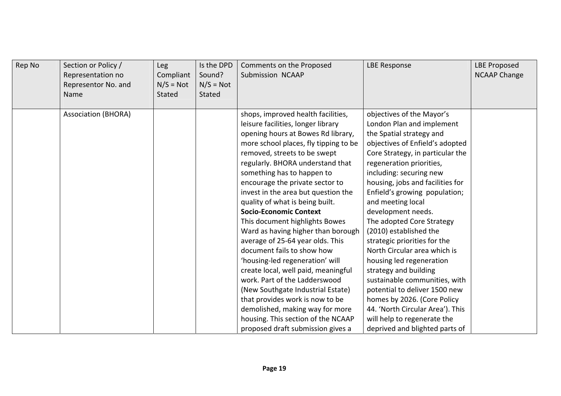| Rep No | Section or Policy /<br>Representation no<br>Representor No. and<br>Name | Leg<br>Compliant<br>$N/S = Not$<br><b>Stated</b> | Is the DPD<br>Sound?<br>$N/S = Not$<br>Stated | Comments on the Proposed<br>Submission NCAAP                                                                                                                                                                                                                                                                                                                                                                                                                                                                                                                                                                                                                                                                                                                                                                                                       | <b>LBE Response</b>                                                                                                                                                                                                                                                                                                                                                                                                                                                                                                                                                                                                                                                                                                | <b>LBE Proposed</b><br><b>NCAAP Change</b> |
|--------|-------------------------------------------------------------------------|--------------------------------------------------|-----------------------------------------------|----------------------------------------------------------------------------------------------------------------------------------------------------------------------------------------------------------------------------------------------------------------------------------------------------------------------------------------------------------------------------------------------------------------------------------------------------------------------------------------------------------------------------------------------------------------------------------------------------------------------------------------------------------------------------------------------------------------------------------------------------------------------------------------------------------------------------------------------------|--------------------------------------------------------------------------------------------------------------------------------------------------------------------------------------------------------------------------------------------------------------------------------------------------------------------------------------------------------------------------------------------------------------------------------------------------------------------------------------------------------------------------------------------------------------------------------------------------------------------------------------------------------------------------------------------------------------------|--------------------------------------------|
|        | <b>Association (BHORA)</b>                                              |                                                  |                                               | shops, improved health facilities,<br>leisure facilities, longer library<br>opening hours at Bowes Rd library,<br>more school places, fly tipping to be<br>removed, streets to be swept<br>regularly. BHORA understand that<br>something has to happen to<br>encourage the private sector to<br>invest in the area but question the<br>quality of what is being built.<br><b>Socio-Economic Context</b><br>This document highlights Bowes<br>Ward as having higher than borough<br>average of 25-64 year olds. This<br>document fails to show how<br>'housing-led regeneration' will<br>create local, well paid, meaningful<br>work. Part of the Ladderswood<br>(New Southgate Industrial Estate)<br>that provides work is now to be<br>demolished, making way for more<br>housing. This section of the NCAAP<br>proposed draft submission gives a | objectives of the Mayor's<br>London Plan and implement<br>the Spatial strategy and<br>objectives of Enfield's adopted<br>Core Strategy, in particular the<br>regeneration priorities,<br>including: securing new<br>housing, jobs and facilities for<br>Enfield's growing population;<br>and meeting local<br>development needs.<br>The adopted Core Strategy<br>(2010) established the<br>strategic priorities for the<br>North Circular area which is<br>housing led regeneration<br>strategy and building<br>sustainable communities, with<br>potential to deliver 1500 new<br>homes by 2026. (Core Policy<br>44. 'North Circular Area'). This<br>will help to regenerate the<br>deprived and blighted parts of |                                            |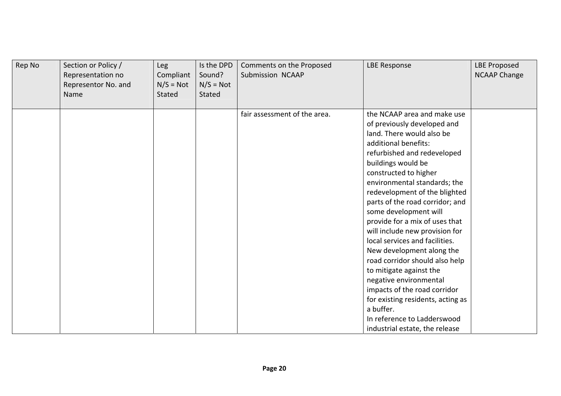| Rep No | Section or Policy /<br>Representation no<br>Representor No. and<br>Name | <b>Leg</b><br>Compliant<br>$N/S = Not$<br>Stated | Is the DPD<br>Sound?<br>$N/S = Not$<br><b>Stated</b> | Comments on the Proposed<br>Submission NCAAP | <b>LBE Response</b>                                                                                                                                                                                                                                                                                                                                                                                                                                                                                                                                                                                                                                                                                     | <b>LBE Proposed</b><br><b>NCAAP Change</b> |
|--------|-------------------------------------------------------------------------|--------------------------------------------------|------------------------------------------------------|----------------------------------------------|---------------------------------------------------------------------------------------------------------------------------------------------------------------------------------------------------------------------------------------------------------------------------------------------------------------------------------------------------------------------------------------------------------------------------------------------------------------------------------------------------------------------------------------------------------------------------------------------------------------------------------------------------------------------------------------------------------|--------------------------------------------|
|        |                                                                         |                                                  |                                                      | fair assessment of the area.                 | the NCAAP area and make use<br>of previously developed and<br>land. There would also be<br>additional benefits:<br>refurbished and redeveloped<br>buildings would be<br>constructed to higher<br>environmental standards; the<br>redevelopment of the blighted<br>parts of the road corridor; and<br>some development will<br>provide for a mix of uses that<br>will include new provision for<br>local services and facilities.<br>New development along the<br>road corridor should also help<br>to mitigate against the<br>negative environmental<br>impacts of the road corridor<br>for existing residents, acting as<br>a buffer.<br>In reference to Ladderswood<br>industrial estate, the release |                                            |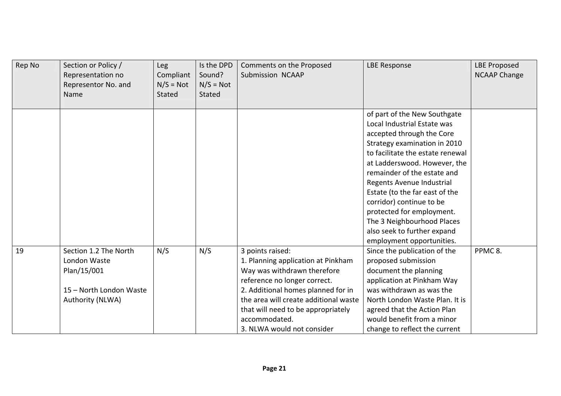| Rep No | Section or Policy /<br>Representation no<br>Representor No. and<br>Name | Leg<br>Compliant<br>$N/S = Not$<br>Stated | Is the DPD<br>Sound?<br>$N/S = Not$<br>Stated | Comments on the Proposed<br>Submission NCAAP | <b>LBE Response</b>              | <b>LBE Proposed</b><br><b>NCAAP Change</b> |
|--------|-------------------------------------------------------------------------|-------------------------------------------|-----------------------------------------------|----------------------------------------------|----------------------------------|--------------------------------------------|
|        |                                                                         |                                           |                                               |                                              | of part of the New Southgate     |                                            |
|        |                                                                         |                                           |                                               |                                              | Local Industrial Estate was      |                                            |
|        |                                                                         |                                           |                                               |                                              | accepted through the Core        |                                            |
|        |                                                                         |                                           |                                               |                                              | Strategy examination in 2010     |                                            |
|        |                                                                         |                                           |                                               |                                              | to facilitate the estate renewal |                                            |
|        |                                                                         |                                           |                                               |                                              | at Ladderswood. However, the     |                                            |
|        |                                                                         |                                           |                                               |                                              | remainder of the estate and      |                                            |
|        |                                                                         |                                           |                                               |                                              | Regents Avenue Industrial        |                                            |
|        |                                                                         |                                           |                                               |                                              | Estate (to the far east of the   |                                            |
|        |                                                                         |                                           |                                               |                                              | corridor) continue to be         |                                            |
|        |                                                                         |                                           |                                               |                                              | protected for employment.        |                                            |
|        |                                                                         |                                           |                                               |                                              | The 3 Neighbourhood Places       |                                            |
|        |                                                                         |                                           |                                               |                                              | also seek to further expand      |                                            |
|        |                                                                         |                                           |                                               |                                              | employment opportunities.        |                                            |
| 19     | Section 1.2 The North                                                   | N/S                                       | N/S                                           | 3 points raised:                             | Since the publication of the     | PPMC <sub>8</sub> .                        |
|        | London Waste                                                            |                                           |                                               | 1. Planning application at Pinkham           | proposed submission              |                                            |
|        | Plan/15/001                                                             |                                           |                                               | Way was withdrawn therefore                  | document the planning            |                                            |
|        |                                                                         |                                           |                                               | reference no longer correct.                 | application at Pinkham Way       |                                            |
|        | 15 - North London Waste                                                 |                                           |                                               | 2. Additional homes planned for in           | was withdrawn as was the         |                                            |
|        | Authority (NLWA)                                                        |                                           |                                               | the area will create additional waste        | North London Waste Plan. It is   |                                            |
|        |                                                                         |                                           |                                               | that will need to be appropriately           | agreed that the Action Plan      |                                            |
|        |                                                                         |                                           |                                               | accommodated.                                | would benefit from a minor       |                                            |
|        |                                                                         |                                           |                                               | 3. NLWA would not consider                   | change to reflect the current    |                                            |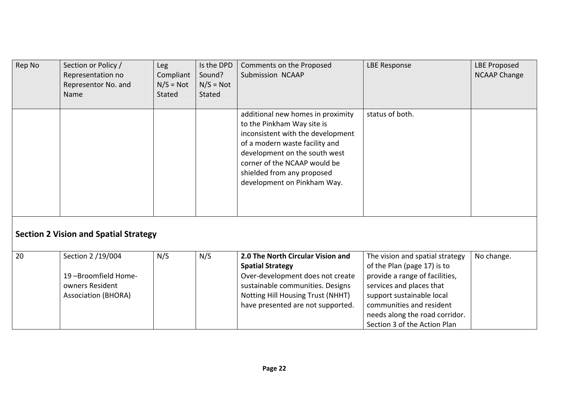| Rep No | Section or Policy /<br>Representation no<br>Representor No. and<br>Name                   | <b>Leg</b><br>Compliant<br>$N/S = Not$<br>Stated | Is the DPD<br>Sound?<br>$N/S = Not$<br><b>Stated</b> | Comments on the Proposed<br>Submission NCAAP                                                                                                                                                                                                                         | <b>LBE Response</b>                                                                                                                                                                                                                                     | <b>LBE Proposed</b><br><b>NCAAP Change</b> |
|--------|-------------------------------------------------------------------------------------------|--------------------------------------------------|------------------------------------------------------|----------------------------------------------------------------------------------------------------------------------------------------------------------------------------------------------------------------------------------------------------------------------|---------------------------------------------------------------------------------------------------------------------------------------------------------------------------------------------------------------------------------------------------------|--------------------------------------------|
|        |                                                                                           |                                                  |                                                      | additional new homes in proximity<br>to the Pinkham Way site is<br>inconsistent with the development<br>of a modern waste facility and<br>development on the south west<br>corner of the NCAAP would be<br>shielded from any proposed<br>development on Pinkham Way. | status of both.                                                                                                                                                                                                                                         |                                            |
|        | <b>Section 2 Vision and Spatial Strategy</b>                                              |                                                  |                                                      |                                                                                                                                                                                                                                                                      |                                                                                                                                                                                                                                                         |                                            |
| 20     | Section 2 /19/004<br>19-Broomfield Home-<br>owners Resident<br><b>Association (BHORA)</b> | N/S                                              | N/S                                                  | 2.0 The North Circular Vision and<br><b>Spatial Strategy</b><br>Over-development does not create<br>sustainable communities. Designs<br>Notting Hill Housing Trust (NHHT)<br>have presented are not supported.                                                       | The vision and spatial strategy<br>of the Plan (page 17) is to<br>provide a range of facilities,<br>services and places that<br>support sustainable local<br>communities and resident<br>needs along the road corridor.<br>Section 3 of the Action Plan | No change.                                 |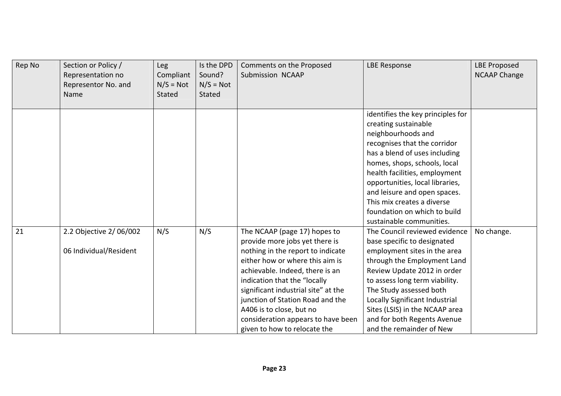| Rep No | Section or Policy /<br>Representation no<br>Representor No. and<br>Name | Leg<br>Compliant<br>$N/S = Not$<br>Stated | Is the DPD<br>Sound?<br>$N/S = Not$<br>Stated | Comments on the Proposed<br>Submission NCAAP                                                                                                                                                                                                                                                                                                                                           | <b>LBE Response</b>                                                                                                                                                                                                                                                                                                                                                            | <b>LBE Proposed</b><br><b>NCAAP Change</b> |
|--------|-------------------------------------------------------------------------|-------------------------------------------|-----------------------------------------------|----------------------------------------------------------------------------------------------------------------------------------------------------------------------------------------------------------------------------------------------------------------------------------------------------------------------------------------------------------------------------------------|--------------------------------------------------------------------------------------------------------------------------------------------------------------------------------------------------------------------------------------------------------------------------------------------------------------------------------------------------------------------------------|--------------------------------------------|
|        |                                                                         |                                           |                                               |                                                                                                                                                                                                                                                                                                                                                                                        | identifies the key principles for<br>creating sustainable<br>neighbourhoods and<br>recognises that the corridor<br>has a blend of uses including<br>homes, shops, schools, local<br>health facilities, employment<br>opportunities, local libraries,<br>and leisure and open spaces.<br>This mix creates a diverse<br>foundation on which to build<br>sustainable communities. |                                            |
| 21     | 2.2 Objective 2/06/002<br>06 Individual/Resident                        | N/S                                       | N/S                                           | The NCAAP (page 17) hopes to<br>provide more jobs yet there is<br>nothing in the report to indicate<br>either how or where this aim is<br>achievable. Indeed, there is an<br>indication that the "locally<br>significant industrial site" at the<br>junction of Station Road and the<br>A406 is to close, but no<br>consideration appears to have been<br>given to how to relocate the | The Council reviewed evidence<br>base specific to designated<br>employment sites in the area<br>through the Employment Land<br>Review Update 2012 in order<br>to assess long term viability.<br>The Study assessed both<br>Locally Significant Industrial<br>Sites (LSIS) in the NCAAP area<br>and for both Regents Avenue<br>and the remainder of New                         | No change.                                 |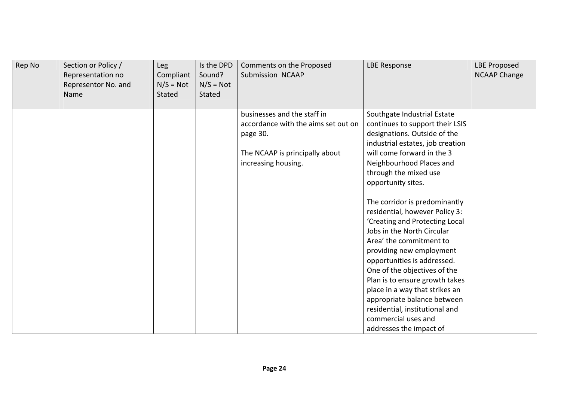| Rep No | Section or Policy /<br>Representation no<br>Representor No. and<br>Name | Leg<br>Compliant<br>$N/S = Not$<br>Stated | Is the DPD<br>Sound?<br>$N/S = Not$<br>Stated | Comments on the Proposed<br>Submission NCAAP                                                                                            | <b>LBE Response</b>                                                                                                                                                                                                                                                                                                                                                                                                                                                                                  | <b>LBE Proposed</b><br><b>NCAAP Change</b> |
|--------|-------------------------------------------------------------------------|-------------------------------------------|-----------------------------------------------|-----------------------------------------------------------------------------------------------------------------------------------------|------------------------------------------------------------------------------------------------------------------------------------------------------------------------------------------------------------------------------------------------------------------------------------------------------------------------------------------------------------------------------------------------------------------------------------------------------------------------------------------------------|--------------------------------------------|
|        |                                                                         |                                           |                                               | businesses and the staff in<br>accordance with the aims set out on<br>page 30.<br>The NCAAP is principally about<br>increasing housing. | Southgate Industrial Estate<br>continues to support their LSIS<br>designations. Outside of the<br>industrial estates, job creation<br>will come forward in the 3<br>Neighbourhood Places and<br>through the mixed use<br>opportunity sites.<br>The corridor is predominantly<br>residential, however Policy 3:<br>'Creating and Protecting Local<br>Jobs in the North Circular<br>Area' the commitment to<br>providing new employment<br>opportunities is addressed.<br>One of the objectives of the |                                            |
|        |                                                                         |                                           |                                               |                                                                                                                                         | Plan is to ensure growth takes<br>place in a way that strikes an<br>appropriate balance between<br>residential, institutional and<br>commercial uses and<br>addresses the impact of                                                                                                                                                                                                                                                                                                                  |                                            |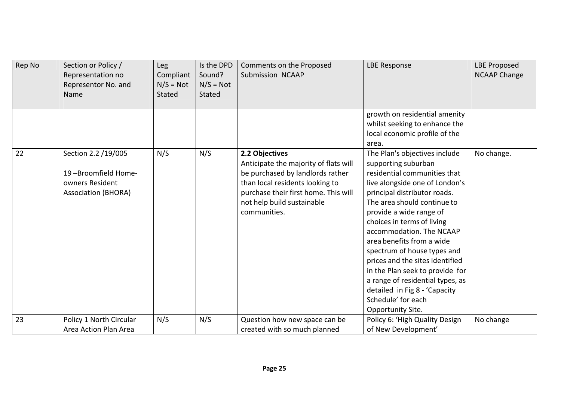| Rep No | Section or Policy /<br>Representation no<br>Representor No. and<br>Name                     | Leg<br>Compliant<br>$N/S = Not$<br>Stated | Is the DPD<br>Sound?<br>$N/S = Not$<br>Stated | Comments on the Proposed<br><b>Submission NCAAP</b>                                                                                                                                                                  | <b>LBE Response</b>                                                                                                                                                                                                                                                                                                                                                                                                                                                                                                          | <b>LBE Proposed</b><br><b>NCAAP Change</b> |
|--------|---------------------------------------------------------------------------------------------|-------------------------------------------|-----------------------------------------------|----------------------------------------------------------------------------------------------------------------------------------------------------------------------------------------------------------------------|------------------------------------------------------------------------------------------------------------------------------------------------------------------------------------------------------------------------------------------------------------------------------------------------------------------------------------------------------------------------------------------------------------------------------------------------------------------------------------------------------------------------------|--------------------------------------------|
|        |                                                                                             |                                           |                                               |                                                                                                                                                                                                                      | growth on residential amenity<br>whilst seeking to enhance the<br>local economic profile of the<br>area.                                                                                                                                                                                                                                                                                                                                                                                                                     |                                            |
| 22     | Section 2.2 /19/005<br>19-Broomfield Home-<br>owners Resident<br><b>Association (BHORA)</b> | N/S                                       | N/S                                           | 2.2 Objectives<br>Anticipate the majority of flats will<br>be purchased by landlords rather<br>than local residents looking to<br>purchase their first home. This will<br>not help build sustainable<br>communities. | The Plan's objectives include<br>supporting suburban<br>residential communities that<br>live alongside one of London's<br>principal distributor roads.<br>The area should continue to<br>provide a wide range of<br>choices in terms of living<br>accommodation. The NCAAP<br>area benefits from a wide<br>spectrum of house types and<br>prices and the sites identified<br>in the Plan seek to provide for<br>a range of residential types, as<br>detailed in Fig 8 - 'Capacity<br>Schedule' for each<br>Opportunity Site. | No change.                                 |
| 23     | Policy 1 North Circular<br>Area Action Plan Area                                            | N/S                                       | N/S                                           | Question how new space can be<br>created with so much planned                                                                                                                                                        | Policy 6: 'High Quality Design<br>of New Development'                                                                                                                                                                                                                                                                                                                                                                                                                                                                        | No change                                  |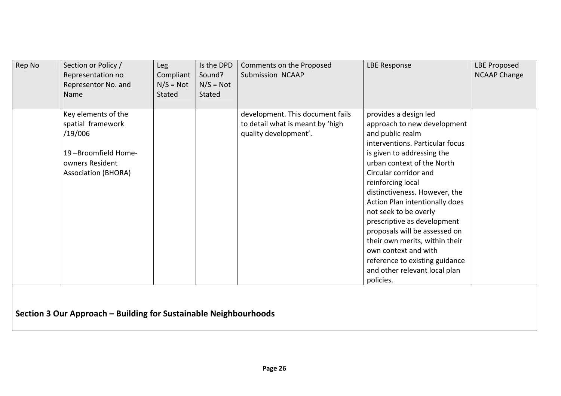| Rep No | Section or Policy /        | Leg         | Is the DPD    | Comments on the Proposed         | <b>LBE Response</b>             | <b>LBE Proposed</b> |
|--------|----------------------------|-------------|---------------|----------------------------------|---------------------------------|---------------------|
|        | Representation no          | Compliant   | Sound?        | Submission NCAAP                 |                                 | <b>NCAAP Change</b> |
|        | Representor No. and        | $N/S = Not$ | $N/S = Not$   |                                  |                                 |                     |
|        | Name                       | Stated      | <b>Stated</b> |                                  |                                 |                     |
|        |                            |             |               |                                  |                                 |                     |
|        | Key elements of the        |             |               | development. This document fails | provides a design led           |                     |
|        | spatial framework          |             |               | to detail what is meant by 'high | approach to new development     |                     |
|        | /19/006                    |             |               | quality development'.            | and public realm                |                     |
|        |                            |             |               |                                  | interventions. Particular focus |                     |
|        | 19-Broomfield Home-        |             |               |                                  | is given to addressing the      |                     |
|        | owners Resident            |             |               |                                  | urban context of the North      |                     |
|        | <b>Association (BHORA)</b> |             |               |                                  | Circular corridor and           |                     |
|        |                            |             |               |                                  | reinforcing local               |                     |
|        |                            |             |               |                                  | distinctiveness. However, the   |                     |
|        |                            |             |               |                                  | Action Plan intentionally does  |                     |
|        |                            |             |               |                                  | not seek to be overly           |                     |
|        |                            |             |               |                                  | prescriptive as development     |                     |
|        |                            |             |               |                                  | proposals will be assessed on   |                     |
|        |                            |             |               |                                  | their own merits, within their  |                     |
|        |                            |             |               |                                  | own context and with            |                     |
|        |                            |             |               |                                  | reference to existing guidance  |                     |
|        |                            |             |               |                                  | and other relevant local plan   |                     |
|        |                            |             |               |                                  | policies.                       |                     |
|        |                            |             |               |                                  |                                 |                     |

**Section 3 Our Approach – Building for Sustainable Neighbourhoods**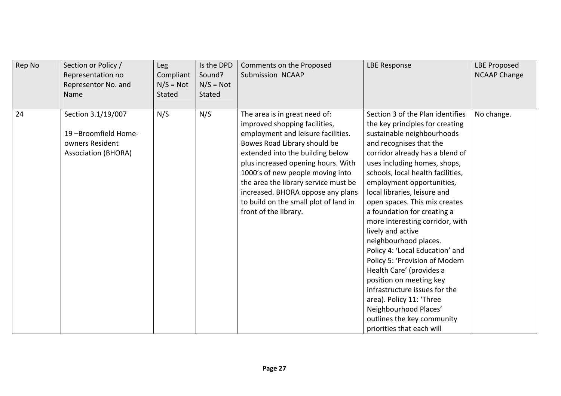| Rep No | Section or Policy /<br>Representation no<br>Representor No. and<br>Name                    | Leg<br>Compliant<br>$N/S = Not$<br>Stated | Is the DPD<br>Sound?<br>$N/S = Not$<br><b>Stated</b> | Comments on the Proposed<br>Submission NCAAP                                                                                                                                                                                                                                                                                                                                                      | <b>LBE Response</b>                                                                                                                                                                                                                                                                                                                                                                                                                                                                                                                                                                                                                                                                                                             | <b>LBE Proposed</b><br><b>NCAAP Change</b> |
|--------|--------------------------------------------------------------------------------------------|-------------------------------------------|------------------------------------------------------|---------------------------------------------------------------------------------------------------------------------------------------------------------------------------------------------------------------------------------------------------------------------------------------------------------------------------------------------------------------------------------------------------|---------------------------------------------------------------------------------------------------------------------------------------------------------------------------------------------------------------------------------------------------------------------------------------------------------------------------------------------------------------------------------------------------------------------------------------------------------------------------------------------------------------------------------------------------------------------------------------------------------------------------------------------------------------------------------------------------------------------------------|--------------------------------------------|
| 24     | Section 3.1/19/007<br>19-Broomfield Home-<br>owners Resident<br><b>Association (BHORA)</b> | N/S                                       | N/S                                                  | The area is in great need of:<br>improved shopping facilities,<br>employment and leisure facilities.<br>Bowes Road Library should be<br>extended into the building below<br>plus increased opening hours. With<br>1000's of new people moving into<br>the area the library service must be<br>increased. BHORA oppose any plans<br>to build on the small plot of land in<br>front of the library. | Section 3 of the Plan identifies<br>the key principles for creating<br>sustainable neighbourhoods<br>and recognises that the<br>corridor already has a blend of<br>uses including homes, shops,<br>schools, local health facilities,<br>employment opportunities,<br>local libraries, leisure and<br>open spaces. This mix creates<br>a foundation for creating a<br>more interesting corridor, with<br>lively and active<br>neighbourhood places.<br>Policy 4: 'Local Education' and<br>Policy 5: 'Provision of Modern<br>Health Care' (provides a<br>position on meeting key<br>infrastructure issues for the<br>area). Policy 11: 'Three<br>Neighbourhood Places'<br>outlines the key community<br>priorities that each will | No change.                                 |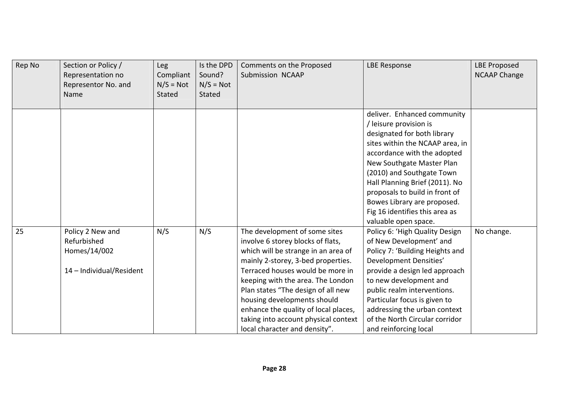| Rep No | Section or Policy /<br>Representation no<br>Representor No. and<br>Name     | Leg<br>Compliant<br>$N/S = Not$<br><b>Stated</b> | Is the DPD<br>Sound?<br>$N/S = Not$<br><b>Stated</b> | Comments on the Proposed<br>Submission NCAAP                                                                                                                                                                                                                                                                                                                                                                   | <b>LBE Response</b>                                                                                                                                                                                                                                                                                                                                                           | <b>LBE Proposed</b><br><b>NCAAP Change</b> |
|--------|-----------------------------------------------------------------------------|--------------------------------------------------|------------------------------------------------------|----------------------------------------------------------------------------------------------------------------------------------------------------------------------------------------------------------------------------------------------------------------------------------------------------------------------------------------------------------------------------------------------------------------|-------------------------------------------------------------------------------------------------------------------------------------------------------------------------------------------------------------------------------------------------------------------------------------------------------------------------------------------------------------------------------|--------------------------------------------|
|        |                                                                             |                                                  |                                                      |                                                                                                                                                                                                                                                                                                                                                                                                                | deliver. Enhanced community<br>/ leisure provision is<br>designated for both library<br>sites within the NCAAP area, in<br>accordance with the adopted<br>New Southgate Master Plan<br>(2010) and Southgate Town<br>Hall Planning Brief (2011). No<br>proposals to build in front of<br>Bowes Library are proposed.<br>Fig 16 identifies this area as<br>valuable open space. |                                            |
| 25     | Policy 2 New and<br>Refurbished<br>Homes/14/002<br>14 - Individual/Resident | N/S                                              | N/S                                                  | The development of some sites<br>involve 6 storey blocks of flats,<br>which will be strange in an area of<br>mainly 2-storey, 3-bed properties.<br>Terraced houses would be more in<br>keeping with the area. The London<br>Plan states "The design of all new<br>housing developments should<br>enhance the quality of local places,<br>taking into account physical context<br>local character and density". | Policy 6: 'High Quality Design<br>of New Development' and<br>Policy 7: 'Building Heights and<br>Development Densities'<br>provide a design led approach<br>to new development and<br>public realm interventions.<br>Particular focus is given to<br>addressing the urban context<br>of the North Circular corridor<br>and reinforcing local                                   | No change.                                 |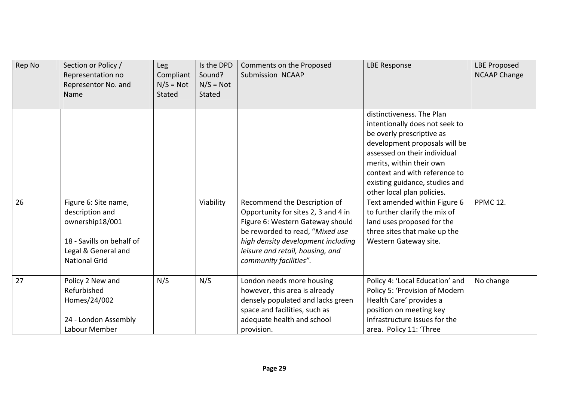| Rep No | Section or Policy /<br>Representation no<br>Representor No. and<br>Name                                                                | <b>Leg</b><br>Compliant<br>$N/S = Not$<br><b>Stated</b> | Is the DPD<br>Sound?<br>$N/S = Not$<br><b>Stated</b> | Comments on the Proposed<br>Submission NCAAP                                                                                                                                                                                                   | <b>LBE Response</b>                                                                                                                                                                                                                                                                                                                                                                                                                            | <b>LBE Proposed</b><br><b>NCAAP Change</b> |
|--------|----------------------------------------------------------------------------------------------------------------------------------------|---------------------------------------------------------|------------------------------------------------------|------------------------------------------------------------------------------------------------------------------------------------------------------------------------------------------------------------------------------------------------|------------------------------------------------------------------------------------------------------------------------------------------------------------------------------------------------------------------------------------------------------------------------------------------------------------------------------------------------------------------------------------------------------------------------------------------------|--------------------------------------------|
| 26     | Figure 6: Site name,<br>description and<br>ownership18/001<br>18 - Savills on behalf of<br>Legal & General and<br><b>National Grid</b> |                                                         | Viability                                            | Recommend the Description of<br>Opportunity for sites 2, 3 and 4 in<br>Figure 6: Western Gateway should<br>be reworded to read, "Mixed use<br>high density development including<br>leisure and retail, housing, and<br>community facilities". | distinctiveness. The Plan<br>intentionally does not seek to<br>be overly prescriptive as<br>development proposals will be<br>assessed on their individual<br>merits, within their own<br>context and with reference to<br>existing guidance, studies and<br>other local plan policies.<br>Text amended within Figure 6<br>to further clarify the mix of<br>land uses proposed for the<br>three sites that make up the<br>Western Gateway site. | <b>PPMC 12.</b>                            |
| 27     | Policy 2 New and<br>Refurbished<br>Homes/24/002<br>24 - London Assembly<br>Labour Member                                               | N/S                                                     | N/S                                                  | London needs more housing<br>however, this area is already<br>densely populated and lacks green<br>space and facilities, such as<br>adequate health and school<br>provision.                                                                   | Policy 4: 'Local Education' and<br>Policy 5: 'Provision of Modern<br>Health Care' provides a<br>position on meeting key<br>infrastructure issues for the<br>area. Policy 11: 'Three                                                                                                                                                                                                                                                            | No change                                  |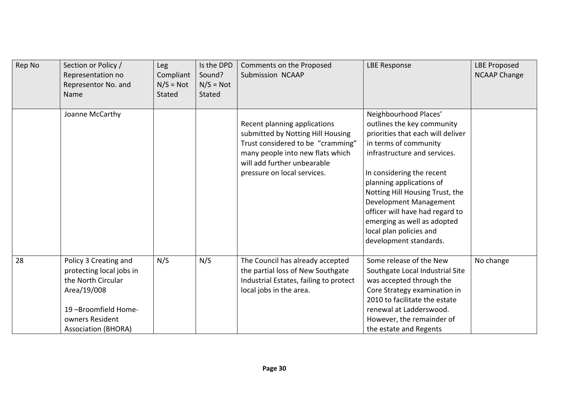| Rep No | Section or Policy /<br>Representation no<br>Representor No. and<br>Name                                                                                        | <b>Leg</b><br>Compliant<br>$N/S = Not$<br><b>Stated</b> | Is the DPD<br>Sound?<br>$N/S = Not$<br><b>Stated</b> | Comments on the Proposed<br>Submission NCAAP                                                                                                                                                             | <b>LBE Response</b>                                                                                                                                                                                                                                                                                                                                                                            | <b>LBE Proposed</b><br><b>NCAAP Change</b> |
|--------|----------------------------------------------------------------------------------------------------------------------------------------------------------------|---------------------------------------------------------|------------------------------------------------------|----------------------------------------------------------------------------------------------------------------------------------------------------------------------------------------------------------|------------------------------------------------------------------------------------------------------------------------------------------------------------------------------------------------------------------------------------------------------------------------------------------------------------------------------------------------------------------------------------------------|--------------------------------------------|
|        | Joanne McCarthy                                                                                                                                                |                                                         |                                                      | Recent planning applications<br>submitted by Notting Hill Housing<br>Trust considered to be "cramming"<br>many people into new flats which<br>will add further unbearable<br>pressure on local services. | Neighbourhood Places'<br>outlines the key community<br>priorities that each will deliver<br>in terms of community<br>infrastructure and services.<br>In considering the recent<br>planning applications of<br>Notting Hill Housing Trust, the<br>Development Management<br>officer will have had regard to<br>emerging as well as adopted<br>local plan policies and<br>development standards. |                                            |
| 28     | Policy 3 Creating and<br>protecting local jobs in<br>the North Circular<br>Area/19/008<br>19-Broomfield Home-<br>owners Resident<br><b>Association (BHORA)</b> | N/S                                                     | N/S                                                  | The Council has already accepted<br>the partial loss of New Southgate<br>Industrial Estates, failing to protect<br>local jobs in the area.                                                               | Some release of the New<br>Southgate Local Industrial Site<br>was accepted through the<br>Core Strategy examination in<br>2010 to facilitate the estate<br>renewal at Ladderswood.<br>However, the remainder of<br>the estate and Regents                                                                                                                                                      | No change                                  |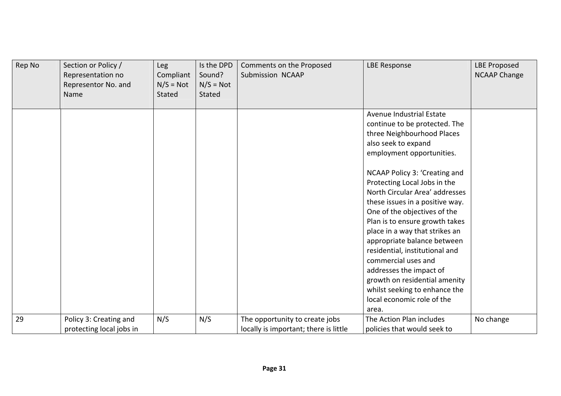| Rep No | Section or Policy /<br>Representation no<br>Representor No. and<br>Name | <b>Leg</b><br>Compliant<br>$N/S = Not$<br><b>Stated</b> | Is the DPD<br>Sound?<br>$N/S = Not$<br>Stated | Comments on the Proposed<br>Submission NCAAP                            | <b>LBE Response</b>                                                                                                                                                                                                                                                                                                                                             | <b>LBE Proposed</b><br><b>NCAAP Change</b> |
|--------|-------------------------------------------------------------------------|---------------------------------------------------------|-----------------------------------------------|-------------------------------------------------------------------------|-----------------------------------------------------------------------------------------------------------------------------------------------------------------------------------------------------------------------------------------------------------------------------------------------------------------------------------------------------------------|--------------------------------------------|
|        |                                                                         |                                                         |                                               |                                                                         | Avenue Industrial Estate<br>continue to be protected. The<br>three Neighbourhood Places<br>also seek to expand<br>employment opportunities.<br>NCAAP Policy 3: 'Creating and<br>Protecting Local Jobs in the<br>North Circular Area' addresses                                                                                                                  |                                            |
|        |                                                                         |                                                         |                                               |                                                                         | these issues in a positive way.<br>One of the objectives of the<br>Plan is to ensure growth takes<br>place in a way that strikes an<br>appropriate balance between<br>residential, institutional and<br>commercial uses and<br>addresses the impact of<br>growth on residential amenity<br>whilst seeking to enhance the<br>local economic role of the<br>area. |                                            |
| 29     | Policy 3: Creating and<br>protecting local jobs in                      | N/S                                                     | N/S                                           | The opportunity to create jobs<br>locally is important; there is little | The Action Plan includes<br>policies that would seek to                                                                                                                                                                                                                                                                                                         | No change                                  |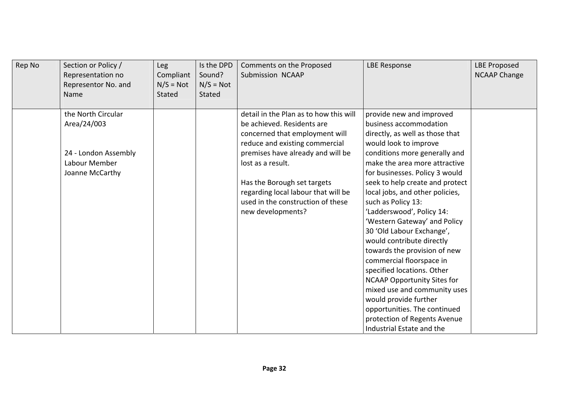| Rep No | Section or Policy /<br>Representation no<br>Representor No. and<br>Name | Leg<br>Compliant<br>$N/S = Not$<br><b>Stated</b> | Is the DPD<br>Sound?<br>$N/S = Not$<br>Stated | Comments on the Proposed<br>Submission NCAAP | <b>LBE Response</b>                | <b>LBE Proposed</b><br><b>NCAAP Change</b> |
|--------|-------------------------------------------------------------------------|--------------------------------------------------|-----------------------------------------------|----------------------------------------------|------------------------------------|--------------------------------------------|
|        | the North Circular                                                      |                                                  |                                               | detail in the Plan as to how this will       | provide new and improved           |                                            |
|        | Area/24/003                                                             |                                                  |                                               | be achieved. Residents are                   | business accommodation             |                                            |
|        |                                                                         |                                                  |                                               | concerned that employment will               | directly, as well as those that    |                                            |
|        |                                                                         |                                                  |                                               | reduce and existing commercial               | would look to improve              |                                            |
|        | 24 - London Assembly                                                    |                                                  |                                               | premises have already and will be            | conditions more generally and      |                                            |
|        | Labour Member                                                           |                                                  |                                               | lost as a result.                            | make the area more attractive      |                                            |
|        | Joanne McCarthy                                                         |                                                  |                                               |                                              | for businesses. Policy 3 would     |                                            |
|        |                                                                         |                                                  |                                               | Has the Borough set targets                  | seek to help create and protect    |                                            |
|        |                                                                         |                                                  |                                               | regarding local labour that will be          | local jobs, and other policies,    |                                            |
|        |                                                                         |                                                  |                                               | used in the construction of these            | such as Policy 13:                 |                                            |
|        |                                                                         |                                                  |                                               | new developments?                            | 'Ladderswood', Policy 14:          |                                            |
|        |                                                                         |                                                  |                                               |                                              | 'Western Gateway' and Policy       |                                            |
|        |                                                                         |                                                  |                                               |                                              | 30 'Old Labour Exchange',          |                                            |
|        |                                                                         |                                                  |                                               |                                              | would contribute directly          |                                            |
|        |                                                                         |                                                  |                                               |                                              | towards the provision of new       |                                            |
|        |                                                                         |                                                  |                                               |                                              | commercial floorspace in           |                                            |
|        |                                                                         |                                                  |                                               |                                              | specified locations. Other         |                                            |
|        |                                                                         |                                                  |                                               |                                              | <b>NCAAP Opportunity Sites for</b> |                                            |
|        |                                                                         |                                                  |                                               |                                              | mixed use and community uses       |                                            |
|        |                                                                         |                                                  |                                               |                                              | would provide further              |                                            |
|        |                                                                         |                                                  |                                               |                                              | opportunities. The continued       |                                            |
|        |                                                                         |                                                  |                                               |                                              | protection of Regents Avenue       |                                            |
|        |                                                                         |                                                  |                                               |                                              | Industrial Estate and the          |                                            |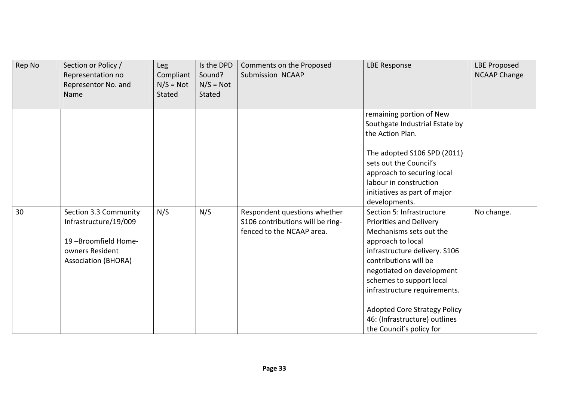| Rep No | Section or Policy /<br>Representation no<br>Representor No. and<br>Name                                                | <b>Leg</b><br>Compliant<br>$N/S = Not$<br><b>Stated</b> | Is the DPD<br>Sound?<br>$N/S = Not$<br><b>Stated</b> | Comments on the Proposed<br>Submission NCAAP                                                  | <b>LBE Response</b>                                                                                                                                                                                                                                                                                                                                                | <b>LBE Proposed</b><br><b>NCAAP Change</b> |
|--------|------------------------------------------------------------------------------------------------------------------------|---------------------------------------------------------|------------------------------------------------------|-----------------------------------------------------------------------------------------------|--------------------------------------------------------------------------------------------------------------------------------------------------------------------------------------------------------------------------------------------------------------------------------------------------------------------------------------------------------------------|--------------------------------------------|
|        |                                                                                                                        |                                                         |                                                      |                                                                                               | remaining portion of New<br>Southgate Industrial Estate by<br>the Action Plan.<br>The adopted S106 SPD (2011)<br>sets out the Council's<br>approach to securing local<br>labour in construction<br>initiatives as part of major<br>developments.                                                                                                                   |                                            |
| 30     | Section 3.3 Community<br>Infrastructure/19/009<br>19-Broomfield Home-<br>owners Resident<br><b>Association (BHORA)</b> | N/S                                                     | N/S                                                  | Respondent questions whether<br>S106 contributions will be ring-<br>fenced to the NCAAP area. | Section 5: Infrastructure<br><b>Priorities and Delivery</b><br>Mechanisms sets out the<br>approach to local<br>infrastructure delivery. S106<br>contributions will be<br>negotiated on development<br>schemes to support local<br>infrastructure requirements.<br><b>Adopted Core Strategy Policy</b><br>46: (Infrastructure) outlines<br>the Council's policy for | No change.                                 |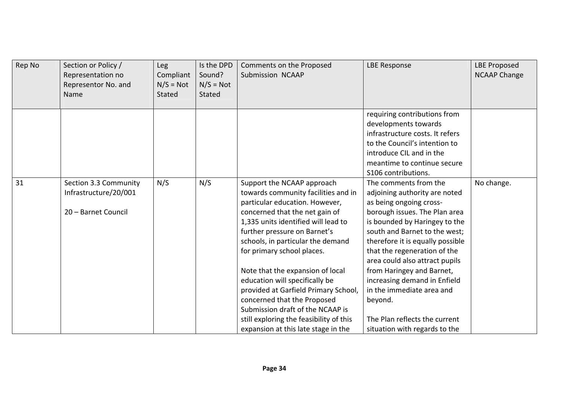| Rep No | Section or Policy /<br>Representation no<br>Representor No. and<br>Name | <b>Leg</b><br>Compliant<br>$N/S = Not$<br><b>Stated</b> | Is the DPD<br>Sound?<br>$N/S = Not$<br><b>Stated</b> | Comments on the Proposed<br>Submission NCAAP                                                                                                                                                                                                                                                                                                                                                                                                                                                                                                       | <b>LBE Response</b>                                                                                                                                                                                                                                                                                                                                                                                                                                               | <b>LBE Proposed</b><br><b>NCAAP Change</b> |
|--------|-------------------------------------------------------------------------|---------------------------------------------------------|------------------------------------------------------|----------------------------------------------------------------------------------------------------------------------------------------------------------------------------------------------------------------------------------------------------------------------------------------------------------------------------------------------------------------------------------------------------------------------------------------------------------------------------------------------------------------------------------------------------|-------------------------------------------------------------------------------------------------------------------------------------------------------------------------------------------------------------------------------------------------------------------------------------------------------------------------------------------------------------------------------------------------------------------------------------------------------------------|--------------------------------------------|
|        |                                                                         |                                                         |                                                      |                                                                                                                                                                                                                                                                                                                                                                                                                                                                                                                                                    | requiring contributions from<br>developments towards<br>infrastructure costs. It refers<br>to the Council's intention to<br>introduce CIL and in the<br>meantime to continue secure<br>S106 contributions.                                                                                                                                                                                                                                                        |                                            |
| 31     | Section 3.3 Community<br>Infrastructure/20/001<br>20 - Barnet Council   | N/S                                                     | N/S                                                  | Support the NCAAP approach<br>towards community facilities and in<br>particular education. However,<br>concerned that the net gain of<br>1,335 units identified will lead to<br>further pressure on Barnet's<br>schools, in particular the demand<br>for primary school places.<br>Note that the expansion of local<br>education will specifically be<br>provided at Garfield Primary School,<br>concerned that the Proposed<br>Submission draft of the NCAAP is<br>still exploring the feasibility of this<br>expansion at this late stage in the | The comments from the<br>adjoining authority are noted<br>as being ongoing cross-<br>borough issues. The Plan area<br>is bounded by Haringey to the<br>south and Barnet to the west;<br>therefore it is equally possible<br>that the regeneration of the<br>area could also attract pupils<br>from Haringey and Barnet,<br>increasing demand in Enfield<br>in the immediate area and<br>beyond.<br>The Plan reflects the current<br>situation with regards to the | No change.                                 |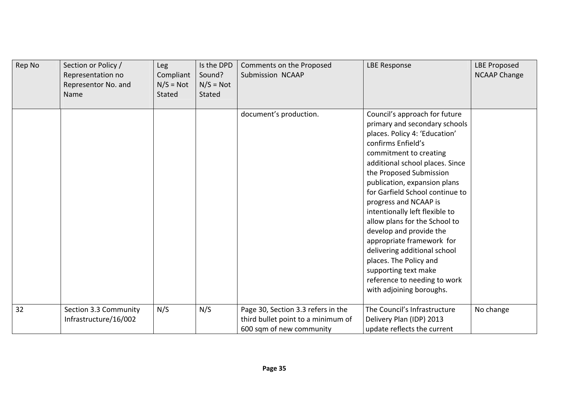| Rep No | Section or Policy /<br>Representation no<br>Representor No. and<br>Name | Leg<br>Compliant<br>$N/S = Not$<br>Stated | Is the DPD<br>Sound?<br>$N/S = Not$<br>Stated | Comments on the Proposed<br>Submission NCAAP                                                         | <b>LBE Response</b>                                                                                                                                                                                                                                                                                                                                                                                                                                                                                                                                                                | <b>LBE Proposed</b><br><b>NCAAP Change</b> |
|--------|-------------------------------------------------------------------------|-------------------------------------------|-----------------------------------------------|------------------------------------------------------------------------------------------------------|------------------------------------------------------------------------------------------------------------------------------------------------------------------------------------------------------------------------------------------------------------------------------------------------------------------------------------------------------------------------------------------------------------------------------------------------------------------------------------------------------------------------------------------------------------------------------------|--------------------------------------------|
|        |                                                                         |                                           |                                               | document's production.                                                                               | Council's approach for future<br>primary and secondary schools<br>places. Policy 4: 'Education'<br>confirms Enfield's<br>commitment to creating<br>additional school places. Since<br>the Proposed Submission<br>publication, expansion plans<br>for Garfield School continue to<br>progress and NCAAP is<br>intentionally left flexible to<br>allow plans for the School to<br>develop and provide the<br>appropriate framework for<br>delivering additional school<br>places. The Policy and<br>supporting text make<br>reference to needing to work<br>with adjoining boroughs. |                                            |
| 32     | Section 3.3 Community<br>Infrastructure/16/002                          | N/S                                       | N/S                                           | Page 30, Section 3.3 refers in the<br>third bullet point to a minimum of<br>600 sqm of new community | The Council's Infrastructure<br>Delivery Plan (IDP) 2013<br>update reflects the current                                                                                                                                                                                                                                                                                                                                                                                                                                                                                            | No change                                  |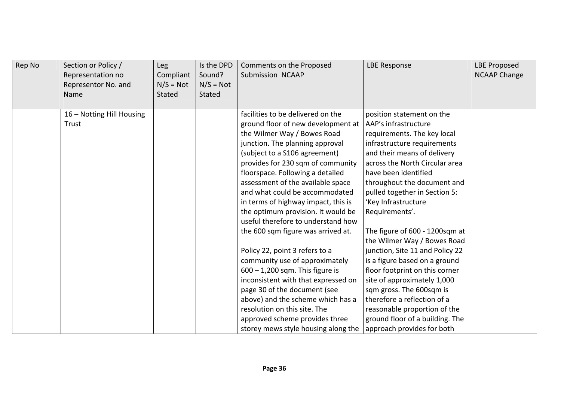| Rep No | Section or Policy /<br>Representation no<br>Representor No. and<br>Name | <b>Leg</b><br>Compliant<br>$N/S = Not$<br>Stated | Is the DPD<br>Sound?<br>$N/S = Not$<br>Stated | Comments on the Proposed<br>Submission NCAAP | <b>LBE Response</b>             | <b>LBE Proposed</b><br><b>NCAAP Change</b> |
|--------|-------------------------------------------------------------------------|--------------------------------------------------|-----------------------------------------------|----------------------------------------------|---------------------------------|--------------------------------------------|
|        | 16 - Notting Hill Housing                                               |                                                  |                                               | facilities to be delivered on the            | position statement on the       |                                            |
|        | Trust                                                                   |                                                  |                                               | ground floor of new development at           | AAP's infrastructure            |                                            |
|        |                                                                         |                                                  |                                               | the Wilmer Way / Bowes Road                  | requirements. The key local     |                                            |
|        |                                                                         |                                                  |                                               | junction. The planning approval              | infrastructure requirements     |                                            |
|        |                                                                         |                                                  |                                               | (subject to a S106 agreement)                | and their means of delivery     |                                            |
|        |                                                                         |                                                  |                                               | provides for 230 sqm of community            | across the North Circular area  |                                            |
|        |                                                                         |                                                  |                                               | floorspace. Following a detailed             | have been identified            |                                            |
|        |                                                                         |                                                  |                                               | assessment of the available space            | throughout the document and     |                                            |
|        |                                                                         |                                                  |                                               | and what could be accommodated               | pulled together in Section 5:   |                                            |
|        |                                                                         |                                                  |                                               | in terms of highway impact, this is          | 'Key Infrastructure             |                                            |
|        |                                                                         |                                                  |                                               | the optimum provision. It would be           | Requirements'.                  |                                            |
|        |                                                                         |                                                  |                                               | useful therefore to understand how           |                                 |                                            |
|        |                                                                         |                                                  |                                               | the 600 sqm figure was arrived at.           | The figure of 600 - 1200sqm at  |                                            |
|        |                                                                         |                                                  |                                               |                                              | the Wilmer Way / Bowes Road     |                                            |
|        |                                                                         |                                                  |                                               | Policy 22, point 3 refers to a               | junction, Site 11 and Policy 22 |                                            |
|        |                                                                         |                                                  |                                               | community use of approximately               | is a figure based on a ground   |                                            |
|        |                                                                         |                                                  |                                               | $600 - 1,200$ sqm. This figure is            | floor footprint on this corner  |                                            |
|        |                                                                         |                                                  |                                               | inconsistent with that expressed on          | site of approximately 1,000     |                                            |
|        |                                                                         |                                                  |                                               | page 30 of the document (see                 | sqm gross. The 600sqm is        |                                            |
|        |                                                                         |                                                  |                                               | above) and the scheme which has a            | therefore a reflection of a     |                                            |
|        |                                                                         |                                                  |                                               | resolution on this site. The                 | reasonable proportion of the    |                                            |
|        |                                                                         |                                                  |                                               | approved scheme provides three               | ground floor of a building. The |                                            |
|        |                                                                         |                                                  |                                               | storey mews style housing along the          | approach provides for both      |                                            |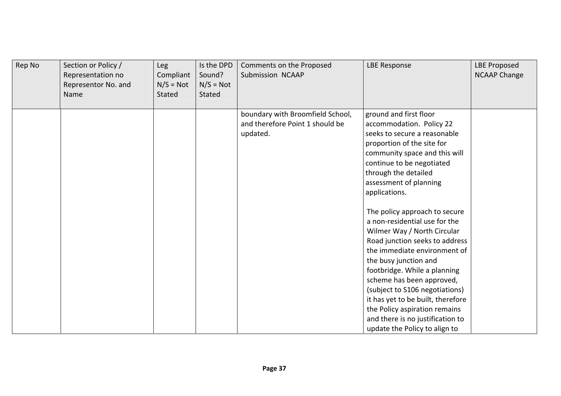| Rep No | Section or Policy /<br>Representation no<br>Representor No. and<br>Name | Leg<br>Compliant<br>$N/S = Not$<br>Stated | Is the DPD<br>Sound?<br>$N/S = Not$<br>Stated | Comments on the Proposed<br>Submission NCAAP | <b>LBE Response</b>                                      | <b>LBE Proposed</b><br><b>NCAAP Change</b> |
|--------|-------------------------------------------------------------------------|-------------------------------------------|-----------------------------------------------|----------------------------------------------|----------------------------------------------------------|--------------------------------------------|
|        |                                                                         |                                           |                                               | boundary with Broomfield School,             | ground and first floor                                   |                                            |
|        |                                                                         |                                           |                                               | and therefore Point 1 should be              | accommodation. Policy 22<br>seeks to secure a reasonable |                                            |
|        |                                                                         |                                           |                                               | updated.                                     | proportion of the site for                               |                                            |
|        |                                                                         |                                           |                                               |                                              | community space and this will                            |                                            |
|        |                                                                         |                                           |                                               |                                              | continue to be negotiated                                |                                            |
|        |                                                                         |                                           |                                               |                                              | through the detailed                                     |                                            |
|        |                                                                         |                                           |                                               |                                              | assessment of planning                                   |                                            |
|        |                                                                         |                                           |                                               |                                              | applications.                                            |                                            |
|        |                                                                         |                                           |                                               |                                              | The policy approach to secure                            |                                            |
|        |                                                                         |                                           |                                               |                                              | a non-residential use for the                            |                                            |
|        |                                                                         |                                           |                                               |                                              | Wilmer Way / North Circular                              |                                            |
|        |                                                                         |                                           |                                               |                                              | Road junction seeks to address                           |                                            |
|        |                                                                         |                                           |                                               |                                              | the immediate environment of                             |                                            |
|        |                                                                         |                                           |                                               |                                              | the busy junction and                                    |                                            |
|        |                                                                         |                                           |                                               |                                              | footbridge. While a planning                             |                                            |
|        |                                                                         |                                           |                                               |                                              | scheme has been approved,                                |                                            |
|        |                                                                         |                                           |                                               |                                              | (subject to S106 negotiations)                           |                                            |
|        |                                                                         |                                           |                                               |                                              | it has yet to be built, therefore                        |                                            |
|        |                                                                         |                                           |                                               |                                              | the Policy aspiration remains                            |                                            |
|        |                                                                         |                                           |                                               |                                              | and there is no justification to                         |                                            |
|        |                                                                         |                                           |                                               |                                              | update the Policy to align to                            |                                            |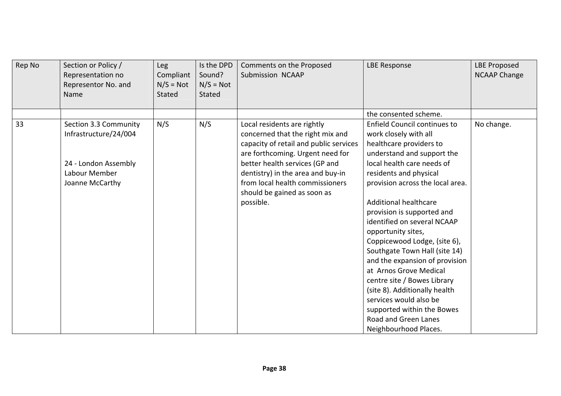| Rep No | Section or Policy /<br>Representation no<br>Representor No. and<br>Name                                    | <b>Leg</b><br>Compliant<br>$N/S = Not$<br>Stated | Is the DPD<br>Sound?<br>$N/S = Not$<br><b>Stated</b> | Comments on the Proposed<br>Submission NCAAP                                                                                                                                                                                                                                           | <b>LBE Response</b>                                                                                                                                                                                                                                                                                                                                                                                                   | <b>LBE Proposed</b><br><b>NCAAP Change</b> |
|--------|------------------------------------------------------------------------------------------------------------|--------------------------------------------------|------------------------------------------------------|----------------------------------------------------------------------------------------------------------------------------------------------------------------------------------------------------------------------------------------------------------------------------------------|-----------------------------------------------------------------------------------------------------------------------------------------------------------------------------------------------------------------------------------------------------------------------------------------------------------------------------------------------------------------------------------------------------------------------|--------------------------------------------|
|        |                                                                                                            |                                                  |                                                      |                                                                                                                                                                                                                                                                                        | the consented scheme.                                                                                                                                                                                                                                                                                                                                                                                                 |                                            |
| 33     | Section 3.3 Community<br>Infrastructure/24/004<br>24 - London Assembly<br>Labour Member<br>Joanne McCarthy | N/S                                              | N/S                                                  | Local residents are rightly<br>concerned that the right mix and<br>capacity of retail and public services<br>are forthcoming. Urgent need for<br>better health services (GP and<br>dentistry) in the area and buy-in<br>from local health commissioners<br>should be gained as soon as | <b>Enfield Council continues to</b><br>work closely with all<br>healthcare providers to<br>understand and support the<br>local health care needs of<br>residents and physical<br>provision across the local area.                                                                                                                                                                                                     | No change.                                 |
|        |                                                                                                            |                                                  |                                                      | possible.                                                                                                                                                                                                                                                                              | <b>Additional healthcare</b><br>provision is supported and<br>identified on several NCAAP<br>opportunity sites,<br>Coppicewood Lodge, (site 6),<br>Southgate Town Hall (site 14)<br>and the expansion of provision<br>at Arnos Grove Medical<br>centre site / Bowes Library<br>(site 8). Additionally health<br>services would also be<br>supported within the Bowes<br>Road and Green Lanes<br>Neighbourhood Places. |                                            |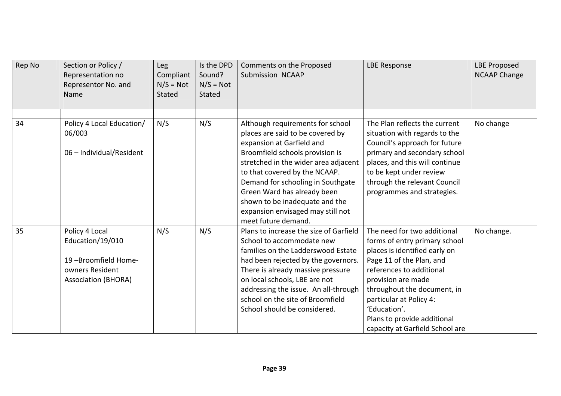| Rep No | Section or Policy /<br>Representation no<br>Representor No. and<br>Name                                    | <b>Leg</b><br>Compliant<br>$N/S = Not$<br><b>Stated</b> | Is the DPD<br>Sound?<br>$N/S = Not$<br><b>Stated</b> | Comments on the Proposed<br>Submission NCAAP                                                                                                                                                                                                                                                                                                                                    | <b>LBE Response</b>                                                                                                                                                                                                                                                                                                     | <b>LBE Proposed</b><br><b>NCAAP Change</b> |
|--------|------------------------------------------------------------------------------------------------------------|---------------------------------------------------------|------------------------------------------------------|---------------------------------------------------------------------------------------------------------------------------------------------------------------------------------------------------------------------------------------------------------------------------------------------------------------------------------------------------------------------------------|-------------------------------------------------------------------------------------------------------------------------------------------------------------------------------------------------------------------------------------------------------------------------------------------------------------------------|--------------------------------------------|
| 34     | Policy 4 Local Education/<br>06/003<br>06 - Individual/Resident                                            | N/S                                                     | N/S                                                  | Although requirements for school<br>places are said to be covered by<br>expansion at Garfield and<br>Broomfield schools provision is<br>stretched in the wider area adjacent<br>to that covered by the NCAAP.<br>Demand for schooling in Southgate<br>Green Ward has already been<br>shown to be inadequate and the<br>expansion envisaged may still not<br>meet future demand. | The Plan reflects the current<br>situation with regards to the<br>Council's approach for future<br>primary and secondary school<br>places, and this will continue<br>to be kept under review<br>through the relevant Council<br>programmes and strategies.                                                              | No change                                  |
| 35     | Policy 4 Local<br>Education/19/010<br>19-Broomfield Home-<br>owners Resident<br><b>Association (BHORA)</b> | N/S                                                     | N/S                                                  | Plans to increase the size of Garfield<br>School to accommodate new<br>families on the Ladderswood Estate<br>had been rejected by the governors.<br>There is already massive pressure<br>on local schools, LBE are not<br>addressing the issue. An all-through<br>school on the site of Broomfield<br>School should be considered.                                              | The need for two additional<br>forms of entry primary school<br>places is identified early on<br>Page 11 of the Plan, and<br>references to additional<br>provision are made<br>throughout the document, in<br>particular at Policy 4:<br>'Education'.<br>Plans to provide additional<br>capacity at Garfield School are | No change.                                 |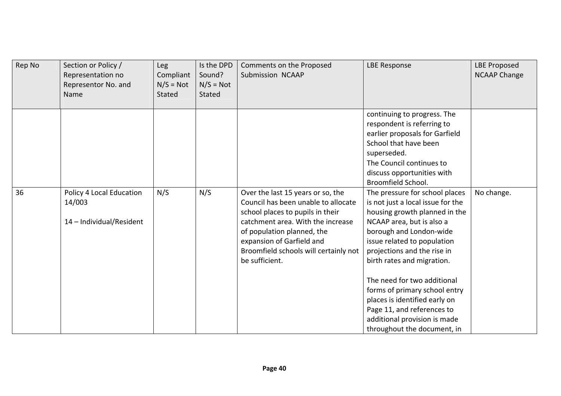| Rep No | Section or Policy /<br>Representation no<br>Representor No. and<br>Name | Leg<br>Compliant<br>$N/S = Not$<br>Stated | Is the DPD<br>Sound?<br>$N/S = Not$<br><b>Stated</b> | Comments on the Proposed<br>Submission NCAAP                                                                                                                                                                                                                            | <b>LBE Response</b>                                                                                                                                                                                                                                                                                                                                                                                                                                    | <b>LBE Proposed</b><br><b>NCAAP Change</b> |
|--------|-------------------------------------------------------------------------|-------------------------------------------|------------------------------------------------------|-------------------------------------------------------------------------------------------------------------------------------------------------------------------------------------------------------------------------------------------------------------------------|--------------------------------------------------------------------------------------------------------------------------------------------------------------------------------------------------------------------------------------------------------------------------------------------------------------------------------------------------------------------------------------------------------------------------------------------------------|--------------------------------------------|
|        |                                                                         |                                           |                                                      |                                                                                                                                                                                                                                                                         | continuing to progress. The<br>respondent is referring to<br>earlier proposals for Garfield<br>School that have been<br>superseded.<br>The Council continues to<br>discuss opportunities with<br>Broomfield School.                                                                                                                                                                                                                                    |                                            |
| 36     | Policy 4 Local Education<br>14/003<br>14 - Individual/Resident          | N/S                                       | N/S                                                  | Over the last 15 years or so, the<br>Council has been unable to allocate<br>school places to pupils in their<br>catchment area. With the increase<br>of population planned, the<br>expansion of Garfield and<br>Broomfield schools will certainly not<br>be sufficient. | The pressure for school places<br>is not just a local issue for the<br>housing growth planned in the<br>NCAAP area, but is also a<br>borough and London-wide<br>issue related to population<br>projections and the rise in<br>birth rates and migration.<br>The need for two additional<br>forms of primary school entry<br>places is identified early on<br>Page 11, and references to<br>additional provision is made<br>throughout the document, in | No change.                                 |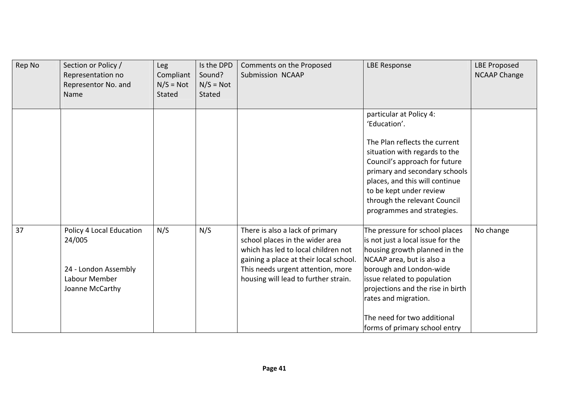| Rep No | Section or Policy /<br>Representation no<br>Representor No. and<br>Name                        | Leg<br>Compliant<br>$N/S = Not$<br>Stated | Is the DPD<br>Sound?<br>$N/S = Not$<br>Stated | Comments on the Proposed<br>Submission NCAAP                                                                                                                                                                                     | <b>LBE Response</b>                                                                                                                                                                                                                                                                                                      | <b>LBE Proposed</b><br><b>NCAAP Change</b> |
|--------|------------------------------------------------------------------------------------------------|-------------------------------------------|-----------------------------------------------|----------------------------------------------------------------------------------------------------------------------------------------------------------------------------------------------------------------------------------|--------------------------------------------------------------------------------------------------------------------------------------------------------------------------------------------------------------------------------------------------------------------------------------------------------------------------|--------------------------------------------|
|        |                                                                                                |                                           |                                               |                                                                                                                                                                                                                                  | particular at Policy 4:<br>'Education'.<br>The Plan reflects the current<br>situation with regards to the<br>Council's approach for future<br>primary and secondary schools<br>places, and this will continue<br>to be kept under review<br>through the relevant Council<br>programmes and strategies.                   |                                            |
| 37     | Policy 4 Local Education<br>24/005<br>24 - London Assembly<br>Labour Member<br>Joanne McCarthy | N/S                                       | N/S                                           | There is also a lack of primary<br>school places in the wider area<br>which has led to local children not<br>gaining a place at their local school.<br>This needs urgent attention, more<br>housing will lead to further strain. | The pressure for school places<br>is not just a local issue for the<br>housing growth planned in the<br>NCAAP area, but is also a<br>borough and London-wide<br>issue related to population<br>projections and the rise in birth<br>rates and migration.<br>The need for two additional<br>forms of primary school entry | No change                                  |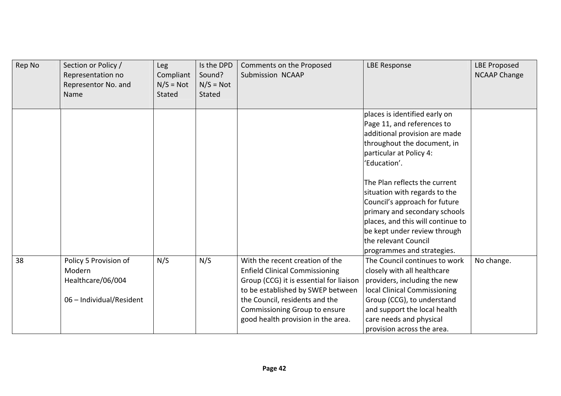| Rep No | Section or Policy /<br>Representation no<br>Representor No. and<br>Name          | Leg<br>Compliant<br>$N/S = Not$<br>Stated | Is the DPD<br>Sound?<br>$N/S = Not$<br>Stated | Comments on the Proposed<br>Submission NCAAP                                                                                                                                                                                                                      | <b>LBE Response</b>                                                                                                                                                                                                                                                                                                                                                                                     | <b>LBE Proposed</b><br><b>NCAAP Change</b> |
|--------|----------------------------------------------------------------------------------|-------------------------------------------|-----------------------------------------------|-------------------------------------------------------------------------------------------------------------------------------------------------------------------------------------------------------------------------------------------------------------------|---------------------------------------------------------------------------------------------------------------------------------------------------------------------------------------------------------------------------------------------------------------------------------------------------------------------------------------------------------------------------------------------------------|--------------------------------------------|
|        |                                                                                  |                                           |                                               |                                                                                                                                                                                                                                                                   | places is identified early on<br>Page 11, and references to<br>additional provision are made<br>throughout the document, in<br>particular at Policy 4:<br>'Education'.<br>The Plan reflects the current<br>situation with regards to the<br>Council's approach for future<br>primary and secondary schools<br>places, and this will continue to<br>be kept under review through<br>the relevant Council |                                            |
| 38     | Policy 5 Provision of<br>Modern<br>Healthcare/06/004<br>06 - Individual/Resident | N/S                                       | N/S                                           | With the recent creation of the<br><b>Enfield Clinical Commissioning</b><br>Group (CCG) it is essential for liaison<br>to be established by SWEP between<br>the Council, residents and the<br>Commissioning Group to ensure<br>good health provision in the area. | programmes and strategies.<br>The Council continues to work<br>closely with all healthcare<br>providers, including the new<br>local Clinical Commissioning<br>Group (CCG), to understand<br>and support the local health<br>care needs and physical<br>provision across the area.                                                                                                                       | No change.                                 |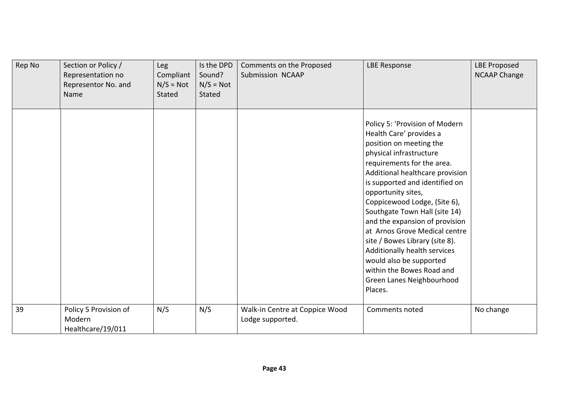| Rep No | Section or Policy /<br>Representation no<br>Representor No. and<br>Name | <b>Leg</b><br>Compliant<br>$N/S = Not$<br>Stated | Is the DPD<br>Sound?<br>$N/S = Not$<br><b>Stated</b> | Comments on the Proposed<br>Submission NCAAP       | <b>LBE Response</b>                                                                                                                                                                                                                                                                                                                                                                                                                                                                                                                            | <b>LBE Proposed</b><br><b>NCAAP Change</b> |
|--------|-------------------------------------------------------------------------|--------------------------------------------------|------------------------------------------------------|----------------------------------------------------|------------------------------------------------------------------------------------------------------------------------------------------------------------------------------------------------------------------------------------------------------------------------------------------------------------------------------------------------------------------------------------------------------------------------------------------------------------------------------------------------------------------------------------------------|--------------------------------------------|
|        |                                                                         |                                                  |                                                      |                                                    | Policy 5: 'Provision of Modern<br>Health Care' provides a<br>position on meeting the<br>physical infrastructure<br>requirements for the area.<br>Additional healthcare provision<br>is supported and identified on<br>opportunity sites,<br>Coppicewood Lodge, (Site 6),<br>Southgate Town Hall (site 14)<br>and the expansion of provision<br>at Arnos Grove Medical centre<br>site / Bowes Library (site 8).<br>Additionally health services<br>would also be supported<br>within the Bowes Road and<br>Green Lanes Neighbourhood<br>Places. |                                            |
| 39     | Policy 5 Provision of<br>Modern<br>Healthcare/19/011                    | N/S                                              | N/S                                                  | Walk-in Centre at Coppice Wood<br>Lodge supported. | Comments noted                                                                                                                                                                                                                                                                                                                                                                                                                                                                                                                                 | No change                                  |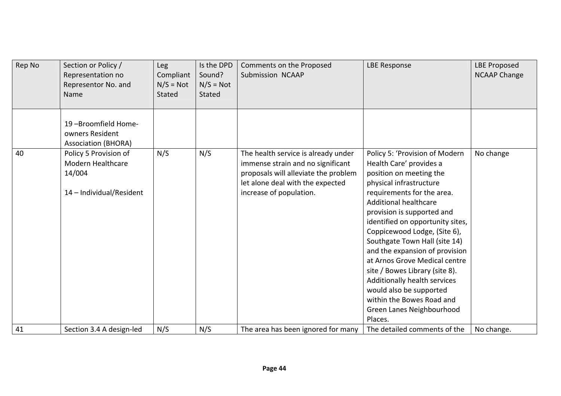| Rep No | Section or Policy /<br>Representation no<br>Representor No. and<br>Name          | Leg<br>Compliant<br>$N/S = Not$<br>Stated | Is the DPD<br>Sound?<br>$N/S = Not$<br>Stated | Comments on the Proposed<br>Submission NCAAP                                                                                                                                    | <b>LBE Response</b>                                                                                                                                                                                                                                                                                                                                                                                                                                                                                                                                   | <b>LBE Proposed</b><br><b>NCAAP Change</b> |
|--------|----------------------------------------------------------------------------------|-------------------------------------------|-----------------------------------------------|---------------------------------------------------------------------------------------------------------------------------------------------------------------------------------|-------------------------------------------------------------------------------------------------------------------------------------------------------------------------------------------------------------------------------------------------------------------------------------------------------------------------------------------------------------------------------------------------------------------------------------------------------------------------------------------------------------------------------------------------------|--------------------------------------------|
|        | 19-Broomfield Home-<br>owners Resident<br><b>Association (BHORA)</b>             |                                           |                                               |                                                                                                                                                                                 |                                                                                                                                                                                                                                                                                                                                                                                                                                                                                                                                                       |                                            |
| 40     | Policy 5 Provision of<br>Modern Healthcare<br>14/004<br>14 - Individual/Resident | N/S                                       | N/S                                           | The health service is already under<br>immense strain and no significant<br>proposals will alleviate the problem<br>let alone deal with the expected<br>increase of population. | Policy 5: 'Provision of Modern<br>Health Care' provides a<br>position on meeting the<br>physical infrastructure<br>requirements for the area.<br><b>Additional healthcare</b><br>provision is supported and<br>identified on opportunity sites,<br>Coppicewood Lodge, (Site 6),<br>Southgate Town Hall (site 14)<br>and the expansion of provision<br>at Arnos Grove Medical centre<br>site / Bowes Library (site 8).<br>Additionally health services<br>would also be supported<br>within the Bowes Road and<br>Green Lanes Neighbourhood<br>Places. | No change                                  |
| 41     | Section 3.4 A design-led                                                         | N/S                                       | N/S                                           | The area has been ignored for many                                                                                                                                              | The detailed comments of the                                                                                                                                                                                                                                                                                                                                                                                                                                                                                                                          | No change.                                 |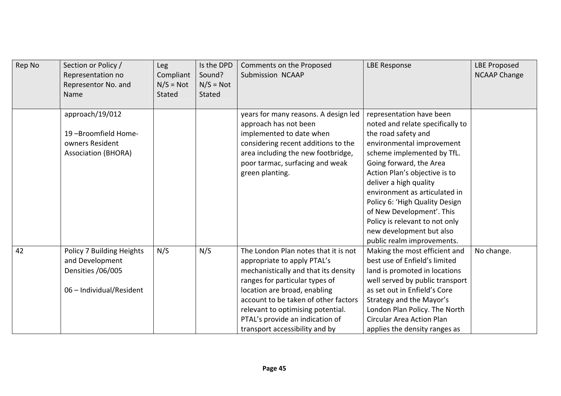| Rep No | Section or Policy /<br>Representation no<br>Representor No. and<br>Name                       | Leg<br>Compliant<br>$N/S = Not$<br>Stated | Is the DPD<br>Sound?<br>$N/S = Not$<br>Stated | Comments on the Proposed<br>Submission NCAAP                                                                                                                                                                                                                                                                                    | <b>LBE Response</b>                                                                                                                                                                                                                                                                                                                                                                                                              | <b>LBE Proposed</b><br><b>NCAAP Change</b> |
|--------|-----------------------------------------------------------------------------------------------|-------------------------------------------|-----------------------------------------------|---------------------------------------------------------------------------------------------------------------------------------------------------------------------------------------------------------------------------------------------------------------------------------------------------------------------------------|----------------------------------------------------------------------------------------------------------------------------------------------------------------------------------------------------------------------------------------------------------------------------------------------------------------------------------------------------------------------------------------------------------------------------------|--------------------------------------------|
|        | approach/19/012<br>19-Broomfield Home-<br>owners Resident<br><b>Association (BHORA)</b>       |                                           |                                               | years for many reasons. A design led<br>approach has not been<br>implemented to date when<br>considering recent additions to the<br>area including the new footbridge,<br>poor tarmac, surfacing and weak<br>green planting.                                                                                                    | representation have been<br>noted and relate specifically to<br>the road safety and<br>environmental improvement<br>scheme implemented by TfL.<br>Going forward, the Area<br>Action Plan's objective is to<br>deliver a high quality<br>environment as articulated in<br>Policy 6: 'High Quality Design<br>of New Development'. This<br>Policy is relevant to not only<br>new development but also<br>public realm improvements. |                                            |
| 42     | Policy 7 Building Heights<br>and Development<br>Densities /06/005<br>06 - Individual/Resident | N/S                                       | N/S                                           | The London Plan notes that it is not<br>appropriate to apply PTAL's<br>mechanistically and that its density<br>ranges for particular types of<br>location are broad, enabling<br>account to be taken of other factors<br>relevant to optimising potential.<br>PTAL's provide an indication of<br>transport accessibility and by | Making the most efficient and<br>best use of Enfield's limited<br>land is promoted in locations<br>well served by public transport<br>as set out in Enfield's Core<br>Strategy and the Mayor's<br>London Plan Policy. The North<br><b>Circular Area Action Plan</b><br>applies the density ranges as                                                                                                                             | No change.                                 |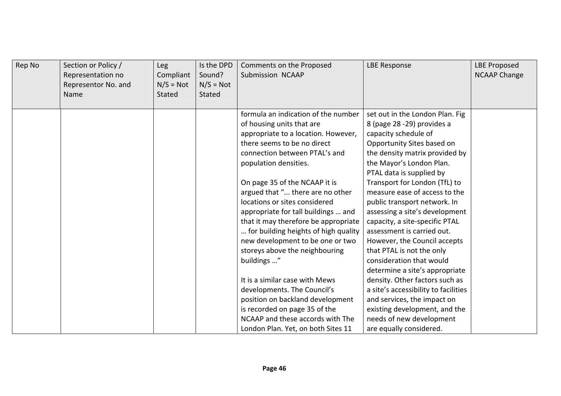| Rep No | Section or Policy /<br>Representation no<br>Representor No. and<br>Name | Leg<br>Compliant<br>$N/S = Not$<br>Stated | Is the DPD<br>Sound?<br>$N/S = Not$<br><b>Stated</b> | Comments on the Proposed<br>Submission NCAAP | <b>LBE Response</b>                  | <b>LBE Proposed</b><br><b>NCAAP Change</b> |
|--------|-------------------------------------------------------------------------|-------------------------------------------|------------------------------------------------------|----------------------------------------------|--------------------------------------|--------------------------------------------|
|        |                                                                         |                                           |                                                      | formula an indication of the number          | set out in the London Plan. Fig.     |                                            |
|        |                                                                         |                                           |                                                      | of housing units that are                    | 8 (page 28 -29) provides a           |                                            |
|        |                                                                         |                                           |                                                      | appropriate to a location. However,          | capacity schedule of                 |                                            |
|        |                                                                         |                                           |                                                      | there seems to be no direct                  | Opportunity Sites based on           |                                            |
|        |                                                                         |                                           |                                                      | connection between PTAL's and                | the density matrix provided by       |                                            |
|        |                                                                         |                                           |                                                      | population densities.                        | the Mayor's London Plan.             |                                            |
|        |                                                                         |                                           |                                                      |                                              | PTAL data is supplied by             |                                            |
|        |                                                                         |                                           |                                                      | On page 35 of the NCAAP it is                | Transport for London (TfL) to        |                                            |
|        |                                                                         |                                           |                                                      | argued that " there are no other             | measure ease of access to the        |                                            |
|        |                                                                         |                                           |                                                      | locations or sites considered                | public transport network. In         |                                            |
|        |                                                                         |                                           |                                                      | appropriate for tall buildings  and          | assessing a site's development       |                                            |
|        |                                                                         |                                           |                                                      | that it may therefore be appropriate         | capacity, a site-specific PTAL       |                                            |
|        |                                                                         |                                           |                                                      | for building heights of high quality         | assessment is carried out.           |                                            |
|        |                                                                         |                                           |                                                      | new development to be one or two             | However, the Council accepts         |                                            |
|        |                                                                         |                                           |                                                      | storeys above the neighbouring               | that PTAL is not the only            |                                            |
|        |                                                                         |                                           |                                                      | buildings "                                  | consideration that would             |                                            |
|        |                                                                         |                                           |                                                      |                                              | determine a site's appropriate       |                                            |
|        |                                                                         |                                           |                                                      | It is a similar case with Mews               | density. Other factors such as       |                                            |
|        |                                                                         |                                           |                                                      | developments. The Council's                  | a site's accessibility to facilities |                                            |
|        |                                                                         |                                           |                                                      | position on backland development             | and services, the impact on          |                                            |
|        |                                                                         |                                           |                                                      | is recorded on page 35 of the                | existing development, and the        |                                            |
|        |                                                                         |                                           |                                                      | NCAAP and these accords with The             | needs of new development             |                                            |
|        |                                                                         |                                           |                                                      | London Plan. Yet, on both Sites 11           | are equally considered.              |                                            |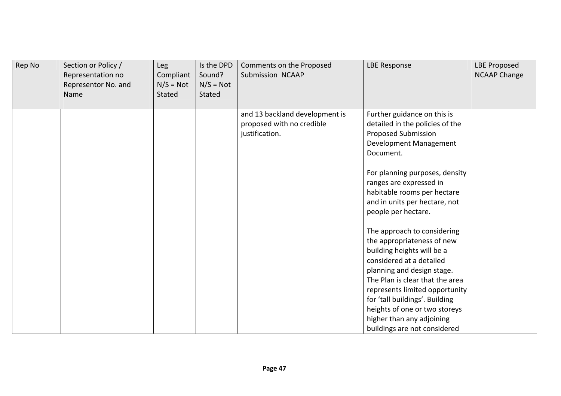| Rep No | Section or Policy /<br>Representation no<br>Representor No. and<br>Name | Leg<br>Compliant<br>$N/S = Not$<br><b>Stated</b> | Is the DPD<br>Sound?<br>$N/S = Not$<br><b>Stated</b> | Comments on the Proposed<br>Submission NCAAP                                  | <b>LBE Response</b>                                                                                                                                                                                                                                                                                                                                                                                                                                                                                                                                 | <b>LBE Proposed</b><br><b>NCAAP Change</b> |
|--------|-------------------------------------------------------------------------|--------------------------------------------------|------------------------------------------------------|-------------------------------------------------------------------------------|-----------------------------------------------------------------------------------------------------------------------------------------------------------------------------------------------------------------------------------------------------------------------------------------------------------------------------------------------------------------------------------------------------------------------------------------------------------------------------------------------------------------------------------------------------|--------------------------------------------|
|        |                                                                         |                                                  |                                                      | and 13 backland development is<br>proposed with no credible<br>justification. | Further guidance on this is<br>detailed in the policies of the<br><b>Proposed Submission</b><br>Development Management<br>Document.<br>For planning purposes, density<br>ranges are expressed in<br>habitable rooms per hectare<br>and in units per hectare, not<br>people per hectare.<br>The approach to considering<br>the appropriateness of new<br>building heights will be a<br>considered at a detailed<br>planning and design stage.<br>The Plan is clear that the area<br>represents limited opportunity<br>for 'tall buildings'. Building |                                            |
|        |                                                                         |                                                  |                                                      |                                                                               | heights of one or two storeys<br>higher than any adjoining<br>buildings are not considered                                                                                                                                                                                                                                                                                                                                                                                                                                                          |                                            |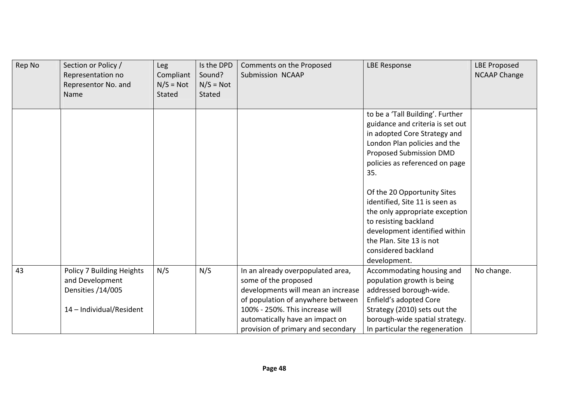| Rep No | Section or Policy /<br>Representation no<br>Representor No. and<br>Name                       | Leg<br>Compliant<br>$N/S = Not$<br>Stated | Is the DPD<br>Sound?<br>$N/S = Not$<br>Stated | Comments on the Proposed<br>Submission NCAAP                                                                                                                                                                                                     | <b>LBE Response</b>                                                                                                                                                                                                          | <b>LBE Proposed</b><br><b>NCAAP Change</b> |
|--------|-----------------------------------------------------------------------------------------------|-------------------------------------------|-----------------------------------------------|--------------------------------------------------------------------------------------------------------------------------------------------------------------------------------------------------------------------------------------------------|------------------------------------------------------------------------------------------------------------------------------------------------------------------------------------------------------------------------------|--------------------------------------------|
|        |                                                                                               |                                           |                                               |                                                                                                                                                                                                                                                  | to be a 'Tall Building'. Further<br>guidance and criteria is set out<br>in adopted Core Strategy and<br>London Plan policies and the<br>Proposed Submission DMD<br>policies as referenced on page<br>35.                     |                                            |
|        |                                                                                               |                                           |                                               |                                                                                                                                                                                                                                                  | Of the 20 Opportunity Sites<br>identified, Site 11 is seen as<br>the only appropriate exception<br>to resisting backland<br>development identified within<br>the Plan. Site 13 is not<br>considered backland<br>development. |                                            |
| 43     | Policy 7 Building Heights<br>and Development<br>Densities /14/005<br>14 - Individual/Resident | N/S                                       | N/S                                           | In an already overpopulated area,<br>some of the proposed<br>developments will mean an increase<br>of population of anywhere between<br>100% - 250%. This increase will<br>automatically have an impact on<br>provision of primary and secondary | Accommodating housing and<br>population growth is being<br>addressed borough-wide.<br>Enfield's adopted Core<br>Strategy (2010) sets out the<br>borough-wide spatial strategy.<br>In particular the regeneration             | No change.                                 |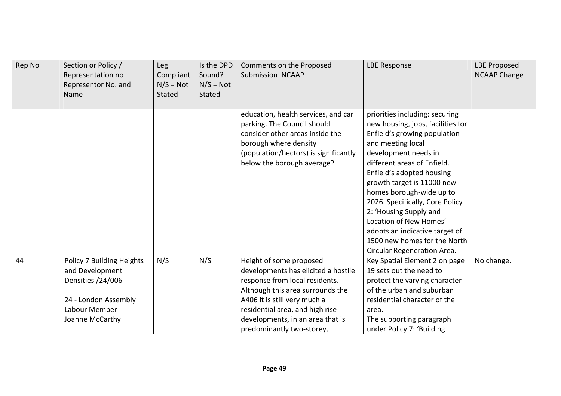| Rep No | Section or Policy /<br>Representation no<br>Representor No. and<br>Name                                                       | Leg<br>Compliant<br>$N/S = Not$<br><b>Stated</b> | Is the DPD<br>Sound?<br>$N/S = Not$<br><b>Stated</b> | Comments on the Proposed<br>Submission NCAAP                                                                                                                                                                                                                             | <b>LBE Response</b>                                                                                                                                                                                                                                                                                                                                                                                                                                            | <b>LBE Proposed</b><br><b>NCAAP Change</b> |
|--------|-------------------------------------------------------------------------------------------------------------------------------|--------------------------------------------------|------------------------------------------------------|--------------------------------------------------------------------------------------------------------------------------------------------------------------------------------------------------------------------------------------------------------------------------|----------------------------------------------------------------------------------------------------------------------------------------------------------------------------------------------------------------------------------------------------------------------------------------------------------------------------------------------------------------------------------------------------------------------------------------------------------------|--------------------------------------------|
|        |                                                                                                                               |                                                  |                                                      | education, health services, and car<br>parking. The Council should<br>consider other areas inside the<br>borough where density<br>(population/hectors) is significantly<br>below the borough average?                                                                    | priorities including: securing<br>new housing, jobs, facilities for<br>Enfield's growing population<br>and meeting local<br>development needs in<br>different areas of Enfield.<br>Enfield's adopted housing<br>growth target is 11000 new<br>homes borough-wide up to<br>2026. Specifically, Core Policy<br>2: 'Housing Supply and<br>Location of New Homes'<br>adopts an indicative target of<br>1500 new homes for the North<br>Circular Regeneration Area. |                                            |
| 44     | Policy 7 Building Heights<br>and Development<br>Densities /24/006<br>24 - London Assembly<br>Labour Member<br>Joanne McCarthy | N/S                                              | N/S                                                  | Height of some proposed<br>developments has elicited a hostile<br>response from local residents.<br>Although this area surrounds the<br>A406 it is still very much a<br>residential area, and high rise<br>developments, in an area that is<br>predominantly two-storey, | Key Spatial Element 2 on page<br>19 sets out the need to<br>protect the varying character<br>of the urban and suburban<br>residential character of the<br>area.<br>The supporting paragraph<br>under Policy 7: 'Building                                                                                                                                                                                                                                       | No change.                                 |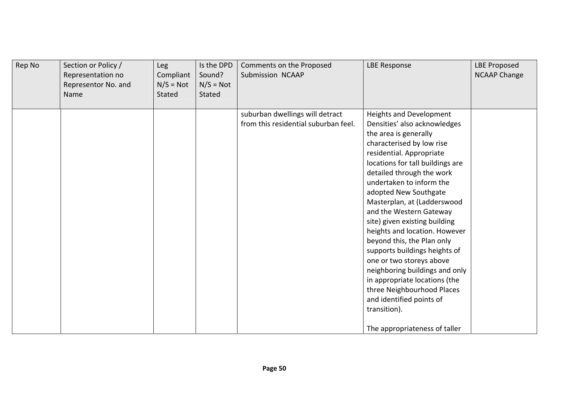| Rep No | Section or Policy /<br>Representation no<br>Representor No. and<br>Name | Leg<br>Compliant<br>$N/S = Not$<br><b>Stated</b> | Is the DPD<br>Sound?<br>$N/S = Not$<br><b>Stated</b> | Comments on the Proposed<br>Submission NCAAP                            | <b>LBE Response</b>                                                                                                                                                                                                                                                                                                                                                                                                                                                                                                                                                                                                                                                         | <b>LBE Proposed</b><br><b>NCAAP Change</b> |
|--------|-------------------------------------------------------------------------|--------------------------------------------------|------------------------------------------------------|-------------------------------------------------------------------------|-----------------------------------------------------------------------------------------------------------------------------------------------------------------------------------------------------------------------------------------------------------------------------------------------------------------------------------------------------------------------------------------------------------------------------------------------------------------------------------------------------------------------------------------------------------------------------------------------------------------------------------------------------------------------------|--------------------------------------------|
|        |                                                                         |                                                  |                                                      | suburban dwellings will detract<br>from this residential suburban feel. | <b>Heights and Development</b><br>Densities' also acknowledges<br>the area is generally<br>characterised by low rise<br>residential. Appropriate<br>locations for tall buildings are<br>detailed through the work<br>undertaken to inform the<br>adopted New Southgate<br>Masterplan, at (Ladderswood<br>and the Western Gateway<br>site) given existing building<br>heights and location. However<br>beyond this, the Plan only<br>supports buildings heights of<br>one or two storeys above<br>neighboring buildings and only<br>in appropriate locations (the<br>three Neighbourhood Places<br>and identified points of<br>transition).<br>The appropriateness of taller |                                            |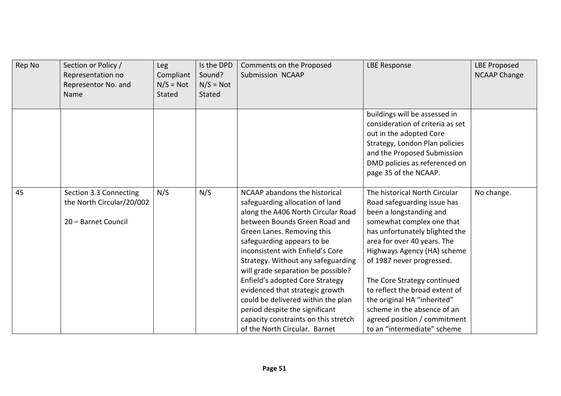| Rep No | Section or Policy /<br>Representation no<br>Representor No. and<br>Name    | Leg<br>Compliant<br>$N/S = Not$<br>Stated | Is the DPD<br>Sound?<br>$N/S = Not$<br><b>Stated</b> | Comments on the Proposed<br>Submission NCAAP                                                                                                                                                                                                                                                                                                                                                                                                                                                                                               | <b>LBE Response</b>                                                                                                                                                                                                                                                                                                                                                                                                                             | <b>LBE Proposed</b><br><b>NCAAP Change</b> |
|--------|----------------------------------------------------------------------------|-------------------------------------------|------------------------------------------------------|--------------------------------------------------------------------------------------------------------------------------------------------------------------------------------------------------------------------------------------------------------------------------------------------------------------------------------------------------------------------------------------------------------------------------------------------------------------------------------------------------------------------------------------------|-------------------------------------------------------------------------------------------------------------------------------------------------------------------------------------------------------------------------------------------------------------------------------------------------------------------------------------------------------------------------------------------------------------------------------------------------|--------------------------------------------|
|        |                                                                            |                                           |                                                      |                                                                                                                                                                                                                                                                                                                                                                                                                                                                                                                                            | buildings will be assessed in<br>consideration of criteria as set<br>out in the adopted Core<br>Strategy, London Plan policies<br>and the Proposed Submission<br>DMD policies as referenced on<br>page 35 of the NCAAP.                                                                                                                                                                                                                         |                                            |
| 45     | Section 3.3 Connecting<br>the North Circular/20/002<br>20 - Barnet Council | N/S                                       | N/S                                                  | NCAAP abandons the historical<br>safeguarding allocation of land<br>along the A406 North Circular Road<br>between Bounds Green Road and<br>Green Lanes. Removing this<br>safeguarding appears to be<br>inconsistent with Enfield's Core<br>Strategy. Without any safeguarding<br>will grade separation be possible?<br>Enfield's adopted Core Strategy<br>evidenced that strategic growth<br>could be delivered within the plan<br>period despite the significant<br>capacity constraints on this stretch<br>of the North Circular. Barnet | The historical North Circular<br>Road safeguarding issue has<br>been a longstanding and<br>somewhat complex one that<br>has unfortunately blighted the<br>area for over 40 years. The<br>Highways Agency (HA) scheme<br>of 1987 never progressed.<br>The Core Strategy continued<br>to reflect the broad extent of<br>the original HA "inherited"<br>scheme in the absence of an<br>agreed position / commitment<br>to an "intermediate" scheme | No change.                                 |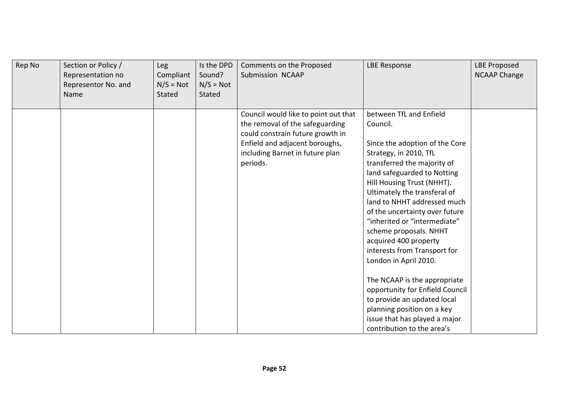| Rep No | Section or Policy /<br>Representation no<br>Representor No. and<br>Name | <b>Leg</b><br>Compliant<br>$N/S = Not$<br><b>Stated</b> | Is the DPD<br>Sound?<br>$N/S = Not$<br><b>Stated</b> | Comments on the Proposed<br>Submission NCAAP                                                                                                                                                 | <b>LBE Response</b>                                                                                                                                                                                                                                                                                                                                                                                                                                                                                                                        | <b>LBE Proposed</b><br><b>NCAAP Change</b> |
|--------|-------------------------------------------------------------------------|---------------------------------------------------------|------------------------------------------------------|----------------------------------------------------------------------------------------------------------------------------------------------------------------------------------------------|--------------------------------------------------------------------------------------------------------------------------------------------------------------------------------------------------------------------------------------------------------------------------------------------------------------------------------------------------------------------------------------------------------------------------------------------------------------------------------------------------------------------------------------------|--------------------------------------------|
|        |                                                                         |                                                         |                                                      | Council would like to point out that<br>the removal of the safeguarding<br>could constrain future growth in<br>Enfield and adjacent boroughs,<br>including Barnet in future plan<br>periods. | between TfL and Enfield<br>Council.<br>Since the adoption of the Core<br>Strategy, in 2010, TfL<br>transferred the majority of<br>land safeguarded to Notting<br>Hill Housing Trust (NHHT).<br>Ultimately the transferal of<br>land to NHHT addressed much<br>of the uncertainty over future<br>"inherited or "intermediate"<br>scheme proposals. NHHT<br>acquired 400 property<br>interests from Transport for<br>London in April 2010.<br>The NCAAP is the appropriate<br>opportunity for Enfield Council<br>to provide an updated local |                                            |
|        |                                                                         |                                                         |                                                      |                                                                                                                                                                                              | planning position on a key<br>issue that has played a major<br>contribution to the area's                                                                                                                                                                                                                                                                                                                                                                                                                                                  |                                            |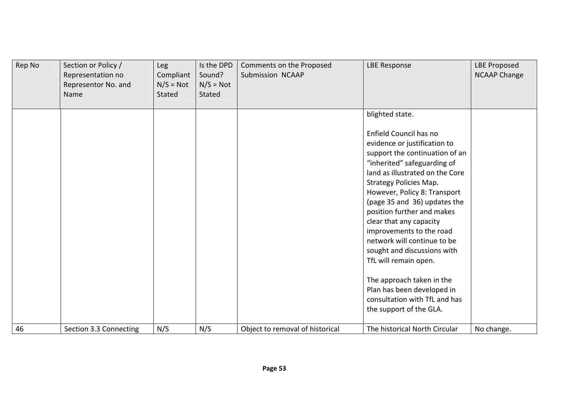| Rep No | Section or Policy /<br>Representation no<br>Representor No. and<br>Name | Leg<br>Compliant<br>$N/S = Not$<br>Stated | Is the DPD<br>Sound?<br>$N/S = Not$<br><b>Stated</b> | Comments on the Proposed<br>Submission NCAAP | <b>LBE Response</b>                                                                                                                                                                                                                                                                                                                                                                                                                                                                                                                                                                                                | <b>LBE Proposed</b><br><b>NCAAP Change</b> |
|--------|-------------------------------------------------------------------------|-------------------------------------------|------------------------------------------------------|----------------------------------------------|--------------------------------------------------------------------------------------------------------------------------------------------------------------------------------------------------------------------------------------------------------------------------------------------------------------------------------------------------------------------------------------------------------------------------------------------------------------------------------------------------------------------------------------------------------------------------------------------------------------------|--------------------------------------------|
|        |                                                                         |                                           |                                                      |                                              | blighted state.<br>Enfield Council has no<br>evidence or justification to<br>support the continuation of an<br>"inherited" safeguarding of<br>land as illustrated on the Core<br><b>Strategy Policies Map.</b><br>However, Policy 8: Transport<br>(page 35 and 36) updates the<br>position further and makes<br>clear that any capacity<br>improvements to the road<br>network will continue to be<br>sought and discussions with<br>TfL will remain open.<br>The approach taken in the<br>Plan has been developed in<br>consultation with TfL and has<br>the support of the GLA.<br>The historical North Circular |                                            |
| 46     | Section 3.3 Connecting                                                  | N/S                                       | N/S                                                  | Object to removal of historical              |                                                                                                                                                                                                                                                                                                                                                                                                                                                                                                                                                                                                                    | No change.                                 |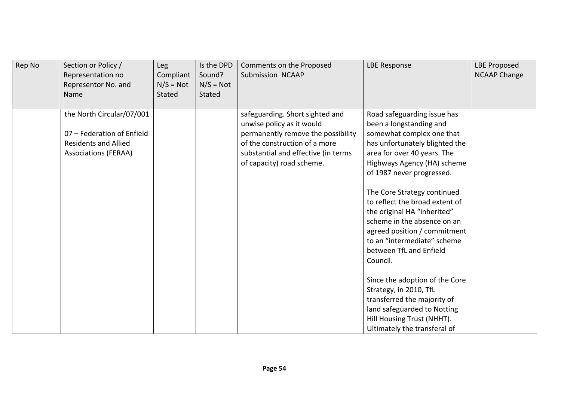| Rep No | Section or Policy /<br>Representation no<br>Representor No. and<br>Name                                               | Leg<br>Compliant<br>$N/S = Not$<br>Stated | Is the DPD<br>Sound?<br>$N/S = Not$<br>Stated | Comments on the Proposed<br><b>Submission NCAAP</b>                                                                                                                                                     | <b>LBE Response</b>                                                                                                                                                                                                                                                                                                                                                                                                                                   | <b>LBE Proposed</b><br><b>NCAAP Change</b> |
|--------|-----------------------------------------------------------------------------------------------------------------------|-------------------------------------------|-----------------------------------------------|---------------------------------------------------------------------------------------------------------------------------------------------------------------------------------------------------------|-------------------------------------------------------------------------------------------------------------------------------------------------------------------------------------------------------------------------------------------------------------------------------------------------------------------------------------------------------------------------------------------------------------------------------------------------------|--------------------------------------------|
|        | the North Circular/07/001<br>07 - Federation of Enfield<br><b>Residents and Allied</b><br><b>Associations (FERAA)</b> |                                           |                                               | safeguarding. Short sighted and<br>unwise policy as it would<br>permanently remove the possibility<br>of the construction of a more<br>substantial and effective (in terms<br>of capacity) road scheme. | Road safeguarding issue has<br>been a longstanding and<br>somewhat complex one that<br>has unfortunately blighted the<br>area for over 40 years. The<br>Highways Agency (HA) scheme<br>of 1987 never progressed.<br>The Core Strategy continued<br>to reflect the broad extent of<br>the original HA "inherited"<br>scheme in the absence on an<br>agreed position / commitment<br>to an "intermediate" scheme<br>between TfL and Enfield<br>Council. |                                            |
|        |                                                                                                                       |                                           |                                               |                                                                                                                                                                                                         | Since the adoption of the Core<br>Strategy, in 2010, TfL<br>transferred the majority of<br>land safeguarded to Notting<br>Hill Housing Trust (NHHT).<br>Ultimately the transferal of                                                                                                                                                                                                                                                                  |                                            |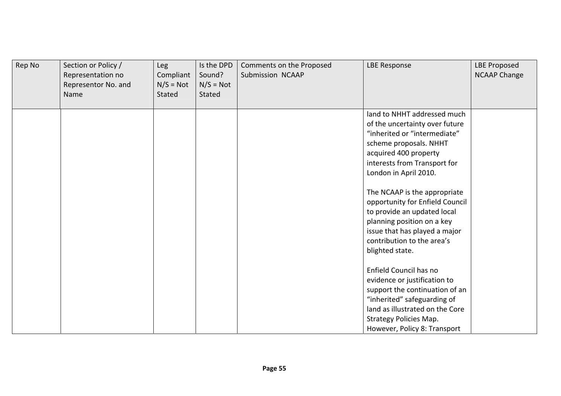| Rep No | Section or Policy /<br>Representation no<br>Representor No. and<br>Name | Leg<br>Compliant<br>$N/S = Not$<br><b>Stated</b> | Is the DPD<br>Sound?<br>$N/S = Not$<br>Stated | Comments on the Proposed<br>Submission NCAAP | <b>LBE Response</b>                                                                                                                                                                                                                                                                                                                                                                                                         | <b>LBE Proposed</b><br><b>NCAAP Change</b> |
|--------|-------------------------------------------------------------------------|--------------------------------------------------|-----------------------------------------------|----------------------------------------------|-----------------------------------------------------------------------------------------------------------------------------------------------------------------------------------------------------------------------------------------------------------------------------------------------------------------------------------------------------------------------------------------------------------------------------|--------------------------------------------|
|        |                                                                         |                                                  |                                               |                                              | land to NHHT addressed much<br>of the uncertainty over future<br>"inherited or "intermediate"<br>scheme proposals. NHHT<br>acquired 400 property<br>interests from Transport for<br>London in April 2010.<br>The NCAAP is the appropriate<br>opportunity for Enfield Council<br>to provide an updated local<br>planning position on a key<br>issue that has played a major<br>contribution to the area's<br>blighted state. |                                            |
|        |                                                                         |                                                  |                                               |                                              | Enfield Council has no<br>evidence or justification to<br>support the continuation of an<br>"inherited" safeguarding of<br>land as illustrated on the Core<br><b>Strategy Policies Map.</b><br>However, Policy 8: Transport                                                                                                                                                                                                 |                                            |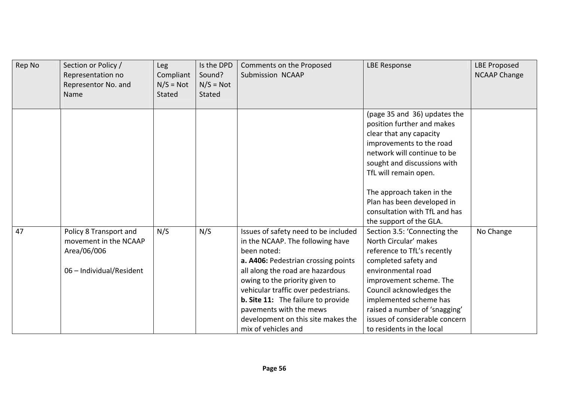| Rep No | Section or Policy /<br>Representation no<br>Representor No. and<br>Name                    | Leg<br>Compliant<br>$N/S = Not$<br><b>Stated</b> | Is the DPD<br>Sound?<br>$N/S = Not$<br>Stated | Comments on the Proposed<br>Submission NCAAP                                                                                                                                                                                                                                                                                                                                     | <b>LBE Response</b>                                                                                                                                                                                                                                                                                                             | <b>LBE Proposed</b><br><b>NCAAP Change</b> |
|--------|--------------------------------------------------------------------------------------------|--------------------------------------------------|-----------------------------------------------|----------------------------------------------------------------------------------------------------------------------------------------------------------------------------------------------------------------------------------------------------------------------------------------------------------------------------------------------------------------------------------|---------------------------------------------------------------------------------------------------------------------------------------------------------------------------------------------------------------------------------------------------------------------------------------------------------------------------------|--------------------------------------------|
|        |                                                                                            |                                                  |                                               |                                                                                                                                                                                                                                                                                                                                                                                  | (page 35 and 36) updates the<br>position further and makes<br>clear that any capacity<br>improvements to the road<br>network will continue to be<br>sought and discussions with<br>TfL will remain open.<br>The approach taken in the<br>Plan has been developed in<br>consultation with TfL and has<br>the support of the GLA. |                                            |
| 47     | Policy 8 Transport and<br>movement in the NCAAP<br>Area/06/006<br>06 - Individual/Resident | N/S                                              | N/S                                           | Issues of safety need to be included<br>in the NCAAP. The following have<br>been noted:<br>a. A406: Pedestrian crossing points<br>all along the road are hazardous<br>owing to the priority given to<br>vehicular traffic over pedestrians.<br><b>b. Site 11:</b> The failure to provide<br>pavements with the mews<br>development on this site makes the<br>mix of vehicles and | Section 3.5: 'Connecting the<br>North Circular' makes<br>reference to TfL's recently<br>completed safety and<br>environmental road<br>improvement scheme. The<br>Council acknowledges the<br>implemented scheme has<br>raised a number of 'snagging'<br>issues of considerable concern<br>to residents in the local             | No Change                                  |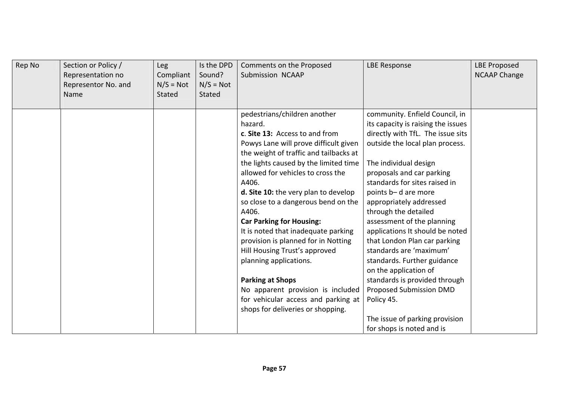| Rep No<br>Section or Policy /<br>Representation no<br>Representor No. and<br>Name | <b>Leg</b><br>Compliant<br>$N/S = Not$<br>Stated | Is the DPD<br>Sound?<br>$N/S = Not$<br><b>Stated</b> | Comments on the Proposed<br>Submission NCAAP                                                                                                                                                                                                                                                                                                                                                                                                                                                                                                                                                                                                                          | <b>LBE Response</b>                                                                                                                                                                                                                                                                                                                                                                                                                                                                                                                                                                                                                        | <b>LBE Proposed</b><br><b>NCAAP Change</b> |
|-----------------------------------------------------------------------------------|--------------------------------------------------|------------------------------------------------------|-----------------------------------------------------------------------------------------------------------------------------------------------------------------------------------------------------------------------------------------------------------------------------------------------------------------------------------------------------------------------------------------------------------------------------------------------------------------------------------------------------------------------------------------------------------------------------------------------------------------------------------------------------------------------|--------------------------------------------------------------------------------------------------------------------------------------------------------------------------------------------------------------------------------------------------------------------------------------------------------------------------------------------------------------------------------------------------------------------------------------------------------------------------------------------------------------------------------------------------------------------------------------------------------------------------------------------|--------------------------------------------|
|                                                                                   |                                                  |                                                      | pedestrians/children another<br>hazard.<br>c. Site 13: Access to and from<br>Powys Lane will prove difficult given<br>the weight of traffic and tailbacks at<br>the lights caused by the limited time<br>allowed for vehicles to cross the<br>A406.<br>d. Site 10: the very plan to develop<br>so close to a dangerous bend on the<br>A406.<br><b>Car Parking for Housing:</b><br>It is noted that inadequate parking<br>provision is planned for in Notting<br>Hill Housing Trust's approved<br>planning applications.<br><b>Parking at Shops</b><br>No apparent provision is included<br>for vehicular access and parking at  <br>shops for deliveries or shopping. | community. Enfield Council, in<br>its capacity is raising the issues<br>directly with TfL. The issue sits<br>outside the local plan process.<br>The individual design<br>proposals and car parking<br>standards for sites raised in<br>points b-d are more<br>appropriately addressed<br>through the detailed<br>assessment of the planning<br>applications It should be noted<br>that London Plan car parking<br>standards are 'maximum'<br>standards. Further guidance<br>on the application of<br>standards is provided through<br>Proposed Submission DMD<br>Policy 45.<br>The issue of parking provision<br>for shops is noted and is |                                            |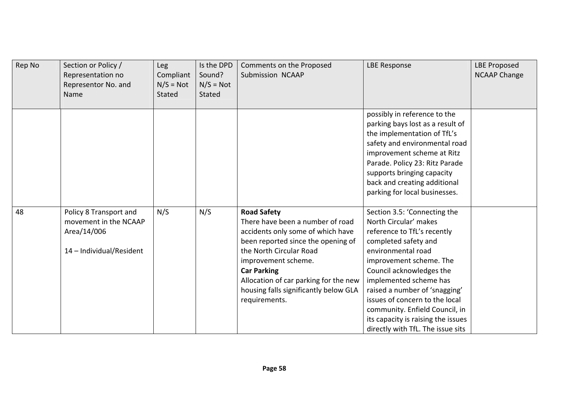| Rep No | Section or Policy /<br>Representation no<br>Representor No. and<br>Name                    | <b>Leg</b><br>Compliant<br>$N/S = Not$<br><b>Stated</b> | Is the DPD<br>Sound?<br>$N/S = Not$<br>Stated | Comments on the Proposed<br>Submission NCAAP                                                                                                                                                                                                                                                                 | <b>LBE Response</b>                                                                                                                                                                                                                                                                                                                                                                                 | <b>LBE Proposed</b><br><b>NCAAP Change</b> |
|--------|--------------------------------------------------------------------------------------------|---------------------------------------------------------|-----------------------------------------------|--------------------------------------------------------------------------------------------------------------------------------------------------------------------------------------------------------------------------------------------------------------------------------------------------------------|-----------------------------------------------------------------------------------------------------------------------------------------------------------------------------------------------------------------------------------------------------------------------------------------------------------------------------------------------------------------------------------------------------|--------------------------------------------|
|        |                                                                                            |                                                         |                                               |                                                                                                                                                                                                                                                                                                              | possibly in reference to the<br>parking bays lost as a result of<br>the implementation of TfL's<br>safety and environmental road<br>improvement scheme at Ritz<br>Parade. Policy 23: Ritz Parade<br>supports bringing capacity<br>back and creating additional<br>parking for local businesses.                                                                                                     |                                            |
| 48     | Policy 8 Transport and<br>movement in the NCAAP<br>Area/14/006<br>14 - Individual/Resident | N/S                                                     | N/S                                           | <b>Road Safety</b><br>There have been a number of road<br>accidents only some of which have<br>been reported since the opening of<br>the North Circular Road<br>improvement scheme.<br><b>Car Parking</b><br>Allocation of car parking for the new<br>housing falls significantly below GLA<br>requirements. | Section 3.5: 'Connecting the<br>North Circular' makes<br>reference to TfL's recently<br>completed safety and<br>environmental road<br>improvement scheme. The<br>Council acknowledges the<br>implemented scheme has<br>raised a number of 'snagging'<br>issues of concern to the local<br>community. Enfield Council, in<br>its capacity is raising the issues<br>directly with TfL. The issue sits |                                            |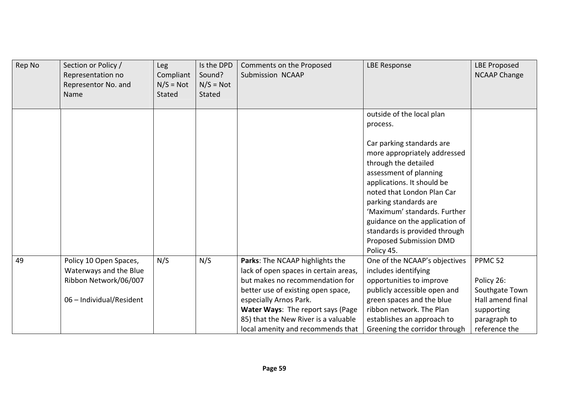| Rep No | Section or Policy /<br>Representation no<br>Representor No. and<br>Name | Leg<br>Compliant<br>$N/S = Not$<br>Stated | Is the DPD<br>Sound?<br>$N/S = Not$<br><b>Stated</b> | Comments on the Proposed<br>Submission NCAAP                             | <b>LBE Response</b>                                                                                                                                                     | <b>LBE Proposed</b><br><b>NCAAP Change</b> |
|--------|-------------------------------------------------------------------------|-------------------------------------------|------------------------------------------------------|--------------------------------------------------------------------------|-------------------------------------------------------------------------------------------------------------------------------------------------------------------------|--------------------------------------------|
|        |                                                                         |                                           |                                                      |                                                                          | outside of the local plan                                                                                                                                               |                                            |
|        |                                                                         |                                           |                                                      |                                                                          | process.                                                                                                                                                                |                                            |
|        |                                                                         |                                           |                                                      |                                                                          | Car parking standards are<br>more appropriately addressed<br>through the detailed<br>assessment of planning<br>applications. It should be<br>noted that London Plan Car |                                            |
|        |                                                                         |                                           |                                                      |                                                                          | parking standards are                                                                                                                                                   |                                            |
|        |                                                                         |                                           |                                                      |                                                                          | 'Maximum' standards. Further                                                                                                                                            |                                            |
|        |                                                                         |                                           |                                                      |                                                                          | guidance on the application of                                                                                                                                          |                                            |
|        |                                                                         |                                           |                                                      |                                                                          | standards is provided through<br>Proposed Submission DMD                                                                                                                |                                            |
|        |                                                                         |                                           |                                                      |                                                                          | Policy 45.                                                                                                                                                              |                                            |
| 49     | Policy 10 Open Spaces,<br>Waterways and the Blue                        | N/S                                       | N/S                                                  | Parks: The NCAAP highlights the<br>lack of open spaces in certain areas, | One of the NCAAP's objectives<br>includes identifying                                                                                                                   | PPMC <sub>52</sub>                         |
|        | Ribbon Network/06/007                                                   |                                           |                                                      | but makes no recommendation for                                          | opportunities to improve                                                                                                                                                | Policy 26:                                 |
|        |                                                                         |                                           |                                                      | better use of existing open space,                                       | publicly accessible open and                                                                                                                                            | Southgate Town                             |
|        | 06 - Individual/Resident                                                |                                           |                                                      | especially Arnos Park.                                                   | green spaces and the blue                                                                                                                                               | Hall amend final                           |
|        |                                                                         |                                           |                                                      | Water Ways: The report says (Page                                        | ribbon network. The Plan                                                                                                                                                | supporting                                 |
|        |                                                                         |                                           |                                                      | 85) that the New River is a valuable                                     | establishes an approach to                                                                                                                                              | paragraph to                               |
|        |                                                                         |                                           |                                                      | local amenity and recommends that                                        | Greening the corridor through                                                                                                                                           | reference the                              |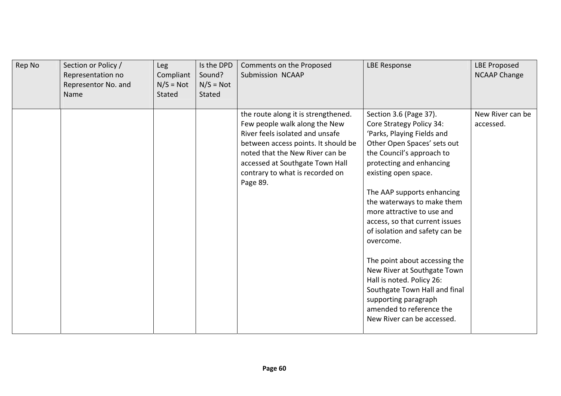| Rep No | Section or Policy /<br>Representation no<br>Representor No. and<br>Name | Leg<br>Compliant<br>$N/S = Not$<br><b>Stated</b> | Is the DPD<br>Sound?<br>$N/S = Not$<br><b>Stated</b> | Comments on the Proposed<br>Submission NCAAP                                                                                                                                                                                                                        | <b>LBE Response</b>                                                                                                                                                                                                                                                                                                                                                                                                                                                                                                                                                                         | <b>LBE Proposed</b><br><b>NCAAP Change</b> |
|--------|-------------------------------------------------------------------------|--------------------------------------------------|------------------------------------------------------|---------------------------------------------------------------------------------------------------------------------------------------------------------------------------------------------------------------------------------------------------------------------|---------------------------------------------------------------------------------------------------------------------------------------------------------------------------------------------------------------------------------------------------------------------------------------------------------------------------------------------------------------------------------------------------------------------------------------------------------------------------------------------------------------------------------------------------------------------------------------------|--------------------------------------------|
|        |                                                                         |                                                  |                                                      | the route along it is strengthened.<br>Few people walk along the New<br>River feels isolated and unsafe<br>between access points. It should be<br>noted that the New River can be<br>accessed at Southgate Town Hall<br>contrary to what is recorded on<br>Page 89. | Section 3.6 (Page 37).<br>Core Strategy Policy 34:<br>'Parks, Playing Fields and<br>Other Open Spaces' sets out<br>the Council's approach to<br>protecting and enhancing<br>existing open space.<br>The AAP supports enhancing<br>the waterways to make them<br>more attractive to use and<br>access, so that current issues<br>of isolation and safety can be<br>overcome.<br>The point about accessing the<br>New River at Southgate Town<br>Hall is noted. Policy 26:<br>Southgate Town Hall and final<br>supporting paragraph<br>amended to reference the<br>New River can be accessed. | New River can be<br>accessed.              |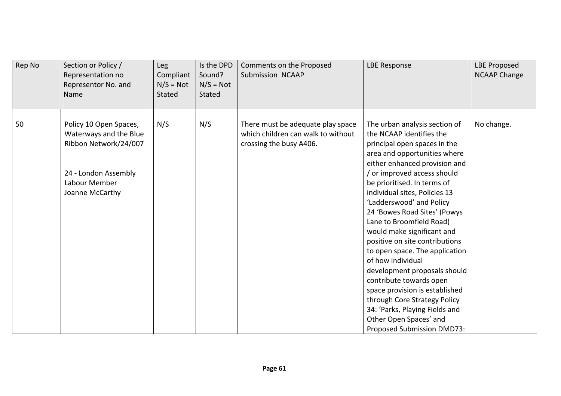| Rep No | Section or Policy /<br>Representation no<br>Representor No. and<br>Name                                                               | <b>Leg</b><br>Compliant<br>$N/S = Not$<br>Stated | Is the DPD<br>Sound?<br>$N/S = Not$<br><b>Stated</b> | Comments on the Proposed<br>Submission NCAAP                                                       | <b>LBE Response</b>                                                                                                                                                                                                                                                                                                                                                                                                                                                                                                                                                                                                                                                                           | <b>LBE Proposed</b><br><b>NCAAP Change</b> |
|--------|---------------------------------------------------------------------------------------------------------------------------------------|--------------------------------------------------|------------------------------------------------------|----------------------------------------------------------------------------------------------------|-----------------------------------------------------------------------------------------------------------------------------------------------------------------------------------------------------------------------------------------------------------------------------------------------------------------------------------------------------------------------------------------------------------------------------------------------------------------------------------------------------------------------------------------------------------------------------------------------------------------------------------------------------------------------------------------------|--------------------------------------------|
| 50     | Policy 10 Open Spaces,<br>Waterways and the Blue<br>Ribbon Network/24/007<br>24 - London Assembly<br>Labour Member<br>Joanne McCarthy | N/S                                              | N/S                                                  | There must be adequate play space<br>which children can walk to without<br>crossing the busy A406. | The urban analysis section of<br>the NCAAP identifies the<br>principal open spaces in the<br>area and opportunities where<br>either enhanced provision and<br>or improved access should<br>be prioritised. In terms of<br>individual sites, Policies 13<br>'Ladderswood' and Policy<br>24 'Bowes Road Sites' (Powys<br>Lane to Broomfield Road)<br>would make significant and<br>positive on site contributions<br>to open space. The application<br>of how individual<br>development proposals should<br>contribute towards open<br>space provision is established<br>through Core Strategy Policy<br>34: 'Parks, Playing Fields and<br>Other Open Spaces' and<br>Proposed Submission DMD73: | No change.                                 |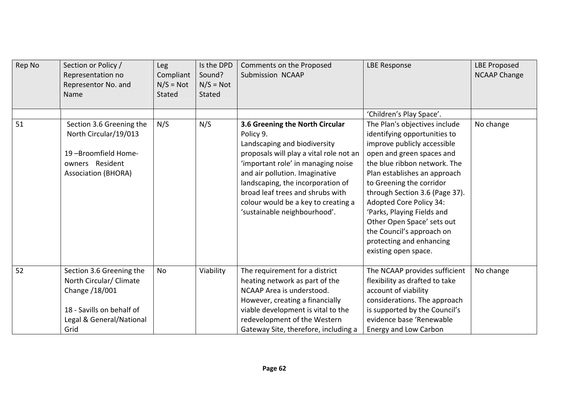| Rep No | Section or Policy /<br>Representation no<br>Representor No. and<br>Name                                                                | <b>Leg</b><br>Compliant<br>$N/S = Not$<br>Stated | Is the DPD<br>Sound?<br>$N/S = Not$<br>Stated | Comments on the Proposed<br>Submission NCAAP                                                                                                                                                                                                                                                                                                    | <b>LBE Response</b>                                                                                                                                                                                                                                                                                                                                                                                                                    | <b>LBE Proposed</b><br><b>NCAAP Change</b> |
|--------|----------------------------------------------------------------------------------------------------------------------------------------|--------------------------------------------------|-----------------------------------------------|-------------------------------------------------------------------------------------------------------------------------------------------------------------------------------------------------------------------------------------------------------------------------------------------------------------------------------------------------|----------------------------------------------------------------------------------------------------------------------------------------------------------------------------------------------------------------------------------------------------------------------------------------------------------------------------------------------------------------------------------------------------------------------------------------|--------------------------------------------|
|        |                                                                                                                                        |                                                  |                                               |                                                                                                                                                                                                                                                                                                                                                 | 'Children's Play Space'.                                                                                                                                                                                                                                                                                                                                                                                                               |                                            |
| 51     | Section 3.6 Greening the<br>North Circular/19/013<br>19-Broomfield Home-<br>owners Resident<br><b>Association (BHORA)</b>              | N/S                                              | N/S                                           | 3.6 Greening the North Circular<br>Policy 9.<br>Landscaping and biodiversity<br>proposals will play a vital role not an<br>'important role' in managing noise<br>and air pollution. Imaginative<br>landscaping, the incorporation of<br>broad leaf trees and shrubs with<br>colour would be a key to creating a<br>'sustainable neighbourhood'. | The Plan's objectives include<br>identifying opportunities to<br>improve publicly accessible<br>open and green spaces and<br>the blue ribbon network. The<br>Plan establishes an approach<br>to Greening the corridor<br>through Section 3.6 (Page 37).<br><b>Adopted Core Policy 34:</b><br>'Parks, Playing Fields and<br>Other Open Space' sets out<br>the Council's approach on<br>protecting and enhancing<br>existing open space. | No change                                  |
| 52     | Section 3.6 Greening the<br>North Circular/ Climate<br>Change /18/001<br>18 - Savills on behalf of<br>Legal & General/National<br>Grid | No                                               | Viability                                     | The requirement for a district<br>heating network as part of the<br>NCAAP Area is understood.<br>However, creating a financially<br>viable development is vital to the<br>redevelopment of the Western<br>Gateway Site, therefore, including a                                                                                                  | The NCAAP provides sufficient<br>flexibility as drafted to take<br>account of viability<br>considerations. The approach<br>is supported by the Council's<br>evidence base 'Renewable<br>Energy and Low Carbon                                                                                                                                                                                                                          | No change                                  |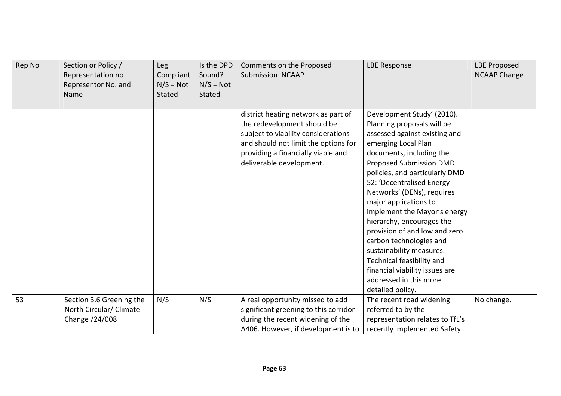| Rep No | Section or Policy /<br>Representation no<br>Representor No. and<br>Name | <b>Leg</b><br>Compliant<br>$N/S = Not$<br>Stated | Is the DPD<br>Sound?<br>$N/S = Not$<br><b>Stated</b> | Comments on the Proposed<br>Submission NCAAP                                                                                                                                                                        | <b>LBE Response</b>                                                                                                                                                                                                                                                                                                                                                                                                                                                                                                                                                    | <b>LBE Proposed</b><br><b>NCAAP Change</b> |
|--------|-------------------------------------------------------------------------|--------------------------------------------------|------------------------------------------------------|---------------------------------------------------------------------------------------------------------------------------------------------------------------------------------------------------------------------|------------------------------------------------------------------------------------------------------------------------------------------------------------------------------------------------------------------------------------------------------------------------------------------------------------------------------------------------------------------------------------------------------------------------------------------------------------------------------------------------------------------------------------------------------------------------|--------------------------------------------|
|        |                                                                         |                                                  |                                                      | district heating network as part of<br>the redevelopment should be<br>subject to viability considerations<br>and should not limit the options for<br>providing a financially viable and<br>deliverable development. | Development Study' (2010).<br>Planning proposals will be<br>assessed against existing and<br>emerging Local Plan<br>documents, including the<br><b>Proposed Submission DMD</b><br>policies, and particularly DMD<br>52: 'Decentralised Energy<br>Networks' (DENs), requires<br>major applications to<br>implement the Mayor's energy<br>hierarchy, encourages the<br>provision of and low and zero<br>carbon technologies and<br>sustainability measures.<br>Technical feasibility and<br>financial viability issues are<br>addressed in this more<br>detailed policy. |                                            |
| 53     | Section 3.6 Greening the<br>North Circular/ Climate<br>Change /24/008   | N/S                                              | N/S                                                  | A real opportunity missed to add<br>significant greening to this corridor<br>during the recent widening of the<br>A406. However, if development is to                                                               | The recent road widening<br>referred to by the<br>representation relates to TfL's<br>recently implemented Safety                                                                                                                                                                                                                                                                                                                                                                                                                                                       | No change.                                 |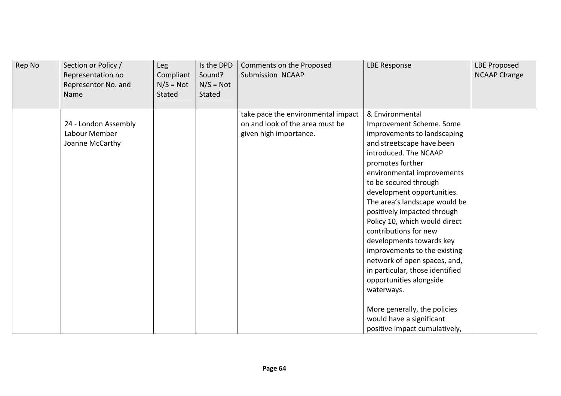| Rep No | Section or Policy /<br>Representation no<br>Representor No. and<br>Name | Leg<br>Compliant<br>$N/S = Not$<br>Stated | Is the DPD<br>Sound?<br>$N/S = Not$<br>Stated | Comments on the Proposed<br>Submission NCAAP                                                    | <b>LBE Response</b>                                                                                                                                                                                                                                                                                                                                                                                                                                                                                                                                                                                     | <b>LBE Proposed</b><br><b>NCAAP Change</b> |
|--------|-------------------------------------------------------------------------|-------------------------------------------|-----------------------------------------------|-------------------------------------------------------------------------------------------------|---------------------------------------------------------------------------------------------------------------------------------------------------------------------------------------------------------------------------------------------------------------------------------------------------------------------------------------------------------------------------------------------------------------------------------------------------------------------------------------------------------------------------------------------------------------------------------------------------------|--------------------------------------------|
|        | 24 - London Assembly<br>Labour Member<br>Joanne McCarthy                |                                           |                                               | take pace the environmental impact<br>on and look of the area must be<br>given high importance. | & Environmental<br>Improvement Scheme. Some<br>improvements to landscaping<br>and streetscape have been<br>introduced. The NCAAP<br>promotes further<br>environmental improvements<br>to be secured through<br>development opportunities.<br>The area's landscape would be<br>positively impacted through<br>Policy 10, which would direct<br>contributions for new<br>developments towards key<br>improvements to the existing<br>network of open spaces, and,<br>in particular, those identified<br>opportunities alongside<br>waterways.<br>More generally, the policies<br>would have a significant |                                            |
|        |                                                                         |                                           |                                               |                                                                                                 | positive impact cumulatively,                                                                                                                                                                                                                                                                                                                                                                                                                                                                                                                                                                           |                                            |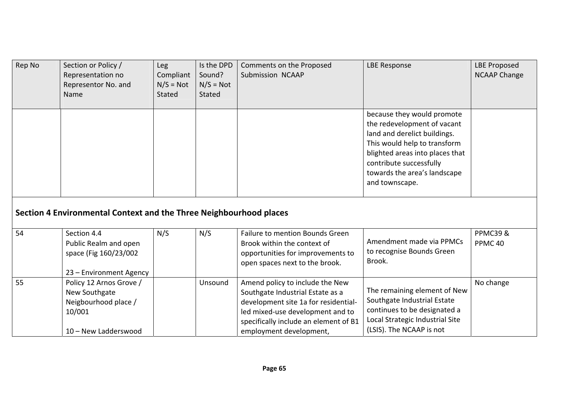| Rep No | Section or Policy /<br>Representation no<br>Representor No. and<br>Name                            | <b>Leg</b><br>Compliant<br>$N/S = Not$<br><b>Stated</b> | Is the DPD<br>Sound?<br>$N/S = Not$<br>Stated | Comments on the Proposed<br>Submission NCAAP                                                                                                                                                                        | <b>LBE Response</b>                                                                                                                                                                                                                       | <b>LBE Proposed</b><br><b>NCAAP Change</b> |
|--------|----------------------------------------------------------------------------------------------------|---------------------------------------------------------|-----------------------------------------------|---------------------------------------------------------------------------------------------------------------------------------------------------------------------------------------------------------------------|-------------------------------------------------------------------------------------------------------------------------------------------------------------------------------------------------------------------------------------------|--------------------------------------------|
|        |                                                                                                    |                                                         |                                               |                                                                                                                                                                                                                     | because they would promote<br>the redevelopment of vacant<br>land and derelict buildings.<br>This would help to transform<br>blighted areas into places that<br>contribute successfully<br>towards the area's landscape<br>and townscape. |                                            |
|        | Section 4 Environmental Context and the Three Neighbourhood places                                 |                                                         |                                               |                                                                                                                                                                                                                     |                                                                                                                                                                                                                                           |                                            |
| 54     | Section 4.4<br>Public Realm and open<br>space (Fig 160/23/002<br>23 - Environment Agency           | N/S                                                     | N/S                                           | Failure to mention Bounds Green<br>Brook within the context of<br>opportunities for improvements to<br>open spaces next to the brook.                                                                               | Amendment made via PPMCs<br>to recognise Bounds Green<br>Brook.                                                                                                                                                                           | <b>PPMC39&amp;</b><br>PPMC <sub>40</sub>   |
| 55     | Policy 12 Arnos Grove /<br>New Southgate<br>Neigbourhood place /<br>10/001<br>10 - New Ladderswood |                                                         | Unsound                                       | Amend policy to include the New<br>Southgate Industrial Estate as a<br>development site 1a for residential-<br>led mixed-use development and to<br>specifically include an element of B1<br>employment development, | The remaining element of New<br>Southgate Industrial Estate<br>continues to be designated a<br>Local Strategic Industrial Site<br>(LSIS). The NCAAP is not                                                                                | No change                                  |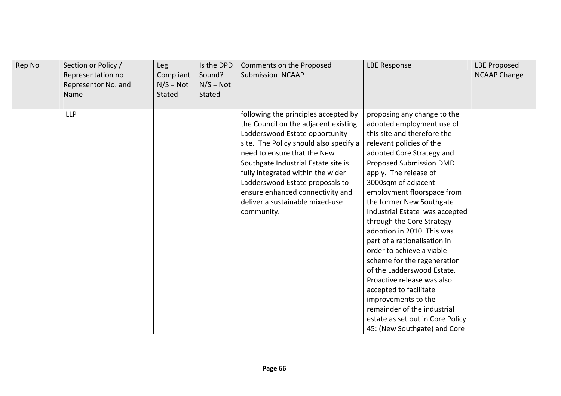| Rep No | Section or Policy /<br>Representation no<br>Representor No. and<br>Name | Leg<br>Compliant<br>$N/S = Not$<br>Stated | Is the DPD<br>Sound?<br>$N/S = Not$<br>Stated | Comments on the Proposed<br>Submission NCAAP                                                                                                                                                                                                                                                                                                                                                | <b>LBE Response</b>                                                                                                                                                                                                                                                                                                                                                                                                                                                                                                                                                                                                                                                                                   | <b>LBE Proposed</b><br><b>NCAAP Change</b> |
|--------|-------------------------------------------------------------------------|-------------------------------------------|-----------------------------------------------|---------------------------------------------------------------------------------------------------------------------------------------------------------------------------------------------------------------------------------------------------------------------------------------------------------------------------------------------------------------------------------------------|-------------------------------------------------------------------------------------------------------------------------------------------------------------------------------------------------------------------------------------------------------------------------------------------------------------------------------------------------------------------------------------------------------------------------------------------------------------------------------------------------------------------------------------------------------------------------------------------------------------------------------------------------------------------------------------------------------|--------------------------------------------|
|        | <b>LLP</b>                                                              |                                           |                                               | following the principles accepted by<br>the Council on the adjacent existing<br>Ladderswood Estate opportunity<br>site. The Policy should also specify a<br>need to ensure that the New<br>Southgate Industrial Estate site is<br>fully integrated within the wider<br>Ladderswood Estate proposals to<br>ensure enhanced connectivity and<br>deliver a sustainable mixed-use<br>community. | proposing any change to the<br>adopted employment use of<br>this site and therefore the<br>relevant policies of the<br>adopted Core Strategy and<br><b>Proposed Submission DMD</b><br>apply. The release of<br>3000sqm of adjacent<br>employment floorspace from<br>the former New Southgate<br>Industrial Estate was accepted<br>through the Core Strategy<br>adoption in 2010. This was<br>part of a rationalisation in<br>order to achieve a viable<br>scheme for the regeneration<br>of the Ladderswood Estate.<br>Proactive release was also<br>accepted to facilitate<br>improvements to the<br>remainder of the industrial<br>estate as set out in Core Policy<br>45: (New Southgate) and Core |                                            |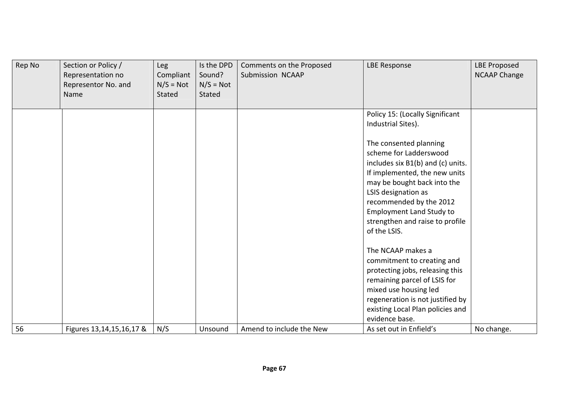| Rep No | Section or Policy /<br>Representation no<br>Representor No. and<br>Name | Leg<br>Compliant<br>$N/S = Not$<br>Stated | Is the DPD<br>Sound?<br>$N/S = Not$<br><b>Stated</b> | Comments on the Proposed<br>Submission NCAAP | <b>LBE Response</b>                                                                                                                                                                                                                                                                           | <b>LBE Proposed</b><br><b>NCAAP Change</b> |
|--------|-------------------------------------------------------------------------|-------------------------------------------|------------------------------------------------------|----------------------------------------------|-----------------------------------------------------------------------------------------------------------------------------------------------------------------------------------------------------------------------------------------------------------------------------------------------|--------------------------------------------|
|        |                                                                         |                                           |                                                      |                                              | Policy 15: (Locally Significant<br>Industrial Sites).                                                                                                                                                                                                                                         |                                            |
|        |                                                                         |                                           |                                                      |                                              | The consented planning<br>scheme for Ladderswood<br>includes six B1(b) and (c) units.<br>If implemented, the new units<br>may be bought back into the<br>LSIS designation as<br>recommended by the 2012<br><b>Employment Land Study to</b><br>strengthen and raise to profile<br>of the LSIS. |                                            |
| 56     |                                                                         | N/S                                       | Unsound                                              | Amend to include the New                     | The NCAAP makes a<br>commitment to creating and<br>protecting jobs, releasing this<br>remaining parcel of LSIS for<br>mixed use housing led<br>regeneration is not justified by<br>existing Local Plan policies and<br>evidence base.<br>As set out in Enfield's                              | No change.                                 |
|        | Figures 13, 14, 15, 16, 17 &                                            |                                           |                                                      |                                              |                                                                                                                                                                                                                                                                                               |                                            |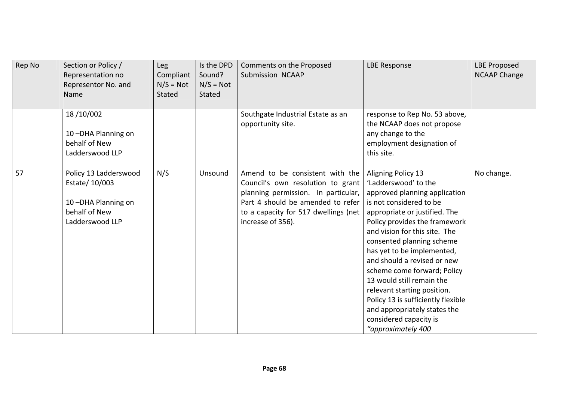| Rep No | Section or Policy /<br>Representation no<br>Representor No. and<br>Name                           | Leg<br>Compliant<br>$N/S = Not$<br>Stated | Is the DPD<br>Sound?<br>$N/S = Not$<br>Stated | Comments on the Proposed<br>Submission NCAAP                                                                                                                                                                  | <b>LBE Response</b>                                                                                                                                                                                                                                                                                                                                                                                                                                                                                                  | <b>LBE Proposed</b><br><b>NCAAP Change</b> |
|--------|---------------------------------------------------------------------------------------------------|-------------------------------------------|-----------------------------------------------|---------------------------------------------------------------------------------------------------------------------------------------------------------------------------------------------------------------|----------------------------------------------------------------------------------------------------------------------------------------------------------------------------------------------------------------------------------------------------------------------------------------------------------------------------------------------------------------------------------------------------------------------------------------------------------------------------------------------------------------------|--------------------------------------------|
|        | 18/10/002<br>10-DHA Planning on<br>behalf of New<br>Ladderswood LLP                               |                                           |                                               | Southgate Industrial Estate as an<br>opportunity site.                                                                                                                                                        | response to Rep No. 53 above,<br>the NCAAP does not propose<br>any change to the<br>employment designation of<br>this site.                                                                                                                                                                                                                                                                                                                                                                                          |                                            |
| 57     | Policy 13 Ladderswood<br>Estate/ 10/003<br>10-DHA Planning on<br>behalf of New<br>Ladderswood LLP | N/S                                       | Unsound                                       | Amend to be consistent with the<br>Council's own resolution to grant<br>planning permission. In particular,<br>Part 4 should be amended to refer<br>to a capacity for 517 dwellings (net<br>increase of 356). | Aligning Policy 13<br>'Ladderswood' to the<br>approved planning application<br>is not considered to be<br>appropriate or justified. The<br>Policy provides the framework<br>and vision for this site. The<br>consented planning scheme<br>has yet to be implemented,<br>and should a revised or new<br>scheme come forward; Policy<br>13 would still remain the<br>relevant starting position.<br>Policy 13 is sufficiently flexible<br>and appropriately states the<br>considered capacity is<br>"approximately 400 | No change.                                 |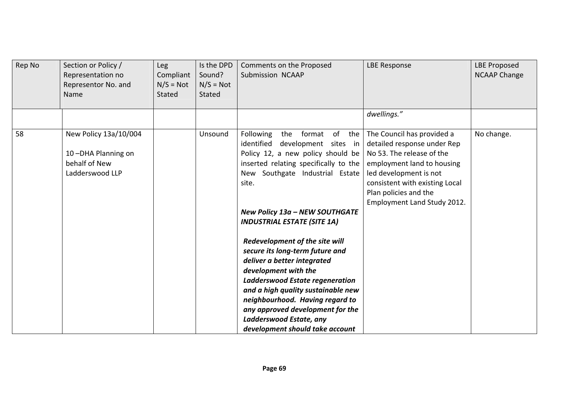| Rep No | Section or Policy /<br>Representation no<br>Representor No. and<br>Name         | Leg<br>Compliant<br>$N/S = Not$<br>Stated | Is the DPD<br>Sound?<br>$N/S = Not$<br>Stated | Comments on the Proposed<br>Submission NCAAP                                                                                                                                                                                                                                                                                                                                                                                                                                                                                                                                           | <b>LBE Response</b>                                                                                                                                                                                                                      | <b>LBE Proposed</b><br><b>NCAAP Change</b> |
|--------|---------------------------------------------------------------------------------|-------------------------------------------|-----------------------------------------------|----------------------------------------------------------------------------------------------------------------------------------------------------------------------------------------------------------------------------------------------------------------------------------------------------------------------------------------------------------------------------------------------------------------------------------------------------------------------------------------------------------------------------------------------------------------------------------------|------------------------------------------------------------------------------------------------------------------------------------------------------------------------------------------------------------------------------------------|--------------------------------------------|
|        |                                                                                 |                                           |                                               |                                                                                                                                                                                                                                                                                                                                                                                                                                                                                                                                                                                        | dwellings."                                                                                                                                                                                                                              |                                            |
| 58     | New Policy 13a/10/004<br>10-DHA Planning on<br>behalf of New<br>Ladderswood LLP |                                           | Unsound                                       | Following<br>of<br>format<br>the<br>the<br>identified<br>development sites in<br>Policy 12, a new policy should be<br>inserted relating specifically to the<br>New Southgate Industrial Estate<br>site.<br>New Policy 13a - NEW SOUTHGATE<br><b>INDUSTRIAL ESTATE (SITE 1A)</b><br>Redevelopment of the site will<br>secure its long-term future and<br>deliver a better integrated<br>development with the<br>Ladderswood Estate regeneration<br>and a high quality sustainable new<br>neighbourhood. Having regard to<br>any approved development for the<br>Ladderswood Estate, any | The Council has provided a<br>detailed response under Rep<br>No 53. The release of the<br>employment land to housing<br>led development is not<br>consistent with existing Local<br>Plan policies and the<br>Employment Land Study 2012. | No change.                                 |
|        |                                                                                 |                                           |                                               | development should take account                                                                                                                                                                                                                                                                                                                                                                                                                                                                                                                                                        |                                                                                                                                                                                                                                          |                                            |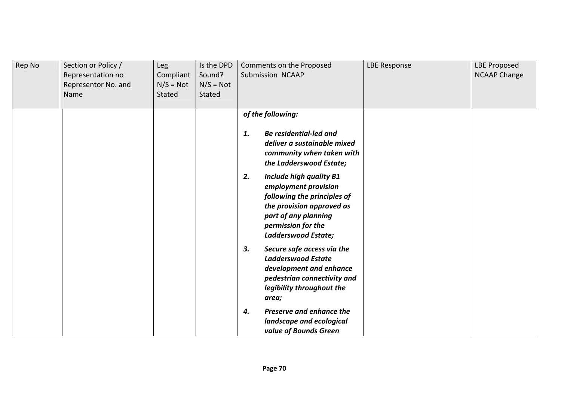| Rep No | Section or Policy /<br>Representation no<br>Representor No. and<br>Name | Leg<br>Compliant<br>$N/S = Not$<br>Stated | Is the DPD<br>Sound?<br>$N/S = Not$<br>Stated | Comments on the Proposed<br>Submission NCAAP                                                                                                                                                                                                                                                        | <b>LBE Response</b> | <b>LBE Proposed</b><br><b>NCAAP Change</b> |
|--------|-------------------------------------------------------------------------|-------------------------------------------|-----------------------------------------------|-----------------------------------------------------------------------------------------------------------------------------------------------------------------------------------------------------------------------------------------------------------------------------------------------------|---------------------|--------------------------------------------|
|        |                                                                         |                                           |                                               | of the following:<br><b>Be residential-led and</b><br>1.<br>deliver a sustainable mixed<br>community when taken with<br>the Ladderswood Estate;<br>2.<br><b>Include high quality B1</b><br>employment provision<br>following the principles of<br>the provision approved as<br>part of any planning |                     |                                            |
|        |                                                                         |                                           |                                               | permission for the<br>Ladderswood Estate;<br>Secure safe access via the<br>3.                                                                                                                                                                                                                       |                     |                                            |
|        |                                                                         |                                           |                                               | <b>Ladderswood Estate</b><br>development and enhance<br>pedestrian connectivity and<br>legibility throughout the<br>area;                                                                                                                                                                           |                     |                                            |
|        |                                                                         |                                           |                                               | Preserve and enhance the<br>4.<br>landscape and ecological<br>value of Bounds Green                                                                                                                                                                                                                 |                     |                                            |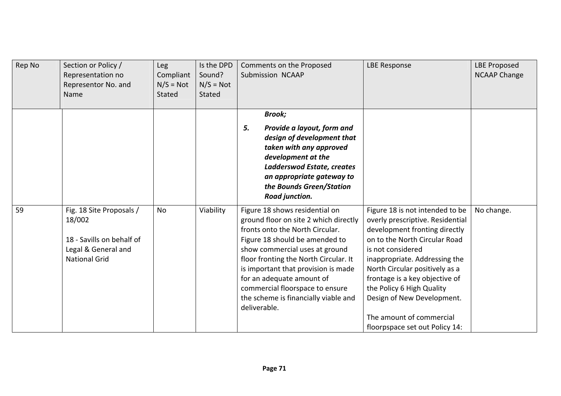| Rep No | Section or Policy /<br>Representation no<br>Representor No. and<br>Name                                        | <b>Leg</b><br>Compliant<br>$N/S = Not$<br>Stated | Is the DPD<br>Sound?<br>$N/S = Not$<br>Stated | Comments on the Proposed<br>Submission NCAAP                                                                                                                                                                                                                                                                                                                                           | <b>LBE Response</b>                                                                                                                                                                                                                                                                                                                                                                      | <b>LBE Proposed</b><br><b>NCAAP Change</b> |
|--------|----------------------------------------------------------------------------------------------------------------|--------------------------------------------------|-----------------------------------------------|----------------------------------------------------------------------------------------------------------------------------------------------------------------------------------------------------------------------------------------------------------------------------------------------------------------------------------------------------------------------------------------|------------------------------------------------------------------------------------------------------------------------------------------------------------------------------------------------------------------------------------------------------------------------------------------------------------------------------------------------------------------------------------------|--------------------------------------------|
|        |                                                                                                                |                                                  |                                               | <b>Brook;</b><br>5.<br>Provide a layout, form and<br>design of development that<br>taken with any approved<br>development at the<br>Ladderswod Estate, creates<br>an appropriate gateway to<br>the Bounds Green/Station<br>Road junction.                                                                                                                                              |                                                                                                                                                                                                                                                                                                                                                                                          |                                            |
| 59     | Fig. 18 Site Proposals /<br>18/002<br>18 - Savills on behalf of<br>Legal & General and<br><b>National Grid</b> | <b>No</b>                                        | Viability                                     | Figure 18 shows residential on<br>ground floor on site 2 which directly<br>fronts onto the North Circular.<br>Figure 18 should be amended to<br>show commercial uses at ground<br>floor fronting the North Circular. It<br>is important that provision is made<br>for an adequate amount of<br>commercial floorspace to ensure<br>the scheme is financially viable and<br>deliverable. | Figure 18 is not intended to be<br>overly prescriptive. Residential<br>development fronting directly<br>on to the North Circular Road<br>is not considered<br>inappropriate. Addressing the<br>North Circular positively as a<br>frontage is a key objective of<br>the Policy 6 High Quality<br>Design of New Development.<br>The amount of commercial<br>floorpspace set out Policy 14: | No change.                                 |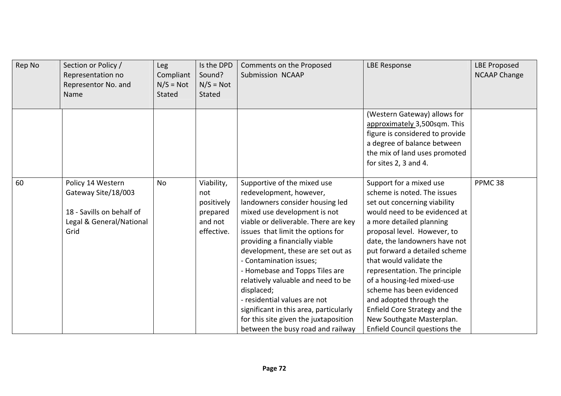| Rep No | Section or Policy /<br>Representation no<br>Representor No. and<br>Name                                   | <b>Leg</b><br>Compliant<br>$N/S = Not$<br>Stated | Is the DPD<br>Sound?<br>$N/S = Not$<br>Stated                        | Comments on the Proposed<br><b>Submission NCAAP</b>                                                                                                                                                                                                                                                                                                                                                                                                                                                                                                    | <b>LBE Response</b>                                                                                                                                                                                                                                                                                                                                                                                                                                                                                   | <b>LBE Proposed</b><br><b>NCAAP Change</b> |
|--------|-----------------------------------------------------------------------------------------------------------|--------------------------------------------------|----------------------------------------------------------------------|--------------------------------------------------------------------------------------------------------------------------------------------------------------------------------------------------------------------------------------------------------------------------------------------------------------------------------------------------------------------------------------------------------------------------------------------------------------------------------------------------------------------------------------------------------|-------------------------------------------------------------------------------------------------------------------------------------------------------------------------------------------------------------------------------------------------------------------------------------------------------------------------------------------------------------------------------------------------------------------------------------------------------------------------------------------------------|--------------------------------------------|
|        |                                                                                                           |                                                  |                                                                      |                                                                                                                                                                                                                                                                                                                                                                                                                                                                                                                                                        | (Western Gateway) allows for<br>approximately 3,500sqm. This<br>figure is considered to provide<br>a degree of balance between<br>the mix of land uses promoted<br>for sites 2, 3 and 4.                                                                                                                                                                                                                                                                                                              |                                            |
| 60     | Policy 14 Western<br>Gateway Site/18/003<br>18 - Savills on behalf of<br>Legal & General/National<br>Grid | <b>No</b>                                        | Viability,<br>not<br>positively<br>prepared<br>and not<br>effective. | Supportive of the mixed use<br>redevelopment, however,<br>landowners consider housing led<br>mixed use development is not<br>viable or deliverable. There are key<br>issues that limit the options for<br>providing a financially viable<br>development, these are set out as<br>- Contamination issues;<br>- Homebase and Topps Tiles are<br>relatively valuable and need to be<br>displaced;<br>- residential values are not<br>significant in this area, particularly<br>for this site given the juxtaposition<br>between the busy road and railway | Support for a mixed use<br>scheme is noted. The issues<br>set out concerning viability<br>would need to be evidenced at<br>a more detailed planning<br>proposal level. However, to<br>date, the landowners have not<br>put forward a detailed scheme<br>that would validate the<br>representation. The principle<br>of a housing-led mixed-use<br>scheme has been evidenced<br>and adopted through the<br>Enfield Core Strategy and the<br>New Southgate Masterplan.<br>Enfield Council questions the | PPMC <sub>38</sub>                         |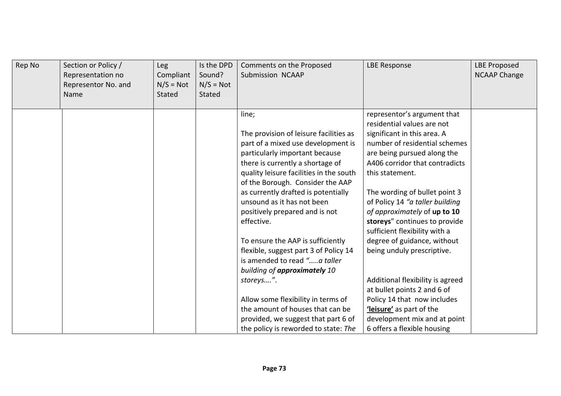| Rep No | Section or Policy /<br>Representation no<br>Representor No. and<br>Name | Leg<br>Compliant<br>$N/S = Not$<br>Stated | Is the DPD<br>Sound?<br>$N/S = Not$<br>Stated | Comments on the Proposed<br>Submission NCAAP                                                                                                                                                                                                                                                                                                                                                                                                                                                                                                                                                                                                                                        | <b>LBE Response</b>                                                                                                                                                                                                                                                                                                                                                                                                                                                                                                                                                                                                                          | <b>LBE Proposed</b><br><b>NCAAP Change</b> |
|--------|-------------------------------------------------------------------------|-------------------------------------------|-----------------------------------------------|-------------------------------------------------------------------------------------------------------------------------------------------------------------------------------------------------------------------------------------------------------------------------------------------------------------------------------------------------------------------------------------------------------------------------------------------------------------------------------------------------------------------------------------------------------------------------------------------------------------------------------------------------------------------------------------|----------------------------------------------------------------------------------------------------------------------------------------------------------------------------------------------------------------------------------------------------------------------------------------------------------------------------------------------------------------------------------------------------------------------------------------------------------------------------------------------------------------------------------------------------------------------------------------------------------------------------------------------|--------------------------------------------|
|        |                                                                         |                                           |                                               | line;<br>The provision of leisure facilities as<br>part of a mixed use development is<br>particularly important because<br>there is currently a shortage of<br>quality leisure facilities in the south<br>of the Borough. Consider the AAP<br>as currently drafted is potentially<br>unsound as it has not been<br>positively prepared and is not<br>effective.<br>To ensure the AAP is sufficiently<br>flexible, suggest part 3 of Policy 14<br>is amended to read "a taller<br>building of approximately 10<br>storeys".<br>Allow some flexibility in terms of<br>the amount of houses that can be<br>provided, we suggest that part 6 of<br>the policy is reworded to state: The | representor's argument that<br>residential values are not<br>significant in this area. A<br>number of residential schemes<br>are being pursued along the<br>A406 corridor that contradicts<br>this statement.<br>The wording of bullet point 3<br>of Policy 14 "a taller building<br>of approximately of up to 10<br>storeys" continues to provide<br>sufficient flexibility with a<br>degree of guidance, without<br>being unduly prescriptive.<br>Additional flexibility is agreed<br>at bullet points 2 and 6 of<br>Policy 14 that now includes<br>leisure' as part of the<br>development mix and at point<br>6 offers a flexible housing |                                            |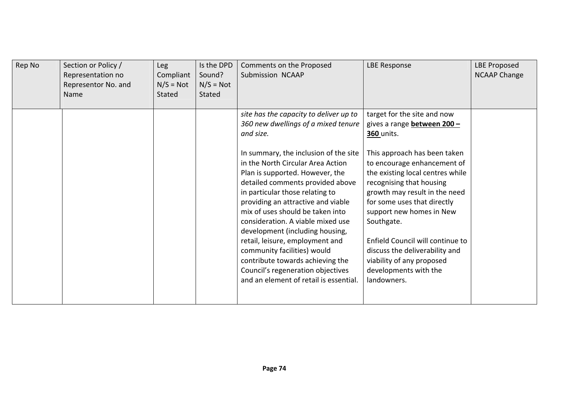| Rep No | Section or Policy /<br>Representation no<br>Representor No. and<br>Name | Leg<br>Compliant<br>$N/S = Not$<br><b>Stated</b> | Is the DPD<br>Sound?<br>$N/S = Not$<br>Stated | Comments on the Proposed<br>Submission NCAAP                                                                                                                                                                                                                                                                                                                                                                                                                                                                                                                                                                              | <b>LBE Response</b>                                                                                                                                                                                                                                                                                                                                                                                                                                                 | <b>LBE Proposed</b><br><b>NCAAP Change</b> |
|--------|-------------------------------------------------------------------------|--------------------------------------------------|-----------------------------------------------|---------------------------------------------------------------------------------------------------------------------------------------------------------------------------------------------------------------------------------------------------------------------------------------------------------------------------------------------------------------------------------------------------------------------------------------------------------------------------------------------------------------------------------------------------------------------------------------------------------------------------|---------------------------------------------------------------------------------------------------------------------------------------------------------------------------------------------------------------------------------------------------------------------------------------------------------------------------------------------------------------------------------------------------------------------------------------------------------------------|--------------------------------------------|
|        |                                                                         |                                                  |                                               | site has the capacity to deliver up to<br>360 new dwellings of a mixed tenure<br>and size.<br>In summary, the inclusion of the site<br>in the North Circular Area Action<br>Plan is supported. However, the<br>detailed comments provided above<br>in particular those relating to<br>providing an attractive and viable<br>mix of uses should be taken into<br>consideration. A viable mixed use<br>development (including housing,<br>retail, leisure, employment and<br>community facilities) would<br>contribute towards achieving the<br>Council's regeneration objectives<br>and an element of retail is essential. | target for the site and now<br>gives a range <b>between 200 -</b><br>360 units.<br>This approach has been taken<br>to encourage enhancement of<br>the existing local centres while<br>recognising that housing<br>growth may result in the need<br>for some uses that directly<br>support new homes in New<br>Southgate.<br>Enfield Council will continue to<br>discuss the deliverability and<br>viability of any proposed<br>developments with the<br>landowners. |                                            |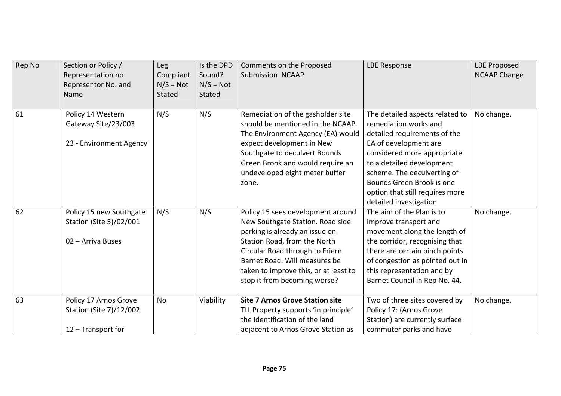| Rep No | Section or Policy /<br>Representation no<br>Representor No. and<br>Name | <b>Leg</b><br>Compliant<br>$N/S = Not$<br><b>Stated</b> | Is the DPD<br>Sound?<br>$N/S = Not$<br><b>Stated</b> | Comments on the Proposed<br>Submission NCAAP                                                                                                                                                                                                                                         | <b>LBE Response</b>                                                                                                                                                                                                                                                                                     | <b>LBE Proposed</b><br><b>NCAAP Change</b> |
|--------|-------------------------------------------------------------------------|---------------------------------------------------------|------------------------------------------------------|--------------------------------------------------------------------------------------------------------------------------------------------------------------------------------------------------------------------------------------------------------------------------------------|---------------------------------------------------------------------------------------------------------------------------------------------------------------------------------------------------------------------------------------------------------------------------------------------------------|--------------------------------------------|
| 61     | Policy 14 Western<br>Gateway Site/23/003<br>23 - Environment Agency     | N/S                                                     | N/S                                                  | Remediation of the gasholder site<br>should be mentioned in the NCAAP.<br>The Environment Agency (EA) would<br>expect development in New<br>Southgate to deculvert Bounds<br>Green Brook and would require an<br>undeveloped eight meter buffer<br>zone.                             | The detailed aspects related to<br>remediation works and<br>detailed requirements of the<br>EA of development are<br>considered more appropriate<br>to a detailed development<br>scheme. The deculverting of<br>Bounds Green Brook is one<br>option that still requires more<br>detailed investigation. | No change.                                 |
| 62     | Policy 15 new Southgate<br>Station (Site 5)/02/001<br>02 - Arriva Buses | N/S                                                     | N/S                                                  | Policy 15 sees development around<br>New Southgate Station. Road side<br>parking is already an issue on<br>Station Road, from the North<br>Circular Road through to Friern<br>Barnet Road. Will measures be<br>taken to improve this, or at least to<br>stop it from becoming worse? | The aim of the Plan is to<br>improve transport and<br>movement along the length of<br>the corridor, recognising that<br>there are certain pinch points<br>of congestion as pointed out in<br>this representation and by<br>Barnet Council in Rep No. 44.                                                | No change.                                 |
| 63     | Policy 17 Arnos Grove<br>Station (Site 7)/12/002<br>12 - Transport for  | No                                                      | Viability                                            | <b>Site 7 Arnos Grove Station site</b><br>TfL Property supports 'in principle'<br>the identification of the land<br>adjacent to Arnos Grove Station as                                                                                                                               | Two of three sites covered by<br>Policy 17: (Arnos Grove<br>Station) are currently surface<br>commuter parks and have                                                                                                                                                                                   | No change.                                 |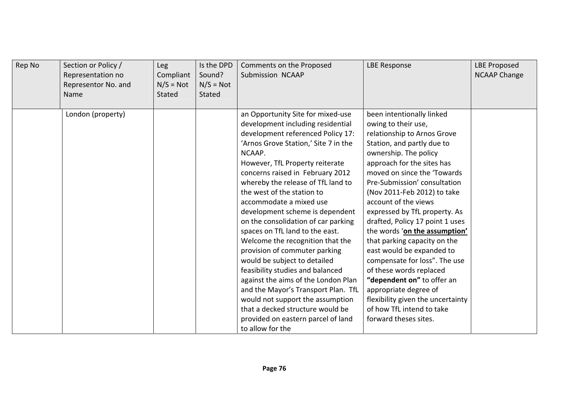| Rep No | Section or Policy /<br>Representation no<br>Representor No. and<br>Name | Leg<br>Compliant<br>$N/S = Not$<br>Stated | Is the DPD<br>Sound?<br>$N/S = Not$<br><b>Stated</b> | Comments on the Proposed<br>Submission NCAAP                                                                                                                                                                                                                                                                                                                                                                                                                                                                                                                                                                                                                                                                                                                                                              | <b>LBE Response</b>                                                                                                                                                                                                                                                                                                                                                                                                                                                                                                                                                                                                                                                        | <b>LBE Proposed</b><br><b>NCAAP Change</b> |
|--------|-------------------------------------------------------------------------|-------------------------------------------|------------------------------------------------------|-----------------------------------------------------------------------------------------------------------------------------------------------------------------------------------------------------------------------------------------------------------------------------------------------------------------------------------------------------------------------------------------------------------------------------------------------------------------------------------------------------------------------------------------------------------------------------------------------------------------------------------------------------------------------------------------------------------------------------------------------------------------------------------------------------------|----------------------------------------------------------------------------------------------------------------------------------------------------------------------------------------------------------------------------------------------------------------------------------------------------------------------------------------------------------------------------------------------------------------------------------------------------------------------------------------------------------------------------------------------------------------------------------------------------------------------------------------------------------------------------|--------------------------------------------|
|        | London (property)                                                       |                                           |                                                      | an Opportunity Site for mixed-use<br>development including residential<br>development referenced Policy 17:<br>'Arnos Grove Station,' Site 7 in the<br>NCAAP.<br>However, TfL Property reiterate<br>concerns raised in February 2012<br>whereby the release of TfL land to<br>the west of the station to<br>accommodate a mixed use<br>development scheme is dependent<br>on the consolidation of car parking<br>spaces on TfL land to the east.<br>Welcome the recognition that the<br>provision of commuter parking<br>would be subject to detailed<br>feasibility studies and balanced<br>against the aims of the London Plan<br>and the Mayor's Transport Plan. TfL<br>would not support the assumption<br>that a decked structure would be<br>provided on eastern parcel of land<br>to allow for the | been intentionally linked<br>owing to their use,<br>relationship to Arnos Grove<br>Station, and partly due to<br>ownership. The policy<br>approach for the sites has<br>moved on since the 'Towards<br>Pre-Submission' consultation<br>(Nov 2011-Feb 2012) to take<br>account of the views<br>expressed by TfL property. As<br>drafted, Policy 17 point 1 uses<br>the words 'on the assumption'<br>that parking capacity on the<br>east would be expanded to<br>compensate for loss". The use<br>of these words replaced<br>"dependent on" to offer an<br>appropriate degree of<br>flexibility given the uncertainty<br>of how TfL intend to take<br>forward theses sites. |                                            |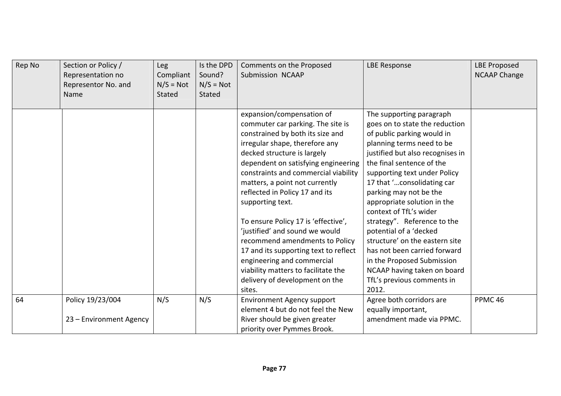| Rep No | Section or Policy /<br>Representation no<br>Representor No. and<br>Name | Leg<br>Compliant<br>$N/S = Not$<br><b>Stated</b> | Is the DPD<br>Sound?<br>$N/S = Not$<br><b>Stated</b> | Comments on the Proposed<br>Submission NCAAP                                                                                                                                                                                                                                                                                                                                                                                                                                                                                                                                                                    | <b>LBE Response</b>                                                                                                                                                                                                                                                                                                                                                                                                                                                                                                                                                    | <b>LBE Proposed</b><br><b>NCAAP Change</b> |
|--------|-------------------------------------------------------------------------|--------------------------------------------------|------------------------------------------------------|-----------------------------------------------------------------------------------------------------------------------------------------------------------------------------------------------------------------------------------------------------------------------------------------------------------------------------------------------------------------------------------------------------------------------------------------------------------------------------------------------------------------------------------------------------------------------------------------------------------------|------------------------------------------------------------------------------------------------------------------------------------------------------------------------------------------------------------------------------------------------------------------------------------------------------------------------------------------------------------------------------------------------------------------------------------------------------------------------------------------------------------------------------------------------------------------------|--------------------------------------------|
|        |                                                                         |                                                  |                                                      | expansion/compensation of<br>commuter car parking. The site is<br>constrained by both its size and<br>irregular shape, therefore any<br>decked structure is largely<br>dependent on satisfying engineering<br>constraints and commercial viability<br>matters, a point not currently<br>reflected in Policy 17 and its<br>supporting text.<br>To ensure Policy 17 is 'effective',<br>'justified' and sound we would<br>recommend amendments to Policy<br>17 and its supporting text to reflect<br>engineering and commercial<br>viability matters to facilitate the<br>delivery of development on the<br>sites. | The supporting paragraph<br>goes on to state the reduction<br>of public parking would in<br>planning terms need to be<br>justified but also recognises in<br>the final sentence of the<br>supporting text under Policy<br>17 that 'consolidating car<br>parking may not be the<br>appropriate solution in the<br>context of TfL's wider<br>strategy". Reference to the<br>potential of a 'decked<br>structure' on the eastern site<br>has not been carried forward<br>in the Proposed Submission<br>NCAAP having taken on board<br>TfL's previous comments in<br>2012. |                                            |
| 64     | Policy 19/23/004<br>23 - Environment Agency                             | N/S                                              | N/S                                                  | <b>Environment Agency support</b><br>element 4 but do not feel the New<br>River should be given greater<br>priority over Pymmes Brook.                                                                                                                                                                                                                                                                                                                                                                                                                                                                          | Agree both corridors are<br>equally important,<br>amendment made via PPMC.                                                                                                                                                                                                                                                                                                                                                                                                                                                                                             | PPMC <sub>46</sub>                         |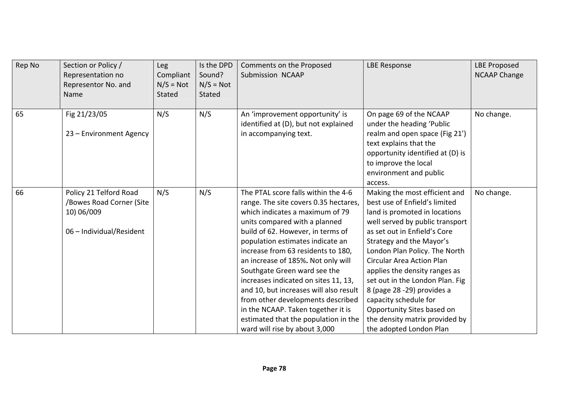| Rep No | Section or Policy /<br>Representation no<br>Representor No. and<br>Name                      | <b>Leg</b><br>Compliant<br>$N/S = Not$<br>Stated | Is the DPD<br>Sound?<br>$N/S = Not$<br><b>Stated</b> | Comments on the Proposed<br>Submission NCAAP                                                                                                                                                                                                                                                                                                                                                                                                                                                                                                                                | <b>LBE Response</b>                                                                                                                                                                                                                                                                                                                                                                                                                                                                        | <b>LBE Proposed</b><br><b>NCAAP Change</b> |
|--------|----------------------------------------------------------------------------------------------|--------------------------------------------------|------------------------------------------------------|-----------------------------------------------------------------------------------------------------------------------------------------------------------------------------------------------------------------------------------------------------------------------------------------------------------------------------------------------------------------------------------------------------------------------------------------------------------------------------------------------------------------------------------------------------------------------------|--------------------------------------------------------------------------------------------------------------------------------------------------------------------------------------------------------------------------------------------------------------------------------------------------------------------------------------------------------------------------------------------------------------------------------------------------------------------------------------------|--------------------------------------------|
| 65     | Fig 21/23/05<br>23 - Environment Agency                                                      | N/S                                              | N/S                                                  | An 'improvement opportunity' is<br>identified at (D), but not explained<br>in accompanying text.                                                                                                                                                                                                                                                                                                                                                                                                                                                                            | On page 69 of the NCAAP<br>under the heading 'Public<br>realm and open space (Fig 21')<br>text explains that the<br>opportunity identified at (D) is<br>to improve the local<br>environment and public<br>access.                                                                                                                                                                                                                                                                          | No change.                                 |
| 66     | Policy 21 Telford Road<br>/Bowes Road Corner (Site<br>10) 06/009<br>06 - Individual/Resident | N/S                                              | N/S                                                  | The PTAL score falls within the 4-6<br>range. The site covers 0.35 hectares,<br>which indicates a maximum of 79<br>units compared with a planned<br>build of 62. However, in terms of<br>population estimates indicate an<br>increase from 63 residents to 180,<br>an increase of 185%. Not only will<br>Southgate Green ward see the<br>increases indicated on sites 11, 13,<br>and 10, but increases will also result<br>from other developments described<br>in the NCAAP. Taken together it is<br>estimated that the population in the<br>ward will rise by about 3,000 | Making the most efficient and<br>best use of Enfield's limited<br>land is promoted in locations<br>well served by public transport<br>as set out in Enfield's Core<br>Strategy and the Mayor's<br>London Plan Policy. The North<br><b>Circular Area Action Plan</b><br>applies the density ranges as<br>set out in the London Plan. Fig.<br>8 (page 28 -29) provides a<br>capacity schedule for<br>Opportunity Sites based on<br>the density matrix provided by<br>the adopted London Plan | No change.                                 |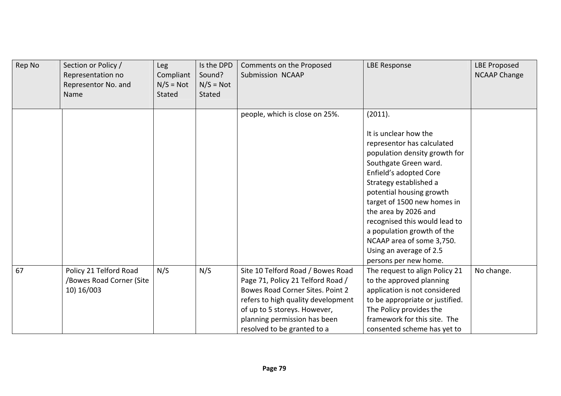| Rep No | Section or Policy /<br>Representation no<br>Representor No. and<br>Name | Leg<br>Compliant<br>$N/S = Not$<br>Stated | Is the DPD<br>Sound?<br>$N/S = Not$<br>Stated | Comments on the Proposed<br>Submission NCAAP                                                                                                                                                                                                    | <b>LBE Response</b>                                                                                                                                                                                                                                                                                                                                                                                             | <b>LBE Proposed</b><br><b>NCAAP Change</b> |
|--------|-------------------------------------------------------------------------|-------------------------------------------|-----------------------------------------------|-------------------------------------------------------------------------------------------------------------------------------------------------------------------------------------------------------------------------------------------------|-----------------------------------------------------------------------------------------------------------------------------------------------------------------------------------------------------------------------------------------------------------------------------------------------------------------------------------------------------------------------------------------------------------------|--------------------------------------------|
|        |                                                                         |                                           |                                               | people, which is close on 25%.                                                                                                                                                                                                                  | (2011).<br>It is unclear how the<br>representor has calculated<br>population density growth for<br>Southgate Green ward.<br>Enfield's adopted Core<br>Strategy established a<br>potential housing growth<br>target of 1500 new homes in<br>the area by 2026 and<br>recognised this would lead to<br>a population growth of the<br>NCAAP area of some 3,750.<br>Using an average of 2.5<br>persons per new home. |                                            |
| 67     | Policy 21 Telford Road<br>/Bowes Road Corner (Site<br>10) 16/003        | N/S                                       | N/S                                           | Site 10 Telford Road / Bowes Road<br>Page 71, Policy 21 Telford Road /<br>Bowes Road Corner Sites. Point 2<br>refers to high quality development<br>of up to 5 storeys. However,<br>planning permission has been<br>resolved to be granted to a | The request to align Policy 21<br>to the approved planning<br>application is not considered<br>to be appropriate or justified.<br>The Policy provides the<br>framework for this site. The<br>consented scheme has yet to                                                                                                                                                                                        | No change.                                 |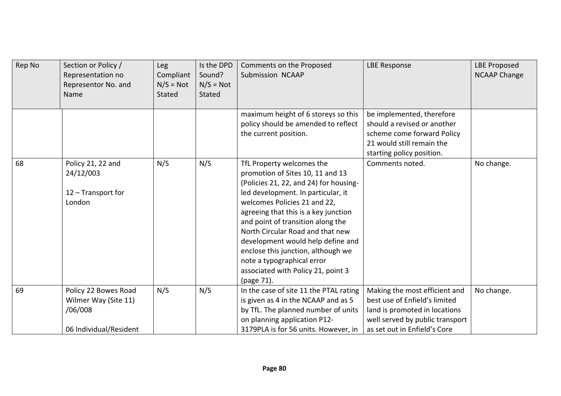| Rep No | Section or Policy /<br>Representation no<br>Representor No. and<br>Name           | Leg<br>Compliant<br>$N/S = Not$<br>Stated | Is the DPD<br>Sound?<br>$N/S = Not$<br>Stated | Comments on the Proposed<br>Submission NCAAP                                                                                                                                                                                                                                                                                                                                                                                                                | <b>LBE Response</b>                                                                                                                                                | <b>LBE Proposed</b><br><b>NCAAP Change</b> |
|--------|-----------------------------------------------------------------------------------|-------------------------------------------|-----------------------------------------------|-------------------------------------------------------------------------------------------------------------------------------------------------------------------------------------------------------------------------------------------------------------------------------------------------------------------------------------------------------------------------------------------------------------------------------------------------------------|--------------------------------------------------------------------------------------------------------------------------------------------------------------------|--------------------------------------------|
|        |                                                                                   |                                           |                                               | maximum height of 6 storeys so this<br>policy should be amended to reflect<br>the current position.                                                                                                                                                                                                                                                                                                                                                         | be implemented, therefore<br>should a revised or another<br>scheme come forward Policy<br>21 would still remain the<br>starting policy position.                   |                                            |
| 68     | Policy 21, 22 and<br>24/12/003<br>12 - Transport for<br>London                    | N/S                                       | N/S                                           | TfL Property welcomes the<br>promotion of Sites 10, 11 and 13<br>(Policies 21, 22, and 24) for housing-<br>led development. In particular, it<br>welcomes Policies 21 and 22,<br>agreeing that this is a key junction<br>and point of transition along the<br>North Circular Road and that new<br>development would help define and<br>enclose this junction, although we<br>note a typographical error<br>associated with Policy 21, point 3<br>(page 71). | Comments noted.                                                                                                                                                    | No change.                                 |
| 69     | Policy 22 Bowes Road<br>Wilmer Way (Site 11)<br>/06/008<br>06 Individual/Resident | N/S                                       | N/S                                           | In the case of site 11 the PTAL rating<br>is given as 4 in the NCAAP and as 5<br>by TfL. The planned number of units<br>on planning application P12-<br>3179PLA is for 56 units. However, in                                                                                                                                                                                                                                                                | Making the most efficient and<br>best use of Enfield's limited<br>land is promoted in locations<br>well served by public transport<br>as set out in Enfield's Core | No change.                                 |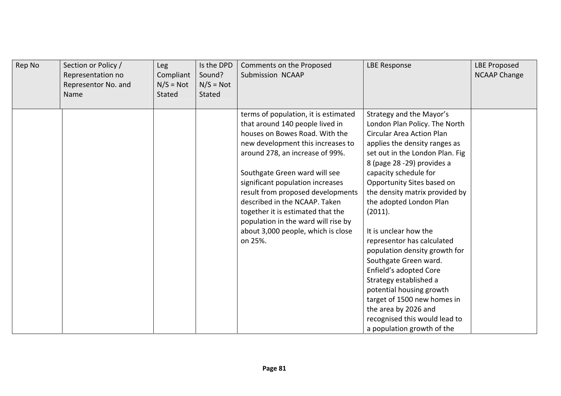| Rep No | Section or Policy /<br>Representation no<br>Representor No. and<br>Name | Leg<br>Compliant<br>$N/S = Not$<br>Stated | Is the DPD<br>Sound?<br>$N/S = Not$<br><b>Stated</b> | Comments on the Proposed<br>Submission NCAAP                                                                                                                                                                                                                                                                                                                                                                                                              | <b>LBE Response</b>                                                                                                                                                                                                                                                                                                                                                                                                                                                                                                                                                                                                                                   | <b>LBE Proposed</b><br><b>NCAAP Change</b> |
|--------|-------------------------------------------------------------------------|-------------------------------------------|------------------------------------------------------|-----------------------------------------------------------------------------------------------------------------------------------------------------------------------------------------------------------------------------------------------------------------------------------------------------------------------------------------------------------------------------------------------------------------------------------------------------------|-------------------------------------------------------------------------------------------------------------------------------------------------------------------------------------------------------------------------------------------------------------------------------------------------------------------------------------------------------------------------------------------------------------------------------------------------------------------------------------------------------------------------------------------------------------------------------------------------------------------------------------------------------|--------------------------------------------|
|        |                                                                         |                                           |                                                      | terms of population, it is estimated<br>that around 140 people lived in<br>houses on Bowes Road. With the<br>new development this increases to<br>around 278, an increase of 99%.<br>Southgate Green ward will see<br>significant population increases<br>result from proposed developments<br>described in the NCAAP. Taken<br>together it is estimated that the<br>population in the ward will rise by<br>about 3,000 people, which is close<br>on 25%. | Strategy and the Mayor's<br>London Plan Policy. The North<br><b>Circular Area Action Plan</b><br>applies the density ranges as<br>set out in the London Plan. Fig<br>8 (page 28 -29) provides a<br>capacity schedule for<br>Opportunity Sites based on<br>the density matrix provided by<br>the adopted London Plan<br>(2011).<br>It is unclear how the<br>representor has calculated<br>population density growth for<br>Southgate Green ward.<br>Enfield's adopted Core<br>Strategy established a<br>potential housing growth<br>target of 1500 new homes in<br>the area by 2026 and<br>recognised this would lead to<br>a population growth of the |                                            |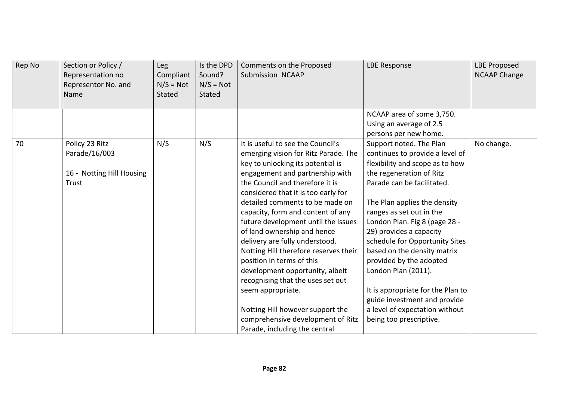| Rep No | Section or Policy /<br>Representation no<br>Representor No. and<br>Name | <b>Leg</b><br>Compliant<br>$N/S = Not$<br>Stated | Is the DPD<br>Sound?<br>$N/S = Not$<br><b>Stated</b> | Comments on the Proposed<br>Submission NCAAP                                                                                                                                                                                                                                                                                                                                                                                                                                                                                                                                                                                                                                             | <b>LBE Response</b>                                                                                                                                                                                                                                                                                                                                                                                                                                                                                                                  | <b>LBE Proposed</b><br><b>NCAAP Change</b> |
|--------|-------------------------------------------------------------------------|--------------------------------------------------|------------------------------------------------------|------------------------------------------------------------------------------------------------------------------------------------------------------------------------------------------------------------------------------------------------------------------------------------------------------------------------------------------------------------------------------------------------------------------------------------------------------------------------------------------------------------------------------------------------------------------------------------------------------------------------------------------------------------------------------------------|--------------------------------------------------------------------------------------------------------------------------------------------------------------------------------------------------------------------------------------------------------------------------------------------------------------------------------------------------------------------------------------------------------------------------------------------------------------------------------------------------------------------------------------|--------------------------------------------|
|        |                                                                         |                                                  |                                                      |                                                                                                                                                                                                                                                                                                                                                                                                                                                                                                                                                                                                                                                                                          | NCAAP area of some 3,750.<br>Using an average of 2.5                                                                                                                                                                                                                                                                                                                                                                                                                                                                                 |                                            |
|        |                                                                         |                                                  |                                                      |                                                                                                                                                                                                                                                                                                                                                                                                                                                                                                                                                                                                                                                                                          | persons per new home.                                                                                                                                                                                                                                                                                                                                                                                                                                                                                                                |                                            |
| 70     | Policy 23 Ritz<br>Parade/16/003<br>16 - Notting Hill Housing<br>Trust   | N/S                                              | N/S                                                  | It is useful to see the Council's<br>emerging vision for Ritz Parade. The<br>key to unlocking its potential is<br>engagement and partnership with<br>the Council and therefore it is<br>considered that it is too early for<br>detailed comments to be made on<br>capacity, form and content of any<br>future development until the issues<br>of land ownership and hence<br>delivery are fully understood.<br>Notting Hill therefore reserves their<br>position in terms of this<br>development opportunity, albeit<br>recognising that the uses set out<br>seem appropriate.<br>Notting Hill however support the<br>comprehensive development of Ritz<br>Parade, including the central | Support noted. The Plan<br>continues to provide a level of<br>flexibility and scope as to how<br>the regeneration of Ritz<br>Parade can be facilitated.<br>The Plan applies the density<br>ranges as set out in the<br>London Plan. Fig 8 (page 28 -<br>29) provides a capacity<br>schedule for Opportunity Sites<br>based on the density matrix<br>provided by the adopted<br>London Plan (2011).<br>It is appropriate for the Plan to<br>guide investment and provide<br>a level of expectation without<br>being too prescriptive. | No change.                                 |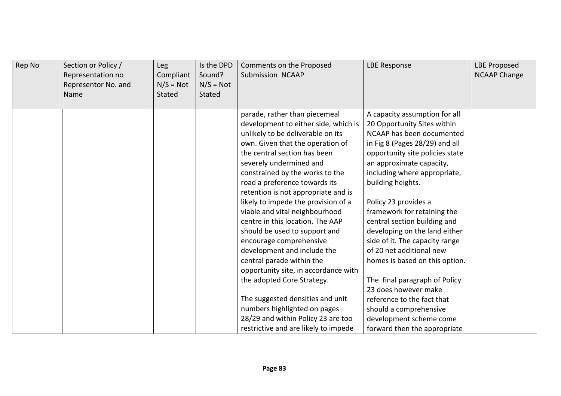| Rep No | Section or Policy /<br>Representation no<br>Representor No. and<br>Name | Leg<br>Compliant<br>$N/S = Not$<br>Stated | Is the DPD<br>Sound?<br>$N/S = Not$<br>Stated | Comments on the Proposed<br><b>Submission NCAAP</b>                                                                                                                                                                                                                                                                                                                                                                                                                                                                                                                                                                                                                                                                                                                               | <b>LBE Response</b>                                                                                                                                                                                                                                                                                                                                                                                                                                                                                                                                                                                                                                 | <b>LBE Proposed</b><br><b>NCAAP Change</b> |
|--------|-------------------------------------------------------------------------|-------------------------------------------|-----------------------------------------------|-----------------------------------------------------------------------------------------------------------------------------------------------------------------------------------------------------------------------------------------------------------------------------------------------------------------------------------------------------------------------------------------------------------------------------------------------------------------------------------------------------------------------------------------------------------------------------------------------------------------------------------------------------------------------------------------------------------------------------------------------------------------------------------|-----------------------------------------------------------------------------------------------------------------------------------------------------------------------------------------------------------------------------------------------------------------------------------------------------------------------------------------------------------------------------------------------------------------------------------------------------------------------------------------------------------------------------------------------------------------------------------------------------------------------------------------------------|--------------------------------------------|
|        |                                                                         |                                           |                                               | parade, rather than piecemeal<br>development to either side, which is<br>unlikely to be deliverable on its<br>own. Given that the operation of<br>the central section has been<br>severely undermined and<br>constrained by the works to the<br>road a preference towards its<br>retention is not appropriate and is<br>likely to impede the provision of a<br>viable and vital neighbourhood<br>centre in this location. The AAP<br>should be used to support and<br>encourage comprehensive<br>development and include the<br>central parade within the<br>opportunity site, in accordance with<br>the adopted Core Strategy.<br>The suggested densities and unit<br>numbers highlighted on pages<br>28/29 and within Policy 23 are too<br>restrictive and are likely to impede | A capacity assumption for all<br>20 Opportunity Sites within<br>NCAAP has been documented<br>in Fig 8 (Pages 28/29) and all<br>opportunity site policies state<br>an approximate capacity,<br>including where appropriate,<br>building heights.<br>Policy 23 provides a<br>framework for retaining the<br>central section building and<br>developing on the land either<br>side of it. The capacity range<br>of 20 net additional new<br>homes is based on this option.<br>The final paragraph of Policy<br>23 does however make<br>reference to the fact that<br>should a comprehensive<br>development scheme come<br>forward then the appropriate |                                            |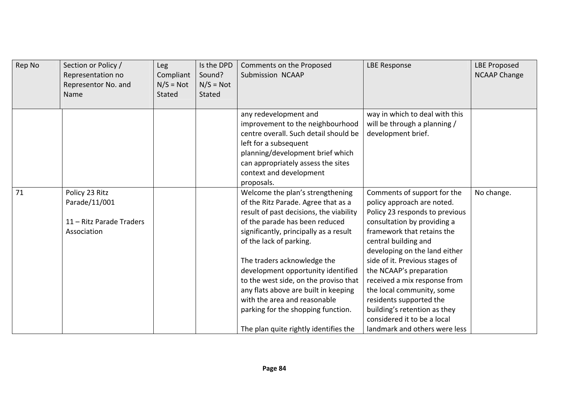| Rep No | Section or Policy /<br>Representation no<br>Representor No. and<br>Name    | Leg<br>Compliant<br>$N/S = Not$<br>Stated | Is the DPD<br>Sound?<br>$N/S = Not$<br><b>Stated</b> | Comments on the Proposed<br>Submission NCAAP                                                                                                                                                                                                                                                                                                                                                                                                                                                   | <b>LBE Response</b>                                                                                                                                                                                                                                                                                                                                                                                                                                                    | <b>LBE Proposed</b><br><b>NCAAP Change</b> |
|--------|----------------------------------------------------------------------------|-------------------------------------------|------------------------------------------------------|------------------------------------------------------------------------------------------------------------------------------------------------------------------------------------------------------------------------------------------------------------------------------------------------------------------------------------------------------------------------------------------------------------------------------------------------------------------------------------------------|------------------------------------------------------------------------------------------------------------------------------------------------------------------------------------------------------------------------------------------------------------------------------------------------------------------------------------------------------------------------------------------------------------------------------------------------------------------------|--------------------------------------------|
|        |                                                                            |                                           |                                                      | any redevelopment and<br>improvement to the neighbourhood<br>centre overall. Such detail should be<br>left for a subsequent<br>planning/development brief which<br>can appropriately assess the sites<br>context and development<br>proposals.                                                                                                                                                                                                                                                 | way in which to deal with this<br>will be through a planning /<br>development brief.                                                                                                                                                                                                                                                                                                                                                                                   |                                            |
| 71     | Policy 23 Ritz<br>Parade/11/001<br>11 - Ritz Parade Traders<br>Association |                                           |                                                      | Welcome the plan's strengthening<br>of the Ritz Parade. Agree that as a<br>result of past decisions, the viability<br>of the parade has been reduced<br>significantly, principally as a result<br>of the lack of parking.<br>The traders acknowledge the<br>development opportunity identified<br>to the west side, on the proviso that<br>any flats above are built in keeping<br>with the area and reasonable<br>parking for the shopping function.<br>The plan quite rightly identifies the | Comments of support for the<br>policy approach are noted.<br>Policy 23 responds to previous<br>consultation by providing a<br>framework that retains the<br>central building and<br>developing on the land either<br>side of it. Previous stages of<br>the NCAAP's preparation<br>received a mix response from<br>the local community, some<br>residents supported the<br>building's retention as they<br>considered it to be a local<br>landmark and others were less | No change.                                 |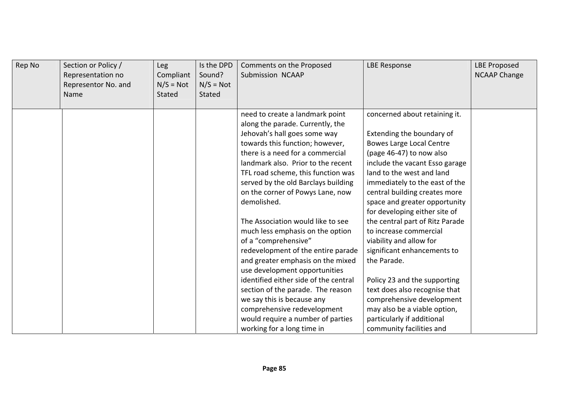| Rep No | Section or Policy /<br>Representation no<br>Representor No. and<br>Name | <b>Leg</b><br>Compliant<br>$N/S = Not$<br>Stated | Is the DPD<br>Sound?<br>$N/S = Not$<br><b>Stated</b> | Comments on the Proposed<br>Submission NCAAP                                                                                                                                                                                                                                                                                                                                                                                                                                                                                                                                                                                                                              | <b>LBE Response</b>                                                                                                                                                                                                                                                                                                                                                                                                                                                                                                                                               | <b>LBE Proposed</b><br><b>NCAAP Change</b> |
|--------|-------------------------------------------------------------------------|--------------------------------------------------|------------------------------------------------------|---------------------------------------------------------------------------------------------------------------------------------------------------------------------------------------------------------------------------------------------------------------------------------------------------------------------------------------------------------------------------------------------------------------------------------------------------------------------------------------------------------------------------------------------------------------------------------------------------------------------------------------------------------------------------|-------------------------------------------------------------------------------------------------------------------------------------------------------------------------------------------------------------------------------------------------------------------------------------------------------------------------------------------------------------------------------------------------------------------------------------------------------------------------------------------------------------------------------------------------------------------|--------------------------------------------|
|        |                                                                         |                                                  |                                                      | need to create a landmark point<br>along the parade. Currently, the<br>Jehovah's hall goes some way<br>towards this function; however,<br>there is a need for a commercial<br>landmark also. Prior to the recent<br>TFL road scheme, this function was<br>served by the old Barclays building<br>on the corner of Powys Lane, now<br>demolished.<br>The Association would like to see<br>much less emphasis on the option<br>of a "comprehensive"<br>redevelopment of the entire parade<br>and greater emphasis on the mixed<br>use development opportunities<br>identified either side of the central<br>section of the parade. The reason<br>we say this is because any | concerned about retaining it.<br>Extending the boundary of<br><b>Bowes Large Local Centre</b><br>(page 46-47) to now also<br>include the vacant Esso garage<br>land to the west and land<br>immediately to the east of the<br>central building creates more<br>space and greater opportunity<br>for developing either site of<br>the central part of Ritz Parade<br>to increase commercial<br>viability and allow for<br>significant enhancements to<br>the Parade.<br>Policy 23 and the supporting<br>text does also recognise that<br>comprehensive development |                                            |
|        |                                                                         |                                                  |                                                      | comprehensive redevelopment<br>would require a number of parties<br>working for a long time in                                                                                                                                                                                                                                                                                                                                                                                                                                                                                                                                                                            | may also be a viable option,<br>particularly if additional<br>community facilities and                                                                                                                                                                                                                                                                                                                                                                                                                                                                            |                                            |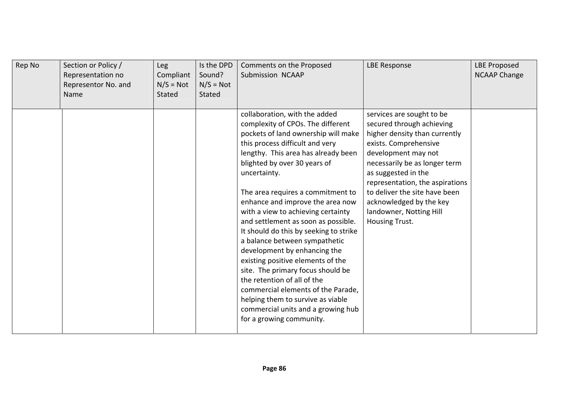| Rep No | Section or Policy /<br>Representation no<br>Representor No. and<br>Name | Leg<br>Compliant<br>$N/S = Not$<br>Stated | Is the DPD<br>Sound?<br>$N/S = Not$<br><b>Stated</b> | Comments on the Proposed<br>Submission NCAAP                                                                                                                                                                                                                                                                                                                                                                                                                                                                                                                                                                                                                                                                                                               | <b>LBE Response</b>                                                                                                                                                                                                                                                                                                                         | <b>LBE Proposed</b><br><b>NCAAP Change</b> |
|--------|-------------------------------------------------------------------------|-------------------------------------------|------------------------------------------------------|------------------------------------------------------------------------------------------------------------------------------------------------------------------------------------------------------------------------------------------------------------------------------------------------------------------------------------------------------------------------------------------------------------------------------------------------------------------------------------------------------------------------------------------------------------------------------------------------------------------------------------------------------------------------------------------------------------------------------------------------------------|---------------------------------------------------------------------------------------------------------------------------------------------------------------------------------------------------------------------------------------------------------------------------------------------------------------------------------------------|--------------------------------------------|
|        |                                                                         |                                           |                                                      | collaboration, with the added<br>complexity of CPOs. The different<br>pockets of land ownership will make<br>this process difficult and very<br>lengthy. This area has already been<br>blighted by over 30 years of<br>uncertainty.<br>The area requires a commitment to<br>enhance and improve the area now<br>with a view to achieving certainty<br>and settlement as soon as possible.<br>It should do this by seeking to strike<br>a balance between sympathetic<br>development by enhancing the<br>existing positive elements of the<br>site. The primary focus should be<br>the retention of all of the<br>commercial elements of the Parade,<br>helping them to survive as viable<br>commercial units and a growing hub<br>for a growing community. | services are sought to be<br>secured through achieving<br>higher density than currently<br>exists. Comprehensive<br>development may not<br>necessarily be as longer term<br>as suggested in the<br>representation, the aspirations<br>to deliver the site have been<br>acknowledged by the key<br>landowner, Notting Hill<br>Housing Trust. |                                            |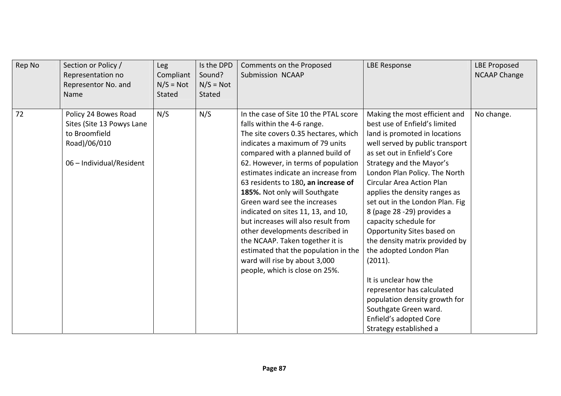| Rep No | Section or Policy /<br>Representation no<br>Representor No. and<br>Name                                        | Leg<br>Compliant<br>$N/S = Not$<br>Stated | Is the DPD<br>Sound?<br>$N/S = Not$<br>Stated | Comments on the Proposed<br>Submission NCAAP                                                                                                                                                                                                                                                                                                                                                                                                                                                                                                                                                                                            | <b>LBE Response</b>                                                                                                                                                                                                                                                                                                                                                                                                                                                                                                                                                                                                                                                       | <b>LBE Proposed</b><br><b>NCAAP Change</b> |
|--------|----------------------------------------------------------------------------------------------------------------|-------------------------------------------|-----------------------------------------------|-----------------------------------------------------------------------------------------------------------------------------------------------------------------------------------------------------------------------------------------------------------------------------------------------------------------------------------------------------------------------------------------------------------------------------------------------------------------------------------------------------------------------------------------------------------------------------------------------------------------------------------------|---------------------------------------------------------------------------------------------------------------------------------------------------------------------------------------------------------------------------------------------------------------------------------------------------------------------------------------------------------------------------------------------------------------------------------------------------------------------------------------------------------------------------------------------------------------------------------------------------------------------------------------------------------------------------|--------------------------------------------|
| 72     | Policy 24 Bowes Road<br>Sites (Site 13 Powys Lane<br>to Broomfield<br>Road)/06/010<br>06 - Individual/Resident | N/S                                       | N/S                                           | In the case of Site 10 the PTAL score<br>falls within the 4-6 range.<br>The site covers 0.35 hectares, which<br>indicates a maximum of 79 units<br>compared with a planned build of<br>62. However, in terms of population<br>estimates indicate an increase from<br>63 residents to 180, an increase of<br>185%. Not only will Southgate<br>Green ward see the increases<br>indicated on sites 11, 13, and 10,<br>but increases will also result from<br>other developments described in<br>the NCAAP. Taken together it is<br>estimated that the population in the<br>ward will rise by about 3,000<br>people, which is close on 25%. | Making the most efficient and<br>best use of Enfield's limited<br>land is promoted in locations<br>well served by public transport<br>as set out in Enfield's Core<br>Strategy and the Mayor's<br>London Plan Policy. The North<br><b>Circular Area Action Plan</b><br>applies the density ranges as<br>set out in the London Plan. Fig<br>8 (page 28 -29) provides a<br>capacity schedule for<br>Opportunity Sites based on<br>the density matrix provided by<br>the adopted London Plan<br>(2011).<br>It is unclear how the<br>representor has calculated<br>population density growth for<br>Southgate Green ward.<br>Enfield's adopted Core<br>Strategy established a | No change.                                 |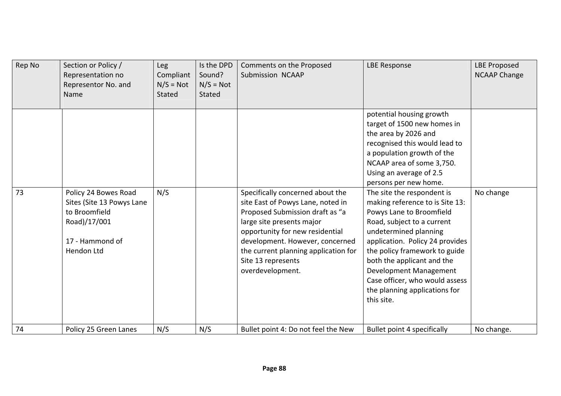| Rep No | Section or Policy /<br>Representation no<br>Representor No. and<br>Name                                             | Leg<br>Compliant<br>$N/S = Not$<br>Stated | Is the DPD<br>Sound?<br>$N/S = Not$<br>Stated | Comments on the Proposed<br>Submission NCAAP                                                                                                                                                                                                                                                  | <b>LBE Response</b>                                                                                                                                                                                                                                                                                                                                                                                                                                                                                             | <b>LBE Proposed</b><br><b>NCAAP Change</b> |
|--------|---------------------------------------------------------------------------------------------------------------------|-------------------------------------------|-----------------------------------------------|-----------------------------------------------------------------------------------------------------------------------------------------------------------------------------------------------------------------------------------------------------------------------------------------------|-----------------------------------------------------------------------------------------------------------------------------------------------------------------------------------------------------------------------------------------------------------------------------------------------------------------------------------------------------------------------------------------------------------------------------------------------------------------------------------------------------------------|--------------------------------------------|
| 73     | Policy 24 Bowes Road<br>Sites (Site 13 Powys Lane<br>to Broomfield<br>Road)/17/001<br>17 - Hammond of<br>Hendon Ltd | N/S                                       |                                               | Specifically concerned about the<br>site East of Powys Lane, noted in<br>Proposed Submission draft as "a<br>large site presents major<br>opportunity for new residential<br>development. However, concerned<br>the current planning application for<br>Site 13 represents<br>overdevelopment. | potential housing growth<br>target of 1500 new homes in<br>the area by 2026 and<br>recognised this would lead to<br>a population growth of the<br>NCAAP area of some 3,750.<br>Using an average of 2.5<br>persons per new home.<br>The site the respondent is<br>making reference to is Site 13:<br>Powys Lane to Broomfield<br>Road, subject to a current<br>undetermined planning<br>application. Policy 24 provides<br>the policy framework to guide<br>both the applicant and the<br>Development Management | No change                                  |
|        |                                                                                                                     |                                           |                                               |                                                                                                                                                                                                                                                                                               | Case officer, who would assess<br>the planning applications for<br>this site.                                                                                                                                                                                                                                                                                                                                                                                                                                   |                                            |
| 74     | Policy 25 Green Lanes                                                                                               | N/S                                       | N/S                                           | Bullet point 4: Do not feel the New                                                                                                                                                                                                                                                           | Bullet point 4 specifically                                                                                                                                                                                                                                                                                                                                                                                                                                                                                     | No change.                                 |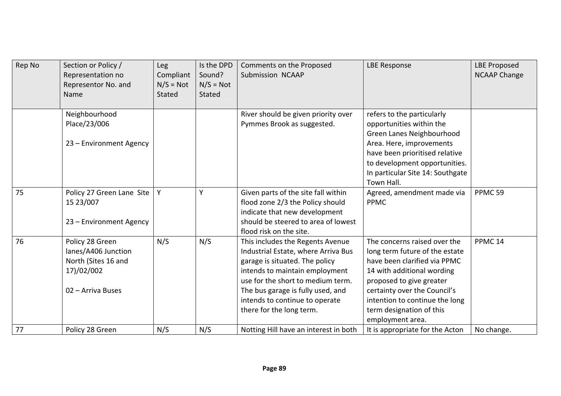| Rep No | Section or Policy /<br>Representation no<br>Representor No. and<br>Name                          | <b>Leg</b><br>Compliant<br>$N/S = Not$<br>Stated | Is the DPD<br>Sound?<br>$N/S = Not$<br><b>Stated</b> | Comments on the Proposed<br>Submission NCAAP                                                                                                                                                                                                                                        | <b>LBE Response</b>                                                                                                                                                                                                                                                        | <b>LBE Proposed</b><br><b>NCAAP Change</b> |
|--------|--------------------------------------------------------------------------------------------------|--------------------------------------------------|------------------------------------------------------|-------------------------------------------------------------------------------------------------------------------------------------------------------------------------------------------------------------------------------------------------------------------------------------|----------------------------------------------------------------------------------------------------------------------------------------------------------------------------------------------------------------------------------------------------------------------------|--------------------------------------------|
|        | Neighbourhood<br>Place/23/006<br>23 - Environment Agency                                         |                                                  |                                                      | River should be given priority over<br>Pymmes Brook as suggested.                                                                                                                                                                                                                   | refers to the particularly<br>opportunities within the<br>Green Lanes Neighbourhood<br>Area. Here, improvements<br>have been prioritised relative<br>to development opportunities.<br>In particular Site 14: Southgate<br>Town Hall.                                       |                                            |
| 75     | Policy 27 Green Lane Site<br>15 23/007<br>23 - Environment Agency                                | Y                                                | Υ                                                    | Given parts of the site fall within<br>flood zone 2/3 the Policy should<br>indicate that new development<br>should be steered to area of lowest<br>flood risk on the site.                                                                                                          | Agreed, amendment made via<br><b>PPMC</b>                                                                                                                                                                                                                                  | PPMC <sub>59</sub>                         |
| 76     | Policy 28 Green<br>lanes/A406 Junction<br>North (Sites 16 and<br>17)/02/002<br>02 - Arriva Buses | N/S                                              | N/S                                                  | This includes the Regents Avenue<br>Industrial Estate, where Arriva Bus<br>garage is situated. The policy<br>intends to maintain employment<br>use for the short to medium term.<br>The bus garage is fully used, and<br>intends to continue to operate<br>there for the long term. | The concerns raised over the<br>long term future of the estate<br>have been clarified via PPMC<br>14 with additional wording<br>proposed to give greater<br>certainty over the Council's<br>intention to continue the long<br>term designation of this<br>employment area. | PPMC <sub>14</sub>                         |
| 77     | Policy 28 Green                                                                                  | N/S                                              | N/S                                                  | Notting Hill have an interest in both                                                                                                                                                                                                                                               | It is appropriate for the Acton                                                                                                                                                                                                                                            | No change.                                 |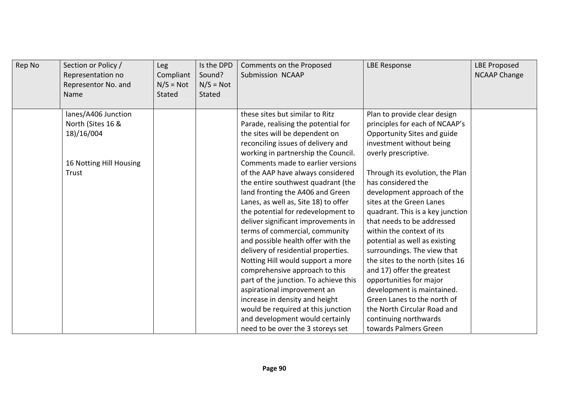| Rep No | Section or Policy /<br>Representation no<br>Representor No. and<br>Name | Leg<br>Compliant<br>$N/S = Not$<br>Stated | Is the DPD<br>Sound?<br>$N/S = Not$<br>Stated | Comments on the Proposed<br><b>Submission NCAAP</b> | <b>LBE Response</b>              | <b>LBE Proposed</b><br><b>NCAAP Change</b> |
|--------|-------------------------------------------------------------------------|-------------------------------------------|-----------------------------------------------|-----------------------------------------------------|----------------------------------|--------------------------------------------|
|        | lanes/A406 Junction                                                     |                                           |                                               | these sites but similar to Ritz                     | Plan to provide clear design     |                                            |
|        | North (Sites 16 &                                                       |                                           |                                               | Parade, realising the potential for                 | principles for each of NCAAP's   |                                            |
|        | 18)/16/004                                                              |                                           |                                               | the sites will be dependent on                      | Opportunity Sites and guide      |                                            |
|        |                                                                         |                                           |                                               | reconciling issues of delivery and                  | investment without being         |                                            |
|        |                                                                         |                                           |                                               | working in partnership the Council.                 | overly prescriptive.             |                                            |
|        | 16 Notting Hill Housing                                                 |                                           |                                               | Comments made to earlier versions                   |                                  |                                            |
|        | Trust                                                                   |                                           |                                               | of the AAP have always considered                   | Through its evolution, the Plan  |                                            |
|        |                                                                         |                                           |                                               | the entire southwest quadrant (the                  | has considered the               |                                            |
|        |                                                                         |                                           |                                               | land fronting the A406 and Green                    | development approach of the      |                                            |
|        |                                                                         |                                           |                                               | Lanes, as well as, Site 18) to offer                | sites at the Green Lanes         |                                            |
|        |                                                                         |                                           |                                               | the potential for redevelopment to                  | quadrant. This is a key junction |                                            |
|        |                                                                         |                                           |                                               | deliver significant improvements in                 | that needs to be addressed       |                                            |
|        |                                                                         |                                           |                                               | terms of commercial, community                      | within the context of its        |                                            |
|        |                                                                         |                                           |                                               | and possible health offer with the                  | potential as well as existing    |                                            |
|        |                                                                         |                                           |                                               | delivery of residential properties.                 | surroundings. The view that      |                                            |
|        |                                                                         |                                           |                                               | Notting Hill would support a more                   | the sites to the north (sites 16 |                                            |
|        |                                                                         |                                           |                                               | comprehensive approach to this                      | and 17) offer the greatest       |                                            |
|        |                                                                         |                                           |                                               | part of the junction. To achieve this               | opportunities for major          |                                            |
|        |                                                                         |                                           |                                               | aspirational improvement an                         | development is maintained.       |                                            |
|        |                                                                         |                                           |                                               | increase in density and height                      | Green Lanes to the north of      |                                            |
|        |                                                                         |                                           |                                               | would be required at this junction                  | the North Circular Road and      |                                            |
|        |                                                                         |                                           |                                               | and development would certainly                     | continuing northwards            |                                            |
|        |                                                                         |                                           |                                               | need to be over the 3 storeys set                   | towards Palmers Green            |                                            |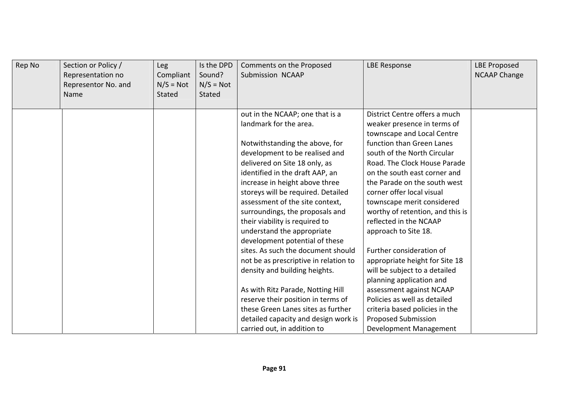| Rep No | Section or Policy /<br>Representation no<br>Representor No. and<br>Name | <b>Leg</b><br>Compliant<br>$N/S = Not$<br>Stated | Is the DPD<br>Sound?<br>$N/S = Not$<br><b>Stated</b> | Comments on the Proposed<br>Submission NCAAP | <b>LBE Response</b>              | <b>LBE Proposed</b><br><b>NCAAP Change</b> |
|--------|-------------------------------------------------------------------------|--------------------------------------------------|------------------------------------------------------|----------------------------------------------|----------------------------------|--------------------------------------------|
|        |                                                                         |                                                  |                                                      | out in the NCAAP; one that is a              | District Centre offers a much    |                                            |
|        |                                                                         |                                                  |                                                      | landmark for the area.                       | weaker presence in terms of      |                                            |
|        |                                                                         |                                                  |                                                      |                                              | townscape and Local Centre       |                                            |
|        |                                                                         |                                                  |                                                      | Notwithstanding the above, for               | function than Green Lanes        |                                            |
|        |                                                                         |                                                  |                                                      | development to be realised and               | south of the North Circular      |                                            |
|        |                                                                         |                                                  |                                                      | delivered on Site 18 only, as                | Road. The Clock House Parade     |                                            |
|        |                                                                         |                                                  |                                                      | identified in the draft AAP, an              | on the south east corner and     |                                            |
|        |                                                                         |                                                  |                                                      | increase in height above three               | the Parade on the south west     |                                            |
|        |                                                                         |                                                  |                                                      | storeys will be required. Detailed           | corner offer local visual        |                                            |
|        |                                                                         |                                                  |                                                      | assessment of the site context,              | townscape merit considered       |                                            |
|        |                                                                         |                                                  |                                                      | surroundings, the proposals and              | worthy of retention, and this is |                                            |
|        |                                                                         |                                                  |                                                      | their viability is required to               | reflected in the NCAAP           |                                            |
|        |                                                                         |                                                  |                                                      | understand the appropriate                   | approach to Site 18.             |                                            |
|        |                                                                         |                                                  |                                                      | development potential of these               |                                  |                                            |
|        |                                                                         |                                                  |                                                      | sites. As such the document should           | Further consideration of         |                                            |
|        |                                                                         |                                                  |                                                      | not be as prescriptive in relation to        | appropriate height for Site 18   |                                            |
|        |                                                                         |                                                  |                                                      | density and building heights.                | will be subject to a detailed    |                                            |
|        |                                                                         |                                                  |                                                      |                                              | planning application and         |                                            |
|        |                                                                         |                                                  |                                                      | As with Ritz Parade, Notting Hill            | assessment against NCAAP         |                                            |
|        |                                                                         |                                                  |                                                      | reserve their position in terms of           | Policies as well as detailed     |                                            |
|        |                                                                         |                                                  |                                                      | these Green Lanes sites as further           | criteria based policies in the   |                                            |
|        |                                                                         |                                                  |                                                      | detailed capacity and design work is         | <b>Proposed Submission</b>       |                                            |
|        |                                                                         |                                                  |                                                      | carried out, in addition to                  | Development Management           |                                            |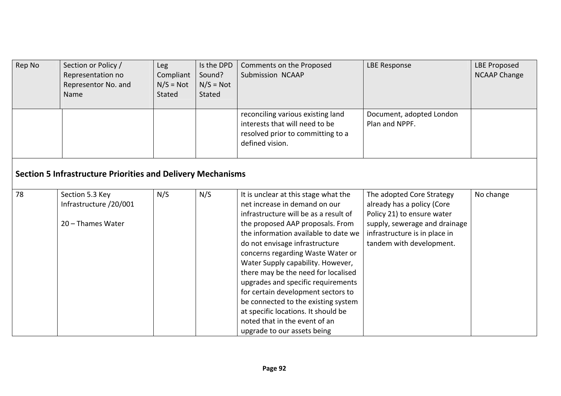| Rep No | Section or Policy /<br>Representation no<br>Representor No. and<br>Name | <b>Leg</b><br>Compliant<br>$N/S = Not$<br>Stated | Is the DPD<br>Sound?<br>$N/S = Not$<br>Stated | Comments on the Proposed<br>Submission NCAAP                                                                                                                                                                                                                                                                                                                                                                                                                                                                                                                            | <b>LBE Response</b>                                                                                                                                                                 | <b>LBE Proposed</b><br><b>NCAAP Change</b> |  |  |  |
|--------|-------------------------------------------------------------------------|--------------------------------------------------|-----------------------------------------------|-------------------------------------------------------------------------------------------------------------------------------------------------------------------------------------------------------------------------------------------------------------------------------------------------------------------------------------------------------------------------------------------------------------------------------------------------------------------------------------------------------------------------------------------------------------------------|-------------------------------------------------------------------------------------------------------------------------------------------------------------------------------------|--------------------------------------------|--|--|--|
|        |                                                                         |                                                  |                                               | reconciling various existing land<br>interests that will need to be<br>resolved prior to committing to a<br>defined vision.                                                                                                                                                                                                                                                                                                                                                                                                                                             | Document, adopted London<br>Plan and NPPF.                                                                                                                                          |                                            |  |  |  |
|        | <b>Section 5 Infrastructure Priorities and Delivery Mechanisms</b>      |                                                  |                                               |                                                                                                                                                                                                                                                                                                                                                                                                                                                                                                                                                                         |                                                                                                                                                                                     |                                            |  |  |  |
| 78     | Section 5.3 Key<br>Infrastructure /20/001<br>20 - Thames Water          | N/S                                              | N/S                                           | It is unclear at this stage what the<br>net increase in demand on our<br>infrastructure will be as a result of<br>the proposed AAP proposals. From<br>the information available to date we<br>do not envisage infrastructure<br>concerns regarding Waste Water or<br>Water Supply capability. However,<br>there may be the need for localised<br>upgrades and specific requirements<br>for certain development sectors to<br>be connected to the existing system<br>at specific locations. It should be<br>noted that in the event of an<br>upgrade to our assets being | The adopted Core Strategy<br>already has a policy (Core<br>Policy 21) to ensure water<br>supply, sewerage and drainage<br>infrastructure is in place in<br>tandem with development. | No change                                  |  |  |  |